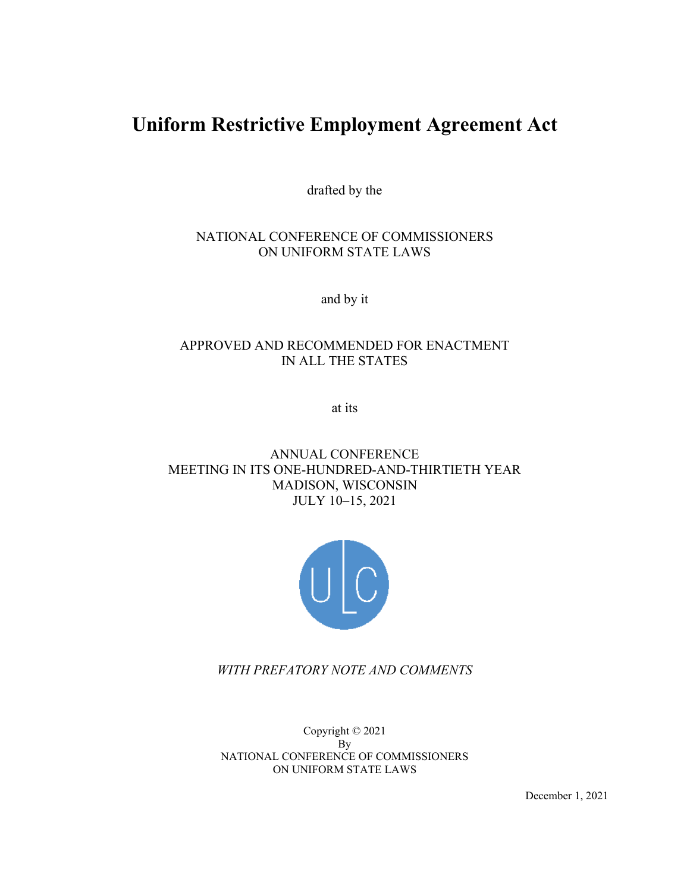drafted by the

## NATIONAL CONFERENCE OF COMMISSIONERS ON UNIFORM STATE LAWS

and by it

# APPROVED AND RECOMMENDED FOR ENACTMENT IN ALL THE STATES

at its

 MEETING IN ITS ONE-HUNDRED-AND-THIRTIETH YEAR ANNUAL CONFERENCE MADISON, WISCONSIN JULY 10–15, 2021



## *WITH PREFATORY NOTE AND COMMENTS*

Copyright © 2021 By NATIONAL CONFERENCE OF COMMISSIONERS ON UNIFORM STATE LAWS

December 1, 2021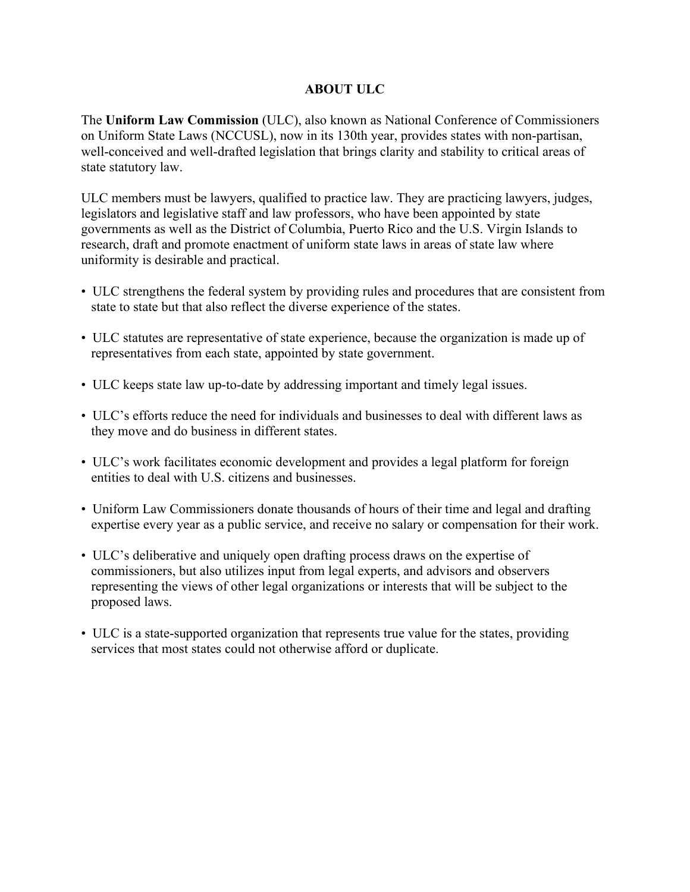# **ABOUT ULC**

The **Uniform Law Commission** (ULC), also known as National Conference of Commissioners on Uniform State Laws (NCCUSL), now in its 130th year, provides states with non-partisan, well-conceived and well-drafted legislation that brings clarity and stability to critical areas of state statutory law.

ULC members must be lawyers, qualified to practice law. They are practicing lawyers, judges, legislators and legislative staff and law professors, who have been appointed by state governments as well as the District of Columbia, Puerto Rico and the U.S. Virgin Islands to research, draft and promote enactment of uniform state laws in areas of state law where uniformity is desirable and practical.

- ULC strengthens the federal system by providing rules and procedures that are consistent from state to state but that also reflect the diverse experience of the states.
- ULC statutes are representative of state experience, because the organization is made up of representatives from each state, appointed by state government.
- ULC keeps state law up-to-date by addressing important and timely legal issues.
- ULC's efforts reduce the need for individuals and businesses to deal with different laws as they move and do business in different states.
- ULC's work facilitates economic development and provides a legal platform for foreign entities to deal with U.S. citizens and businesses.
- Uniform Law Commissioners donate thousands of hours of their time and legal and drafting expertise every year as a public service, and receive no salary or compensation for their work.
- ULC's deliberative and uniquely open drafting process draws on the expertise of commissioners, but also utilizes input from legal experts, and advisors and observers representing the views of other legal organizations or interests that will be subject to the proposed laws.
- ULC is a state-supported organization that represents true value for the states, providing services that most states could not otherwise afford or duplicate.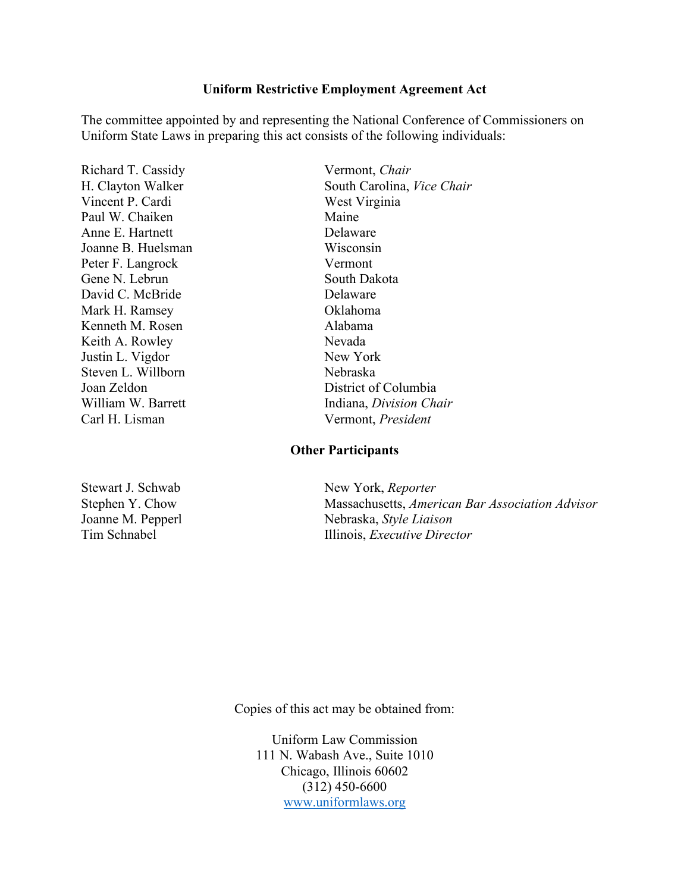The committee appointed by and representing the National Conference of Commissioners on Uniform State Laws in preparing this act consists of the following individuals:

**H.** Clayton Walker Vincent P. Cardi West Virginia Paul W. Chaiken Maine Anne E. Hartnett Delaware Joanne B. Huelsman Wisconsin Peter F. Langrock Vermont Gene N. Lebrun South Dakota David C. McBride Delaware Mark H. Ramsey Oklahoma Keith A. Rowley Nevada Justin L. Vigdor New York Joan Zeldon **William W. Barrett** Carl H. Lisman Richard T. Cassidy Vermont, *Chair* Kenneth M. Rosen Alabama Steven L. Willborn Nebraska

**Stewart J. Schwab** Stephen Y. Chow Joanne M. Pepperl **Tim Schnabel** 

South Carolina, *Vice Chair* District of Columbia Indiana, *Division Chair* Vermont, President

## **Other Participants**

New York, *Reporter* Massachusetts, *American Bar Association Advisor* Nebraska, *Style Liaison* Illinois, *Executive Director* 

Copies of this act may be obtained from:

Uniform Law Commission 111 N. Wabash Ave., Suite 1010 Chicago, Illinois 60602 (312) 450-6600 [www.uniformlaws.org](about:blank)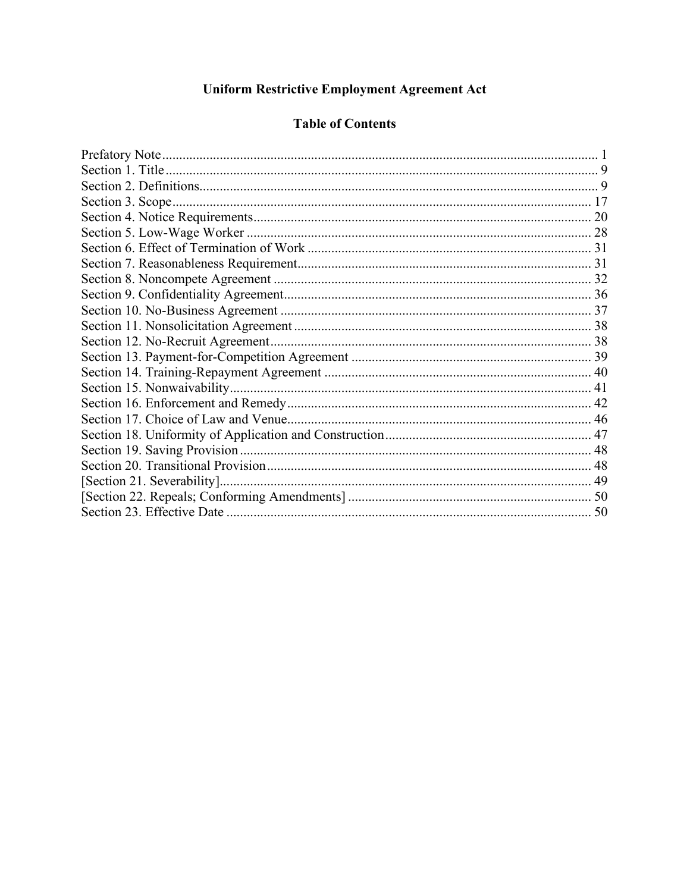# **Table of Contents**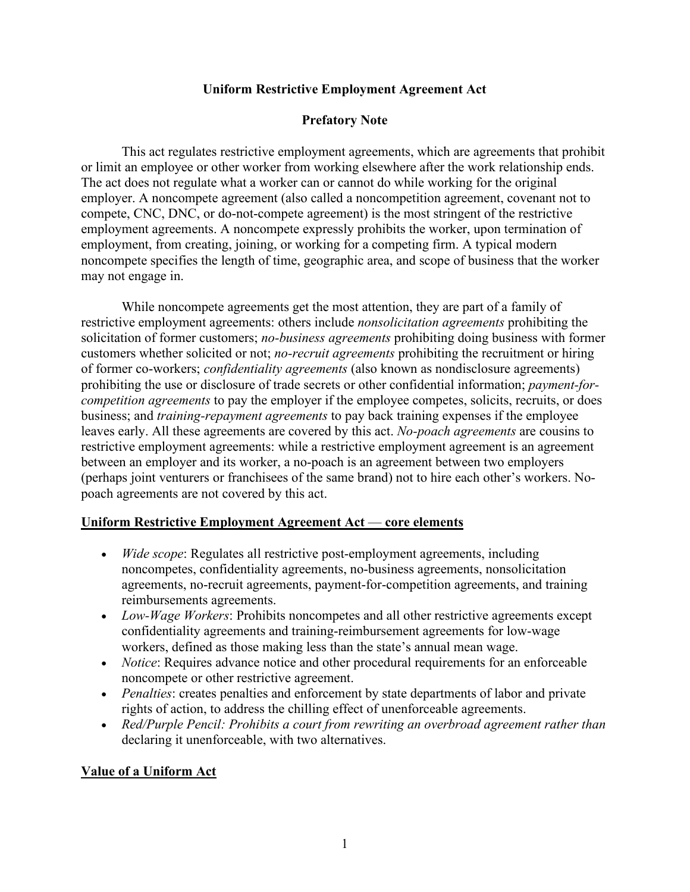# **Prefatory Note**

<span id="page-4-0"></span>This act regulates restrictive employment agreements, which are agreements that prohibit or limit an employee or other worker from working elsewhere after the work relationship ends. The act does not regulate what a worker can or cannot do while working for the original employer. A noncompete agreement (also called a noncompetition agreement, covenant not to compete, CNC, DNC, or do-not-compete agreement) is the most stringent of the restrictive employment agreements. A noncompete expressly prohibits the worker, upon termination of employment, from creating, joining, or working for a competing firm. A typical modern noncompete specifies the length of time, geographic area, and scope of business that the worker may not engage in.

 While noncompete agreements get the most attention, they are part of a family of leaves early. All these agreements are covered by this act. *No-poach agreements* are cousins to between an employer and its worker, a no-poach is an agreement between two employers restrictive employment agreements: others include *nonsolicitation agreements* prohibiting the solicitation of former customers; *no-business agreements* prohibiting doing business with former customers whether solicited or not; *no-recruit agreements* prohibiting the recruitment or hiring of former co-workers; *confidentiality agreements* (also known as nondisclosure agreements) prohibiting the use or disclosure of trade secrets or other confidential information; *payment-forcompetition agreements* to pay the employer if the employee competes, solicits, recruits, or does business; and *training-repayment agreements* to pay back training expenses if the employee restrictive employment agreements: while a restrictive employment agreement is an agreement (perhaps joint venturers or franchisees of the same brand) not to hire each other's workers. Nopoach agreements are not covered by this act.

## **Uniform Restrictive Employment Agreement Act** — **core elements**

- • *Wide scope*: Regulates all restrictive post-employment agreements, including noncompetes, confidentiality agreements, no-business agreements, nonsolicitation agreements, no-recruit agreements, payment-for-competition agreements, and training reimbursements agreements.
- *Low-Wage Workers*: Prohibits noncompetes and all other restrictive agreements except confidentiality agreements and training-reimbursement agreements for low-wage workers, defined as those making less than the state's annual mean wage.
- *Notice*: Requires advance notice and other procedural requirements for an enforceable noncompete or other restrictive agreement.
- rights of action, to address the chilling effect of unenforceable agreements. • *Penalties*: creates penalties and enforcement by state departments of labor and private
- *Red/Purple Pencil: Prohibits a court from rewriting an overbroad agreement rather than*  declaring it unenforceable, with two alternatives.

# **Value of a Uniform Act**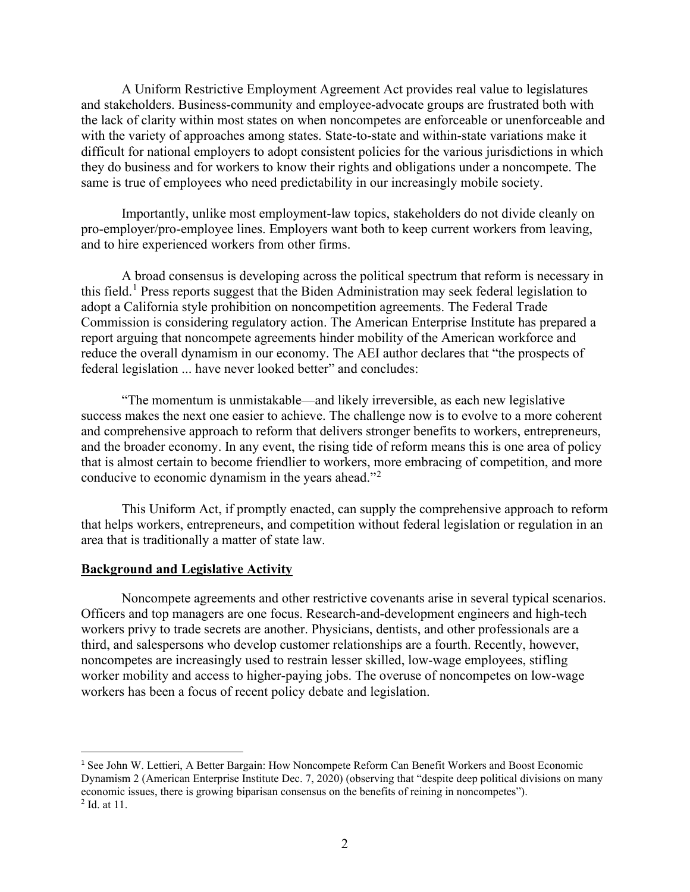A Uniform Restrictive Employment Agreement Act provides real value to legislatures and stakeholders. Business-community and employee-advocate groups are frustrated both with the lack of clarity within most states on when noncompetes are enforceable or unenforceable and with the variety of approaches among states. State-to-state and within-state variations make it difficult for national employers to adopt consistent policies for the various jurisdictions in which they do business and for workers to know their rights and obligations under a noncompete. The same is true of employees who need predictability in our increasingly mobile society.

Importantly, unlike most employment-law topics, stakeholders do not divide cleanly on pro-employer/pro-employee lines. Employers want both to keep current workers from leaving, and to hire experienced workers from other firms.

A broad consensus is developing across the political spectrum that reform is necessary in this field.<sup>[1](#page-5-0)</sup> Press reports suggest that the Biden Administration may seek federal legislation to adopt a California style prohibition on noncompetition agreements. The Federal Trade Commission is considering regulatory action. The American Enterprise Institute has prepared a report arguing that noncompete agreements hinder mobility of the American workforce and reduce the overall dynamism in our economy. The AEI author declares that "the prospects of federal legislation ... have never looked better" and concludes:

"The momentum is unmistakable—and likely irreversible, as each new legislative success makes the next one easier to achieve. The challenge now is to evolve to a more coherent and comprehensive approach to reform that delivers stronger benefits to workers, entrepreneurs, and the broader economy. In any event, the rising tide of reform means this is one area of policy that is almost certain to become friendlier to workers, more embracing of competition, and more conducive to economic dynamism in the years ahead."[2](#page-5-1)

This Uniform Act, if promptly enacted, can supply the comprehensive approach to reform that helps workers, entrepreneurs, and competition without federal legislation or regulation in an area that is traditionally a matter of state law.

## **Background and Legislative Activity**

Noncompete agreements and other restrictive covenants arise in several typical scenarios. Officers and top managers are one focus. Research-and-development engineers and high-tech workers privy to trade secrets are another. Physicians, dentists, and other professionals are a third, and salespersons who develop customer relationships are a fourth. Recently, however, noncompetes are increasingly used to restrain lesser skilled, low-wage employees, stifling worker mobility and access to higher-paying jobs. The overuse of noncompetes on low-wage workers has been a focus of recent policy debate and legislation.

<span id="page-5-1"></span><span id="page-5-0"></span><sup>&</sup>lt;sup>1</sup> See John W. Lettieri, A Better Bargain: How Noncompete Reform Can Benefit Workers and Boost Economic Dynamism 2 (American Enterprise Institute Dec. 7, 2020) (observing that "despite deep political divisions on many economic issues, there is growing biparisan consensus on the benefits of reining in noncompetes"). 2 Id. at 11.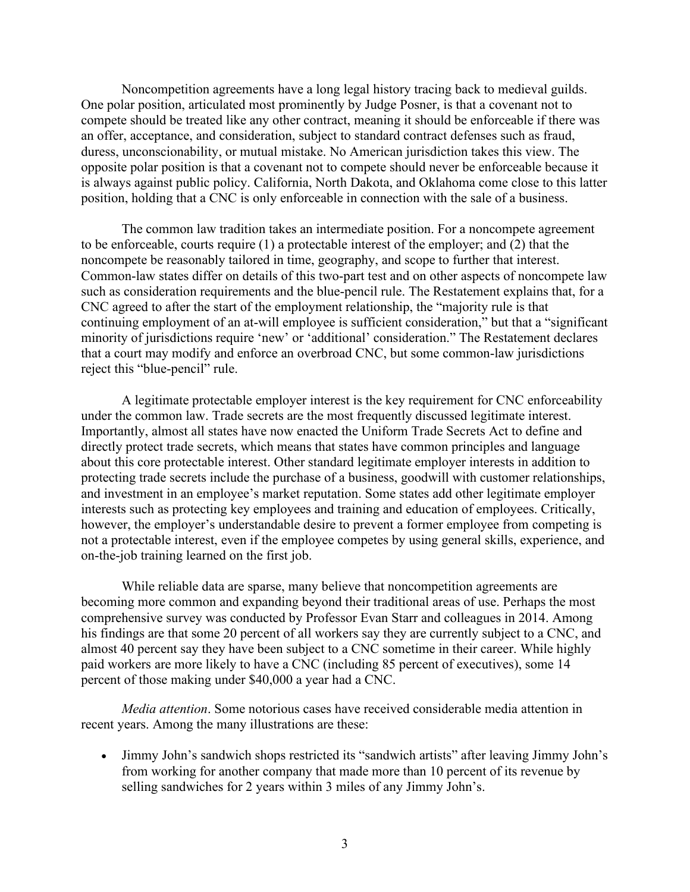Noncompetition agreements have a long legal history tracing back to medieval guilds. One polar position, articulated most prominently by Judge Posner, is that a covenant not to compete should be treated like any other contract, meaning it should be enforceable if there was an offer, acceptance, and consideration, subject to standard contract defenses such as fraud, duress, unconscionability, or mutual mistake. No American jurisdiction takes this view. The opposite polar position is that a covenant not to compete should never be enforceable because it is always against public policy. California, North Dakota, and Oklahoma come close to this latter position, holding that a CNC is only enforceable in connection with the sale of a business.

 reject this "blue-pencil" rule. The common law tradition takes an intermediate position. For a noncompete agreement to be enforceable, courts require (1) a protectable interest of the employer; and (2) that the noncompete be reasonably tailored in time, geography, and scope to further that interest. Common-law states differ on details of this two-part test and on other aspects of noncompete law such as consideration requirements and the blue-pencil rule. The Restatement explains that, for a CNC agreed to after the start of the employment relationship, the "majority rule is that continuing employment of an at-will employee is sufficient consideration," but that a "significant minority of jurisdictions require 'new' or 'additional' consideration." The Restatement declares that a court may modify and enforce an overbroad CNC, but some common-law jurisdictions

 protecting trade secrets include the purchase of a business, goodwill with customer relationships, however, the employer's understandable desire to prevent a former employee from competing is A legitimate protectable employer interest is the key requirement for CNC enforceability under the common law. Trade secrets are the most frequently discussed legitimate interest. Importantly, almost all states have now enacted the Uniform Trade Secrets Act to define and directly protect trade secrets, which means that states have common principles and language about this core protectable interest. Other standard legitimate employer interests in addition to and investment in an employee's market reputation. Some states add other legitimate employer interests such as protecting key employees and training and education of employees. Critically, not a protectable interest, even if the employee competes by using general skills, experience, and on-the-job training learned on the first job.

While reliable data are sparse, many believe that noncompetition agreements are becoming more common and expanding beyond their traditional areas of use. Perhaps the most comprehensive survey was conducted by Professor Evan Starr and colleagues in 2014. Among his findings are that some 20 percent of all workers say they are currently subject to a CNC, and almost 40 percent say they have been subject to a CNC sometime in their career. While highly paid workers are more likely to have a CNC (including 85 percent of executives), some 14 percent of those making under \$40,000 a year had a CNC.

*Media attention*. Some notorious cases have received considerable media attention in recent years. Among the many illustrations are these:

• Jimmy John's sandwich shops restricted its "sandwich artists" after leaving Jimmy John's from working for another company that made more than 10 percent of its revenue by selling sandwiches for 2 years within 3 miles of any Jimmy John's.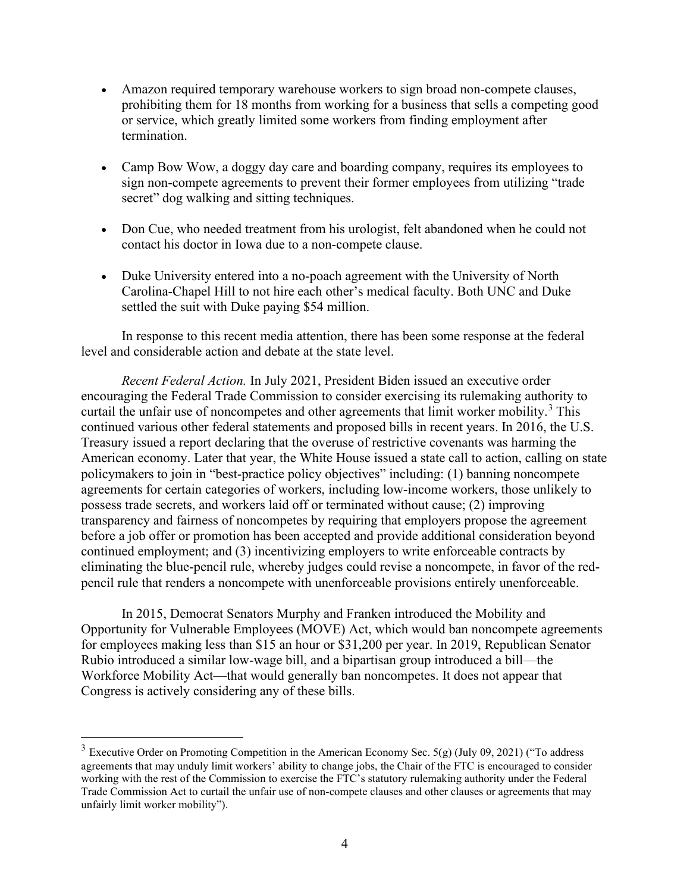- Amazon required temporary warehouse workers to sign broad non-compete clauses, prohibiting them for 18 months from working for a business that sells a competing good or service, which greatly limited some workers from finding employment after termination.
- Camp Bow Wow, a doggy day care and boarding company, requires its employees to sign non-compete agreements to prevent their former employees from utilizing "trade secret" dog walking and sitting techniques.
- Don Cue, who needed treatment from his urologist, felt abandoned when he could not contact his doctor in Iowa due to a non-compete clause.
- Duke University entered into a no-poach agreement with the University of North Carolina-Chapel Hill to not hire each other's medical faculty. Both UNC and Duke settled the suit with Duke paying \$54 million.

In response to this recent media attention, there has been some response at the federal level and considerable action and debate at the state level.

 transparency and fairness of noncompetes by requiring that employers propose the agreement *Recent Federal Action.* In July 2021, President Biden issued an executive order encouraging the Federal Trade Commission to consider exercising its rulemaking authority to curtail the unfair use of noncompetes and other agreements that limit worker mobility.<sup>3</sup> This continued various other federal statements and proposed bills in recent years. In 2016, the U.S. Treasury issued a report declaring that the overuse of restrictive covenants was harming the American economy. Later that year, the White House issued a state call to action, calling on state policymakers to join in "best-practice policy objectives" including: (1) banning noncompete agreements for certain categories of workers, including low-income workers, those unlikely to possess trade secrets, and workers laid off or terminated without cause; (2) improving before a job offer or promotion has been accepted and provide additional consideration beyond continued employment; and (3) incentivizing employers to write enforceable contracts by eliminating the blue-pencil rule, whereby judges could revise a noncompete, in favor of the redpencil rule that renders a noncompete with unenforceable provisions entirely unenforceable.

In 2015, Democrat Senators Murphy and Franken introduced the Mobility and Opportunity for Vulnerable Employees (MOVE) Act, which would ban noncompete agreements for employees making less than \$15 an hour or \$31,200 per year. In 2019, Republican Senator Rubio introduced a similar low-wage bill, and a bipartisan group introduced a bill—the Workforce Mobility Act—that would generally ban noncompetes. It does not appear that Congress is actively considering any of these bills.

<span id="page-7-0"></span> Trade Commission Act to curtail the unfair use of non-compete clauses and other clauses or agreements that may <sup>3</sup> Executive Order on Promoting Competition in the American Economy Sec. 5(g) (July 09, 2021) ("To address agreements that may unduly limit workers' ability to change jobs, the Chair of the FTC is encouraged to consider working with the rest of the Commission to exercise the FTC's statutory rulemaking authority under the Federal unfairly limit worker mobility").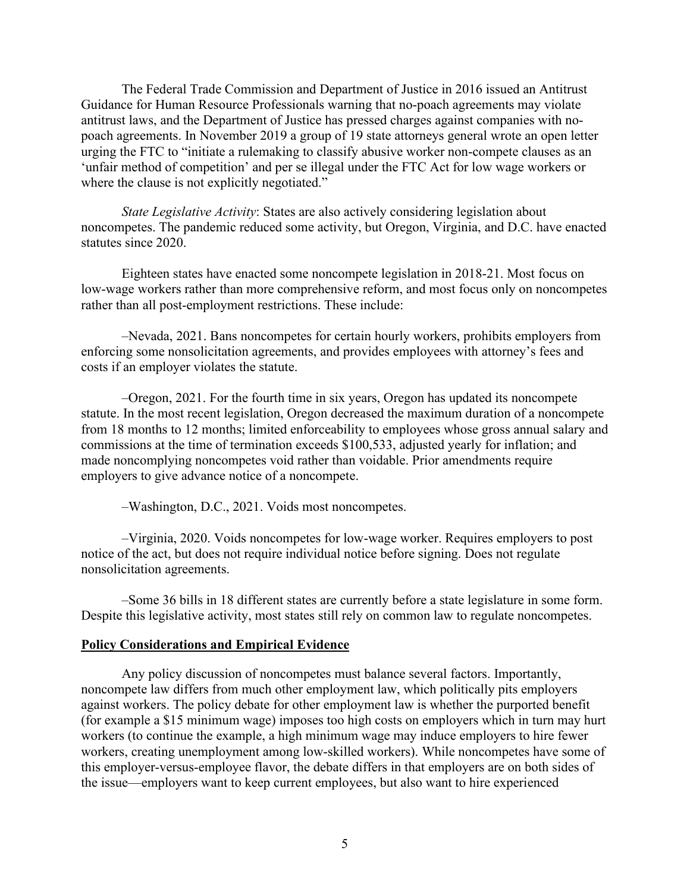antitrust laws, and the Department of Justice has pressed charges against companies with no- urging the FTC to "initiate a rulemaking to classify abusive worker non-compete clauses as an The Federal Trade Commission and Department of Justice in 2016 issued an Antitrust Guidance for Human Resource Professionals warning that no-poach agreements may violate poach agreements. In November 2019 a group of 19 state attorneys general wrote an open letter 'unfair method of competition' and per se illegal under the FTC Act for low wage workers or where the clause is not explicitly negotiated."

*State Legislative Activity*: States are also actively considering legislation about noncompetes. The pandemic reduced some activity, but Oregon, Virginia, and D.C. have enacted statutes since 2020.

 Eighteen states have enacted some noncompete legislation in 2018-21. Most focus on low-wage workers rather than more comprehensive reform, and most focus only on noncompetes rather than all post-employment restrictions. These include:

‒Nevada, 2021. Bans noncompetes for certain hourly workers, prohibits employers from enforcing some nonsolicitation agreements, and provides employees with attorney's fees and costs if an employer violates the statute.

‒Oregon, 2021. For the fourth time in six years, Oregon has updated its noncompete statute. In the most recent legislation, Oregon decreased the maximum duration of a noncompete from 18 months to 12 months; limited enforceability to employees whose gross annual salary and commissions at the time of termination exceeds \$100,533, adjusted yearly for inflation; and made noncomplying noncompetes void rather than voidable. Prior amendments require employers to give advance notice of a noncompete.

‒Washington, D.C., 2021. Voids most noncompetes.

‒Virginia, 2020. Voids noncompetes for low-wage worker. Requires employers to post notice of the act, but does not require individual notice before signing. Does not regulate nonsolicitation agreements.

‒Some 36 bills in 18 different states are currently before a state legislature in some form. Despite this legislative activity, most states still rely on common law to regulate noncompetes.

## **Policy Considerations and Empirical Evidence**

 against workers. The policy debate for other employment law is whether the purported benefit Any policy discussion of noncompetes must balance several factors. Importantly, noncompete law differs from much other employment law, which politically pits employers (for example a \$15 minimum wage) imposes too high costs on employers which in turn may hurt workers (to continue the example, a high minimum wage may induce employers to hire fewer workers, creating unemployment among low-skilled workers). While noncompetes have some of this employer-versus-employee flavor, the debate differs in that employers are on both sides of the issue—employers want to keep current employees, but also want to hire experienced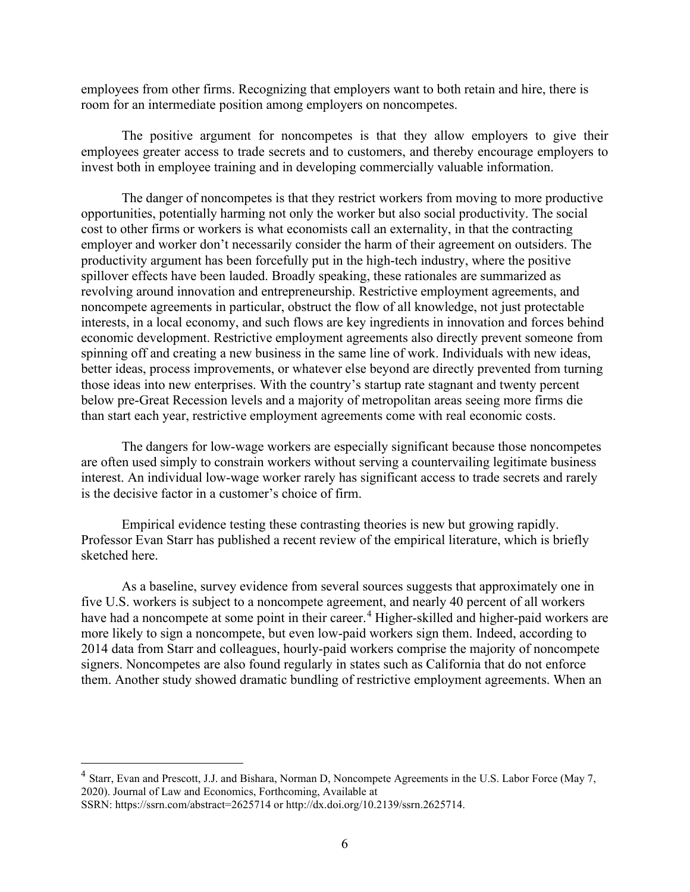employees from other firms. Recognizing that employers want to both retain and hire, there is room for an intermediate position among employers on noncompetes.

The positive argument for noncompetes is that they allow employers to give their employees greater access to trade secrets and to customers, and thereby encourage employers to invest both in employee training and in developing commercially valuable information.

 economic development. Restrictive employment agreements also directly prevent someone from The danger of noncompetes is that they restrict workers from moving to more productive opportunities, potentially harming not only the worker but also social productivity. The social cost to other firms or workers is what economists call an externality, in that the contracting employer and worker don't necessarily consider the harm of their agreement on outsiders. The productivity argument has been forcefully put in the high-tech industry, where the positive spillover effects have been lauded. Broadly speaking, these rationales are summarized as revolving around innovation and entrepreneurship. Restrictive employment agreements, and noncompete agreements in particular, obstruct the flow of all knowledge, not just protectable interests, in a local economy, and such flows are key ingredients in innovation and forces behind spinning off and creating a new business in the same line of work. Individuals with new ideas, better ideas, process improvements, or whatever else beyond are directly prevented from turning those ideas into new enterprises. With the country's startup rate stagnant and twenty percent below pre-Great Recession levels and a majority of metropolitan areas seeing more firms die than start each year, restrictive employment agreements come with real economic costs.

The dangers for low-wage workers are especially significant because those noncompetes are often used simply to constrain workers without serving a countervailing legitimate business interest. An individual low-wage worker rarely has significant access to trade secrets and rarely is the decisive factor in a customer's choice of firm.

sketched here. Empirical evidence testing these contrasting theories is new but growing rapidly. Professor Evan Starr has published a recent review of the empirical literature, which is briefly

 five U.S. workers is subject to a noncompete agreement, and nearly 40 percent of all workers As a baseline, survey evidence from several sources suggests that approximately one in have had a noncompete at some point in their career.<sup>[4](#page-9-0)</sup> Higher-skilled and higher-paid workers are more likely to sign a noncompete, but even low-paid workers sign them. Indeed, according to 2014 data from Starr and colleagues, hourly-paid workers comprise the majority of noncompete signers. Noncompetes are also found regularly in states such as California that do not enforce them. Another study showed dramatic bundling of restrictive employment agreements. When an

<span id="page-9-0"></span><sup>&</sup>lt;sup>4</sup> Starr, Evan and Prescott, J.J. and Bishara, Norman D, Noncompete Agreements in the U.S. Labor Force (May 7, 2020). Journal of Law and Economics, Forthcoming, Available at

 SSRN:<https://ssrn.com/abstract=2625714>o[r http://dx.doi.org/10.2139/ssrn.2625714.](https://dx.doi.org/10.2139/ssrn.2625714)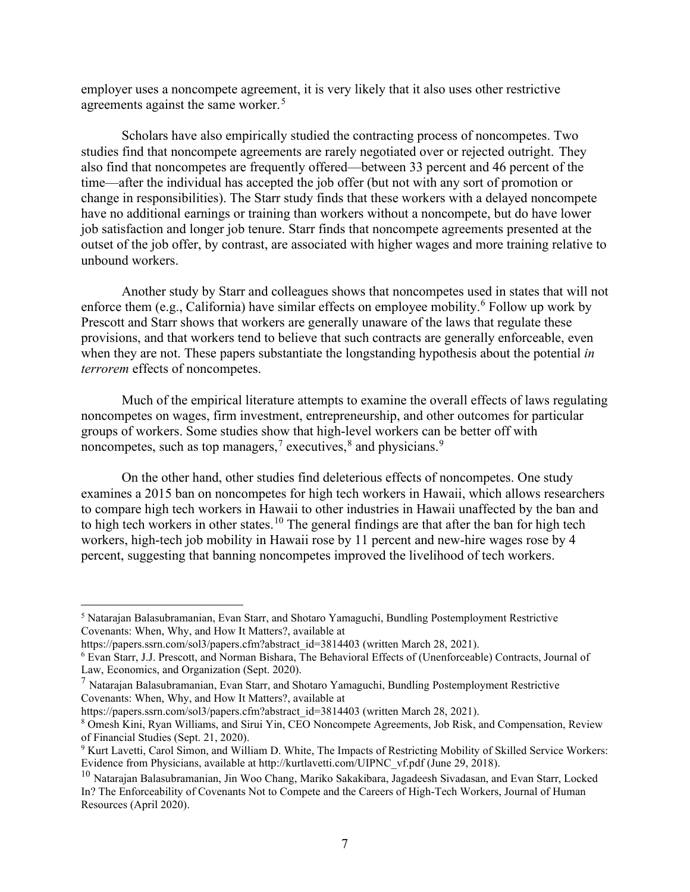employer uses a noncompete agreement, it is very likely that it also uses other restrictive agreements against the same worker.<sup>5</sup>

 job satisfaction and longer job tenure. Starr finds that noncompete agreements presented at the Scholars have also empirically studied the contracting process of noncompetes. Two studies find that noncompete agreements are rarely negotiated over or rejected outright. They also find that noncompetes are frequently offered—between 33 percent and 46 percent of the time—after the individual has accepted the job offer (but not with any sort of promotion or change in responsibilities). The Starr study finds that these workers with a delayed noncompete have no additional earnings or training than workers without a noncompete, but do have lower outset of the job offer, by contrast, are associated with higher wages and more training relative to unbound workers.

 provisions, and that workers tend to believe that such contracts are generally enforceable, even Another study by Starr and colleagues shows that noncompetes used in states that will not enforce them (e.g., California) have similar effects on employee mobility.<sup>[6](#page-10-1)</sup> Follow up work by Prescott and Starr shows that workers are generally unaware of the laws that regulate these when they are not. These papers substantiate the longstanding hypothesis about the potential *in terrorem* effects of noncompetes.

Much of the empirical literature attempts to examine the overall effects of laws regulating noncompetes on wages, firm investment, entrepreneurship, and other outcomes for particular groups of workers. Some studies show that high-level workers can be better off with noncompetes, such as top managers,<sup>[7](#page-10-2)</sup> executives,<sup>[8](#page-10-3)</sup> and physicians.<sup>9</sup>

On the other hand, other studies find deleterious effects of noncompetes. One study examines a 2015 ban on noncompetes for high tech workers in Hawaii, which allows researchers to compare high tech workers in Hawaii to other industries in Hawaii unaffected by the ban and to high tech workers in other states.<sup>10</sup> The general findings are that after the ban for high tech workers, high-tech job mobility in Hawaii rose by 11 percent and new-hire wages rose by 4 percent, suggesting that banning noncompetes improved the livelihood of tech workers.

<span id="page-10-0"></span><sup>5</sup> Natarajan Balasubramanian, Evan Starr, and Shotaro Yamaguchi, Bundling Postemployment Restrictive Covenants: When, Why, and How It Matters?, available at https://papers.ssrn.com/sol3/papers.cfm?abstract id=3814403 (written March 28, 2021).

<span id="page-10-1"></span> $6$  Evan Starr, J.J. Prescott, and Norman Bishara, The Behavioral Effects of (Unenforceable) Contracts, Journal of Law, Economics, and Organization (Sept. 2020).

<span id="page-10-2"></span> $<sup>7</sup>$  Natarajan Balasubramanian, Evan Starr, and Shotaro Yamaguchi, Bundling Postemployment Restrictive</sup> Covenants: When, Why, and How It Matters?, available at

<span id="page-10-3"></span>[https://papers.ssrn.com/sol3/papers.cfm?abstract\\_id=3814403](https://papers.ssrn.com/sol3/papers.cfm?abstract_id=3814403) (written March 28, 2021).<br><sup>8</sup> Omesh Kini, Ryan Williams, and Sirui Yin, CEO Noncompete Agreements, Job Risk, and Compensation, Review of Financial Studies (Sept. 21, 2020).

<span id="page-10-4"></span><sup>&</sup>lt;sup>9</sup> Kurt Lavetti, Carol Simon, and William D. White, The Impacts of Restricting Mobility of Skilled Service Workers: Evidence from Physicians, available at [http://kurtlavetti.com/UIPNC\\_vf.pdf](http://kurtlavetti.com/UIPNC_vf.pdf) (June 29, 2018).

<span id="page-10-5"></span><sup>&</sup>lt;sup>10</sup> Natarajan Balasubramanian, Jin Woo Chang, Mariko Sakakibara, Jagadeesh Sivadasan, and Evan Starr, Locked In? The Enforceability of Covenants Not to Compete and the Careers of High-Tech Workers, Journal of Human Resources (April 2020).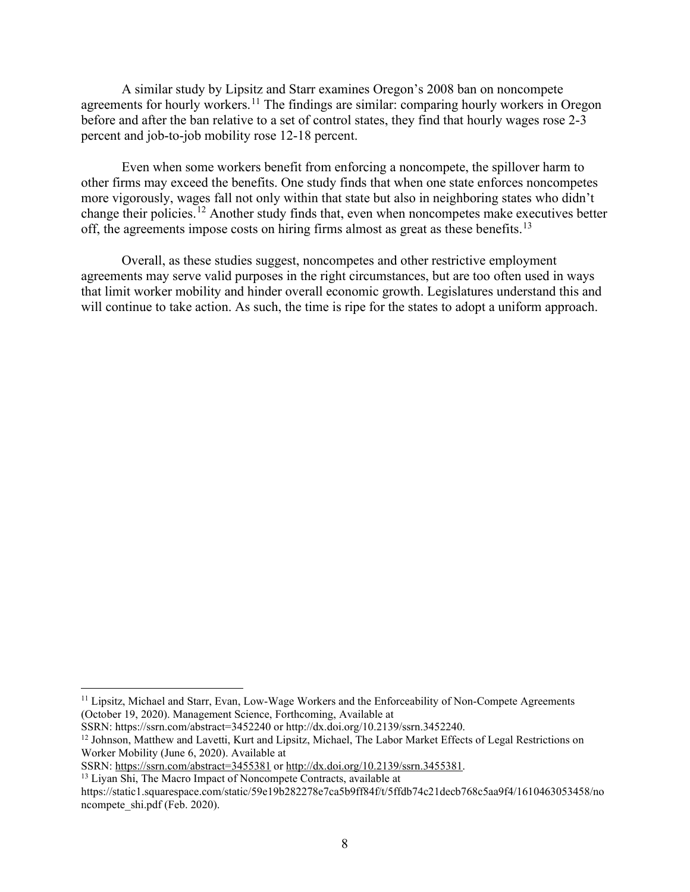A similar study by Lipsitz and Starr examines Oregon's 2008 ban on noncompete agreements for hourly workers.<sup>[11](#page-11-0)</sup> The findings are similar: comparing hourly workers in Oregon before and after the ban relative to a set of control states, they find that hourly wages rose 2-3 percent and job-to-job mobility rose 12-18 percent.

off, the agreements impose costs on hiring firms almost as great as these benefits.<sup>[13](#page-11-2)</sup> Even when some workers benefit from enforcing a noncompete, the spillover harm to other firms may exceed the benefits. One study finds that when one state enforces noncompetes more vigorously, wages fall not only within that state but also in neighboring states who didn't change their policies.[12](#page-11-1) Another study finds that, even when noncompetes make executives better

Overall, as these studies suggest, noncompetes and other restrictive employment agreements may serve valid purposes in the right circumstances, but are too often used in ways that limit worker mobility and hinder overall economic growth. Legislatures understand this and will continue to take action. As such, the time is ripe for the states to adopt a uniform approach.

<span id="page-11-0"></span><sup>&</sup>lt;sup>11</sup> Lipsitz, Michael and Starr, Evan, Low-Wage Workers and the Enforceability of Non-Compete Agreements (October 19, 2020). Management Science, Forthcoming, Available at

<span id="page-11-1"></span>SSRN: https://ssrn.com/abstract=3452240 or http://dx.doi.org/10.2139/ssrn.3452240.  $12$  Johnson, Matthew and Lavetti, Kurt and Lipsitz, Michael, The Labor Market Effects of Legal Restrictions on Worker Mobility (June 6, 2020). Available at

<span id="page-11-2"></span>SSRN: [https://ssrn.com/abstract=3455381 o](https://ssrn.com/abstract=3455381)[r http://dx.doi.org/10.2139/ssrn.3455381.](https://dx.doi.org/10.2139/ssrn.3455381)<br><sup>13</sup> Liyan Shi, The Macro Impact of Noncompete Contracts, available at

<https://static1.squarespace.com/static/59e19b282278e7ca5b9ff84f/t/5ffdb74c21decb768c5aa9f4/1610463053458/no> ncompete\_shi.pdf (Feb. 2020).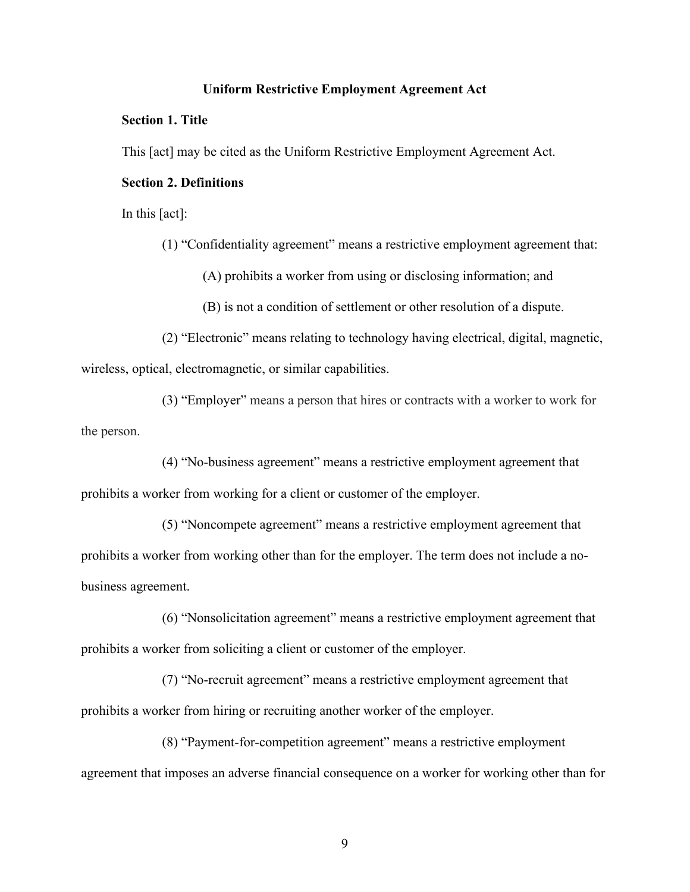#### <span id="page-12-0"></span>**Section 1. Title**

This [act] may be cited as the Uniform Restrictive Employment Agreement Act.

## <span id="page-12-1"></span>**Section 2. Definitions**

In this [act]:

(1) "Confidentiality agreement" means a restrictive employment agreement that:

(A) prohibits a worker from using or disclosing information; and

- (B) is not a condition of settlement or other resolution of a dispute.
- (2) "Electronic" means relating to technology having electrical, digital, magnetic, wireless, optical, electromagnetic, or similar capabilities.

(3) "Employer" means a person that hires or contracts with a worker to work for the person.

- (4) "No-business agreement" means a restrictive employment agreement that prohibits a worker from working for a client or customer of the employer.
- (5) "Noncompete agreement" means a restrictive employment agreement that prohibits a worker from working other than for the employer. The term does not include a nobusiness agreement.

(6) "Nonsolicitation agreement" means a restrictive employment agreement that prohibits a worker from soliciting a client or customer of the employer.

 prohibits a worker from hiring or recruiting another worker of the employer. (7) "No-recruit agreement" means a restrictive employment agreement that

 agreement that imposes an adverse financial consequence on a worker for working other than for (8) "Payment-for-competition agreement" means a restrictive employment

9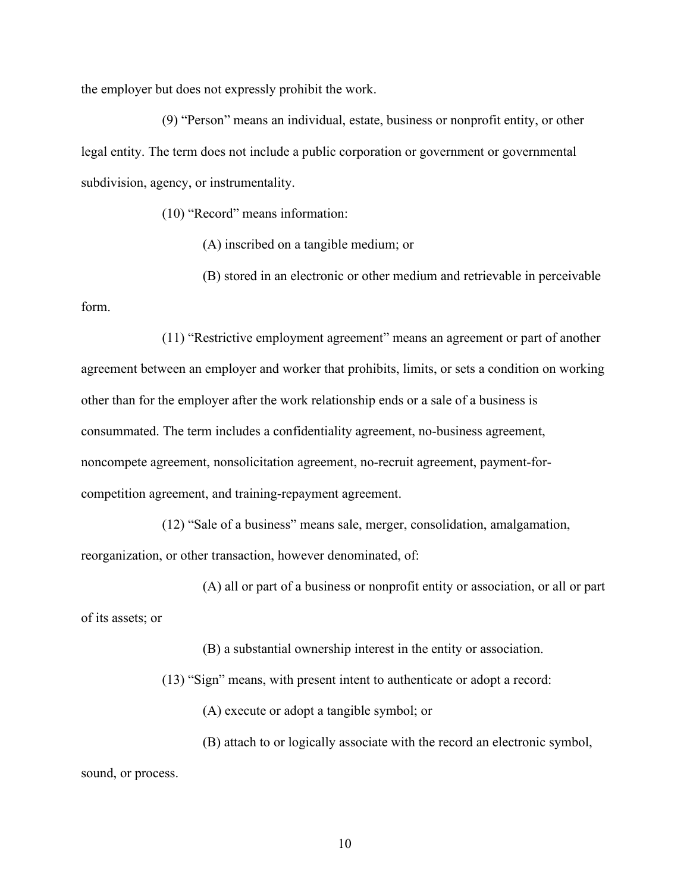the employer but does not expressly prohibit the work.

(9) "Person" means an individual, estate, business or nonprofit entity, or other legal entity. The term does not include a public corporation or government or governmental subdivision, agency, or instrumentality.

(10) "Record" means information:

(A) inscribed on a tangible medium; or

(B) stored in an electronic or other medium and retrievable in perceivable form.

 other than for the employer after the work relationship ends or a sale of a business is competition agreement, and training-repayment agreement. (11) "Restrictive employment agreement" means an agreement or part of another agreement between an employer and worker that prohibits, limits, or sets a condition on working consummated. The term includes a confidentiality agreement, no-business agreement, noncompete agreement, nonsolicitation agreement, no-recruit agreement, payment-for-

reorganization, or other transaction, however denominated, of: (12) "Sale of a business" means sale, merger, consolidation, amalgamation,

 of its assets; or  $(A)$  all or part of a business or nonprofit entity or association, or all or part

(B) a substantial ownership interest in the entity or association.

(13) "Sign" means, with present intent to authenticate or adopt a record:

(A) execute or adopt a tangible symbol; or

(B) attach to or logically associate with the record an electronic symbol, sound, or process.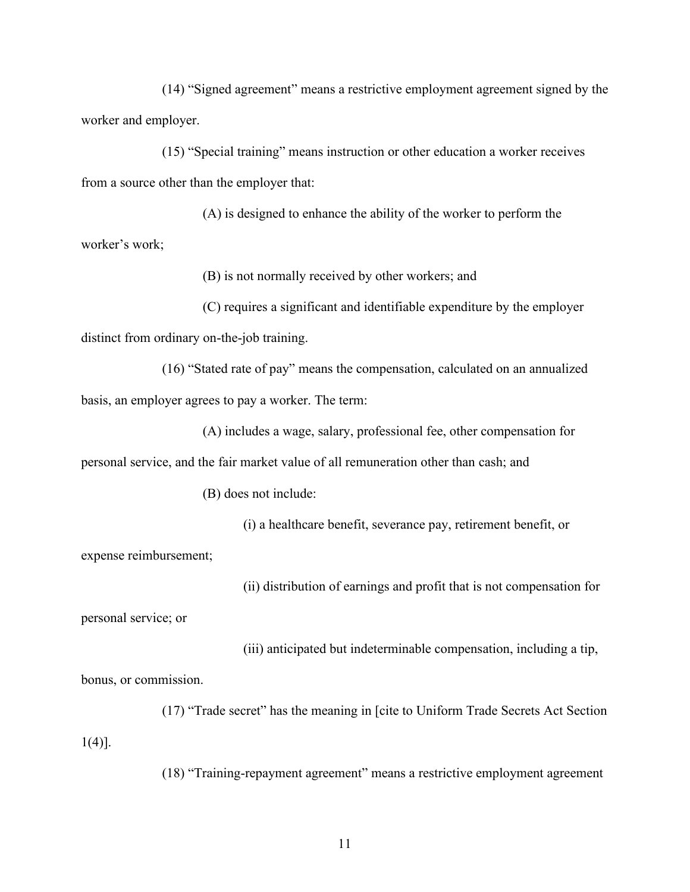(14) "Signed agreement" means a restrictive employment agreement signed by the worker and employer.

from a source other than the employer that: (15) "Special training" means instruction or other education a worker receives

worker's work;  $f(A)$  is designed to enhance the ability of the worker to perform the

(B) is not normally received by other workers; and

(C) requires a significant and identifiable expenditure by the employer distinct from ordinary on-the-job training.

 basis, an employer agrees to pay a worker. The term: (16) "Stated rate of pay" means the compensation, calculated on an annualized

(A) includes a wage, salary, professional fee, other compensation for

personal service, and the fair market value of all remuneration other than cash; and

(B) does not include:

(i) a healthcare benefit, severance pay, retirement benefit, or

expense reimbursement;

(ii) distribution of earnings and profit that is not compensation for

personal service; or

(iii) anticipated but indeterminable compensation, including a tip,

bonus, or commission.

 $1(4)$ . (17) "Trade secret" has the meaning in [cite to Uniform Trade Secrets Act Section

1(4)]. (18) "Training-repayment agreement" means a restrictive employment agreement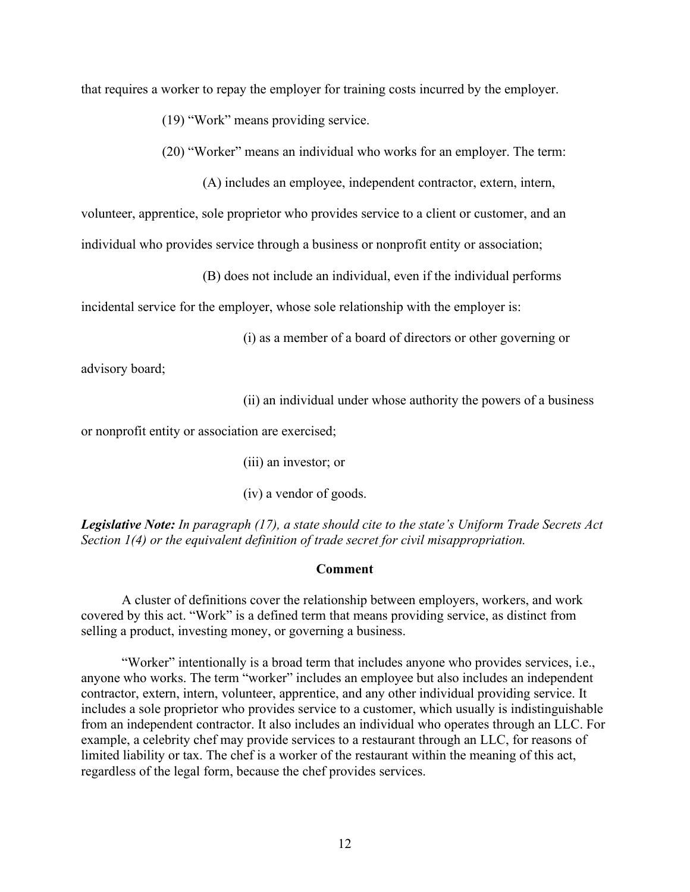that requires a worker to repay the employer for training costs incurred by the employer.

(19) "Work" means providing service.

(20) "Worker" means an individual who works for an employer. The term:

(A) includes an employee, independent contractor, extern, intern,

volunteer, apprentice, sole proprietor who provides service to a client or customer, and an

individual who provides service through a business or nonprofit entity or association;

(B) does not include an individual, even if the individual performs

incidental service for the employer, whose sole relationship with the employer is:

(i) as a member of a board of directors or other governing or

advisory board;

 $(ii)$  an individual under whose authority the powers of a business

or nonprofit entity or association are exercised;

(iii) an investor; or

(iv) a vendor of goods.

*Legislative Note: In paragraph (17), a state should cite to the state's Uniform Trade Secrets Act Section 1(4) or the equivalent definition of trade secret for civil misappropriation.* 

## **Comment**

A cluster of definitions cover the relationship between employers, workers, and work covered by this act. "Work" is a defined term that means providing service, as distinct from selling a product, investing money, or governing a business.

 example, a celebrity chef may provide services to a restaurant through an LLC, for reasons of limited liability or tax. The chef is a worker of the restaurant within the meaning of this act, "Worker" intentionally is a broad term that includes anyone who provides services, i.e., anyone who works. The term "worker" includes an employee but also includes an independent contractor, extern, intern, volunteer, apprentice, and any other individual providing service. It includes a sole proprietor who provides service to a customer, which usually is indistinguishable from an independent contractor. It also includes an individual who operates through an LLC. For regardless of the legal form, because the chef provides services.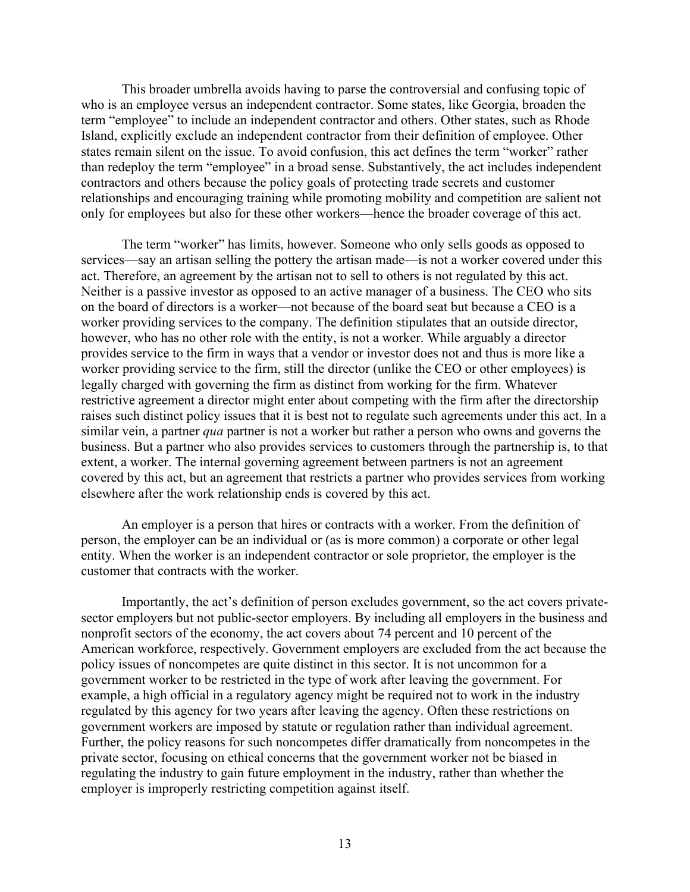This broader umbrella avoids having to parse the controversial and confusing topic of who is an employee versus an independent contractor. Some states, like Georgia, broaden the term "employee" to include an independent contractor and others. Other states, such as Rhode Island, explicitly exclude an independent contractor from their definition of employee. Other states remain silent on the issue. To avoid confusion, this act defines the term "worker" rather than redeploy the term "employee" in a broad sense. Substantively, the act includes independent contractors and others because the policy goals of protecting trade secrets and customer relationships and encouraging training while promoting mobility and competition are salient not

 only for employees but also for these other workers—hence the broader coverage of this act. The term "worker" has limits, however. Someone who only sells goods as opposed to restrictive agreement a director might enter about competing with the firm after the directorship services—say an artisan selling the pottery the artisan made—is not a worker covered under this act. Therefore, an agreement by the artisan not to sell to others is not regulated by this act. Neither is a passive investor as opposed to an active manager of a business. The CEO who sits on the board of directors is a worker—not because of the board seat but because a CEO is a worker providing services to the company. The definition stipulates that an outside director, however, who has no other role with the entity, is not a worker. While arguably a director provides service to the firm in ways that a vendor or investor does not and thus is more like a worker providing service to the firm, still the director (unlike the CEO or other employees) is legally charged with governing the firm as distinct from working for the firm. Whatever raises such distinct policy issues that it is best not to regulate such agreements under this act. In a similar vein, a partner *qua* partner is not a worker but rather a person who owns and governs the business. But a partner who also provides services to customers through the partnership is, to that extent, a worker. The internal governing agreement between partners is not an agreement covered by this act, but an agreement that restricts a partner who provides services from working elsewhere after the work relationship ends is covered by this act.

An employer is a person that hires or contracts with a worker. From the definition of person, the employer can be an individual or (as is more common) a corporate or other legal entity. When the worker is an independent contractor or sole proprietor, the employer is the customer that contracts with the worker.

employer is improperly restricting competition against itself.<br>13 Importantly, the act's definition of person excludes government, so the act covers privatesector employers but not public-sector employers. By including all employers in the business and nonprofit sectors of the economy, the act covers about 74 percent and 10 percent of the American workforce, respectively. Government employers are excluded from the act because the policy issues of noncompetes are quite distinct in this sector. It is not uncommon for a government worker to be restricted in the type of work after leaving the government. For example, a high official in a regulatory agency might be required not to work in the industry regulated by this agency for two years after leaving the agency. Often these restrictions on government workers are imposed by statute or regulation rather than individual agreement. Further, the policy reasons for such noncompetes differ dramatically from noncompetes in the private sector, focusing on ethical concerns that the government worker not be biased in regulating the industry to gain future employment in the industry, rather than whether the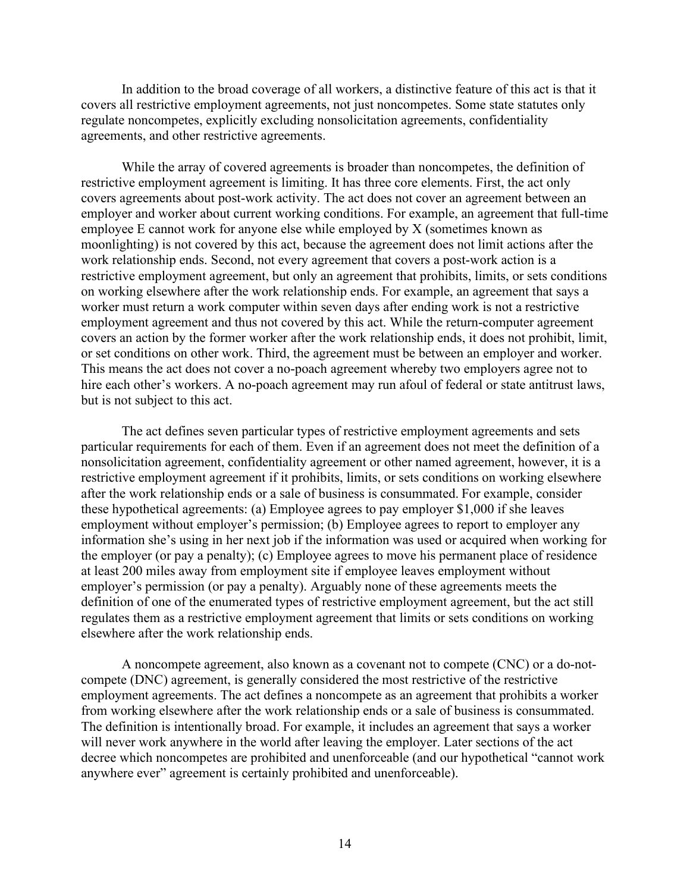agreements, and other restrictive agreements. In addition to the broad coverage of all workers, a distinctive feature of this act is that it covers all restrictive employment agreements, not just noncompetes. Some state statutes only regulate noncompetes, explicitly excluding nonsolicitation agreements, confidentiality

 restrictive employment agreement is limiting. It has three core elements. First, the act only This means the act does not cover a no-poach agreement whereby two employers agree not to While the array of covered agreements is broader than noncompetes, the definition of covers agreements about post-work activity. The act does not cover an agreement between an employer and worker about current working conditions. For example, an agreement that full-time employee E cannot work for anyone else while employed by X (sometimes known as moonlighting) is not covered by this act, because the agreement does not limit actions after the work relationship ends. Second, not every agreement that covers a post-work action is a restrictive employment agreement, but only an agreement that prohibits, limits, or sets conditions on working elsewhere after the work relationship ends. For example, an agreement that says a worker must return a work computer within seven days after ending work is not a restrictive employment agreement and thus not covered by this act. While the return-computer agreement covers an action by the former worker after the work relationship ends, it does not prohibit, limit, or set conditions on other work. Third, the agreement must be between an employer and worker. hire each other's workers. A no-poach agreement may run afoul of federal or state antitrust laws, but is not subject to this act.

elsewhere after the work relationship ends. The act defines seven particular types of restrictive employment agreements and sets particular requirements for each of them. Even if an agreement does not meet the definition of a nonsolicitation agreement, confidentiality agreement or other named agreement, however, it is a restrictive employment agreement if it prohibits, limits, or sets conditions on working elsewhere after the work relationship ends or a sale of business is consummated. For example, consider these hypothetical agreements: (a) Employee agrees to pay employer \$1,000 if she leaves employment without employer's permission; (b) Employee agrees to report to employer any information she's using in her next job if the information was used or acquired when working for the employer (or pay a penalty); (c) Employee agrees to move his permanent place of residence at least 200 miles away from employment site if employee leaves employment without employer's permission (or pay a penalty). Arguably none of these agreements meets the definition of one of the enumerated types of restrictive employment agreement, but the act still regulates them as a restrictive employment agreement that limits or sets conditions on working

 from working elsewhere after the work relationship ends or a sale of business is consummated. A noncompete agreement, also known as a covenant not to compete (CNC) or a do-notcompete (DNC) agreement, is generally considered the most restrictive of the restrictive employment agreements. The act defines a noncompete as an agreement that prohibits a worker The definition is intentionally broad. For example, it includes an agreement that says a worker will never work anywhere in the world after leaving the employer. Later sections of the act decree which noncompetes are prohibited and unenforceable (and our hypothetical "cannot work anywhere ever" agreement is certainly prohibited and unenforceable).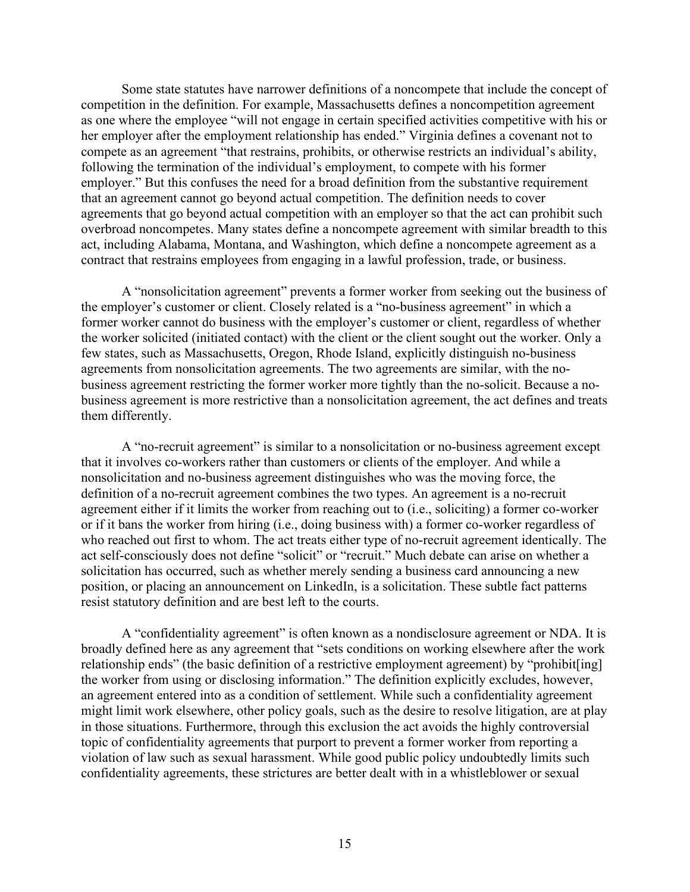compete as an agreement "that restrains, prohibits, or otherwise restricts an individual's ability, Some state statutes have narrower definitions of a noncompete that include the concept of competition in the definition. For example, Massachusetts defines a noncompetition agreement as one where the employee "will not engage in certain specified activities competitive with his or her employer after the employment relationship has ended." Virginia defines a covenant not to following the termination of the individual's employment, to compete with his former employer." But this confuses the need for a broad definition from the substantive requirement that an agreement cannot go beyond actual competition. The definition needs to cover agreements that go beyond actual competition with an employer so that the act can prohibit such overbroad noncompetes. Many states define a noncompete agreement with similar breadth to this act, including Alabama, Montana, and Washington, which define a noncompete agreement as a contract that restrains employees from engaging in a lawful profession, trade, or business.

 A "nonsolicitation agreement" prevents a former worker from seeking out the business of the employer's customer or client. Closely related is a "no-business agreement" in which a former worker cannot do business with the employer's customer or client, regardless of whether them differently. the worker solicited (initiated contact) with the client or the client sought out the worker. Only a few states, such as Massachusetts, Oregon, Rhode Island, explicitly distinguish no-business agreements from nonsolicitation agreements. The two agreements are similar, with the nobusiness agreement restricting the former worker more tightly than the no-solicit. Because a nobusiness agreement is more restrictive than a nonsolicitation agreement, the act defines and treats

 act self-consciously does not define "solicit" or "recruit." Much debate can arise on whether a A "no-recruit agreement" is similar to a nonsolicitation or no-business agreement except that it involves co-workers rather than customers or clients of the employer. And while a nonsolicitation and no-business agreement distinguishes who was the moving force, the definition of a no-recruit agreement combines the two types. An agreement is a no-recruit agreement either if it limits the worker from reaching out to (i.e., soliciting) a former co-worker or if it bans the worker from hiring (i.e., doing business with) a former co-worker regardless of who reached out first to whom. The act treats either type of no-recruit agreement identically. The solicitation has occurred, such as whether merely sending a business card announcing a new position, or placing an announcement on LinkedIn, is a solicitation. These subtle fact patterns resist statutory definition and are best left to the courts.

 topic of confidentiality agreements that purport to prevent a former worker from reporting a A "confidentiality agreement" is often known as a nondisclosure agreement or NDA. It is broadly defined here as any agreement that "sets conditions on working elsewhere after the work relationship ends" (the basic definition of a restrictive employment agreement) by "prohibit[ing] the worker from using or disclosing information." The definition explicitly excludes, however, an agreement entered into as a condition of settlement. While such a confidentiality agreement might limit work elsewhere, other policy goals, such as the desire to resolve litigation, are at play in those situations. Furthermore, through this exclusion the act avoids the highly controversial violation of law such as sexual harassment. While good public policy undoubtedly limits such confidentiality agreements, these strictures are better dealt with in a whistleblower or sexual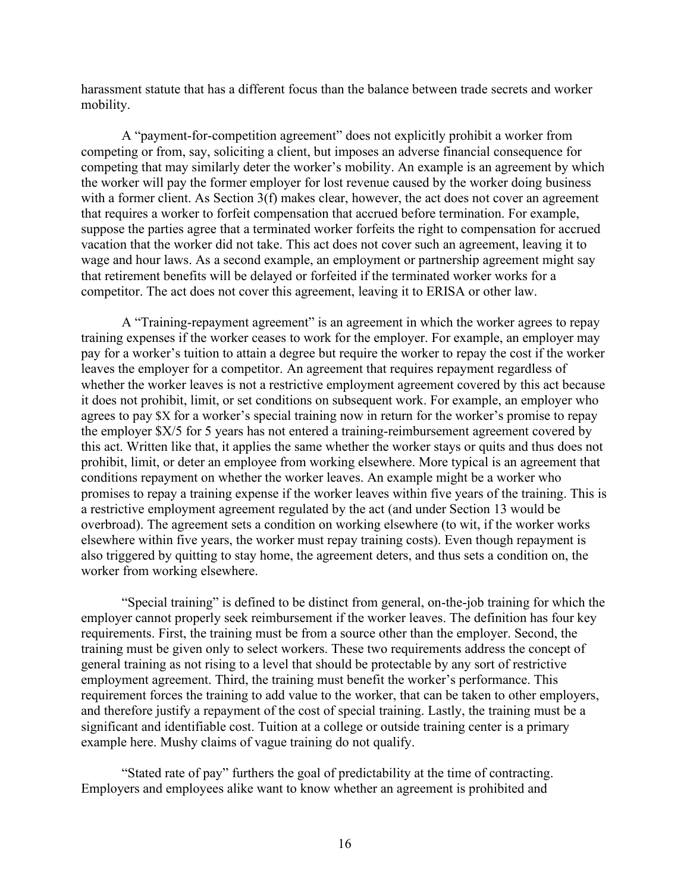harassment statute that has a different focus than the balance between trade secrets and worker mobility.

with a former client. As Section 3(f) makes clear, however, the act does not cover an agreement A "payment-for-competition agreement" does not explicitly prohibit a worker from competing or from, say, soliciting a client, but imposes an adverse financial consequence for competing that may similarly deter the worker's mobility. An example is an agreement by which the worker will pay the former employer for lost revenue caused by the worker doing business that requires a worker to forfeit compensation that accrued before termination. For example, suppose the parties agree that a terminated worker forfeits the right to compensation for accrued vacation that the worker did not take. This act does not cover such an agreement, leaving it to wage and hour laws. As a second example, an employment or partnership agreement might say that retirement benefits will be delayed or forfeited if the terminated worker works for a competitor. The act does not cover this agreement, leaving it to ERISA or other law.

 training expenses if the worker ceases to work for the employer. For example, an employer may promises to repay a training expense if the worker leaves within five years of the training. This is A "Training-repayment agreement" is an agreement in which the worker agrees to repay pay for a worker's tuition to attain a degree but require the worker to repay the cost if the worker leaves the employer for a competitor. An agreement that requires repayment regardless of whether the worker leaves is not a restrictive employment agreement covered by this act because it does not prohibit, limit, or set conditions on subsequent work. For example, an employer who agrees to pay \$X for a worker's special training now in return for the worker's promise to repay the employer \$X/5 for 5 years has not entered a training-reimbursement agreement covered by this act. Written like that, it applies the same whether the worker stays or quits and thus does not prohibit, limit, or deter an employee from working elsewhere. More typical is an agreement that conditions repayment on whether the worker leaves. An example might be a worker who a restrictive employment agreement regulated by the act (and under Section 13 would be overbroad). The agreement sets a condition on working elsewhere (to wit, if the worker works elsewhere within five years, the worker must repay training costs). Even though repayment is also triggered by quitting to stay home, the agreement deters, and thus sets a condition on, the worker from working elsewhere.

"Special training" is defined to be distinct from general, on-the-job training for which the employer cannot properly seek reimbursement if the worker leaves. The definition has four key requirements. First, the training must be from a source other than the employer. Second, the training must be given only to select workers. These two requirements address the concept of general training as not rising to a level that should be protectable by any sort of restrictive employment agreement. Third, the training must benefit the worker's performance. This requirement forces the training to add value to the worker, that can be taken to other employers, and therefore justify a repayment of the cost of special training. Lastly, the training must be a significant and identifiable cost. Tuition at a college or outside training center is a primary example here. Mushy claims of vague training do not qualify.

"Stated rate of pay" furthers the goal of predictability at the time of contracting. Employers and employees alike want to know whether an agreement is prohibited and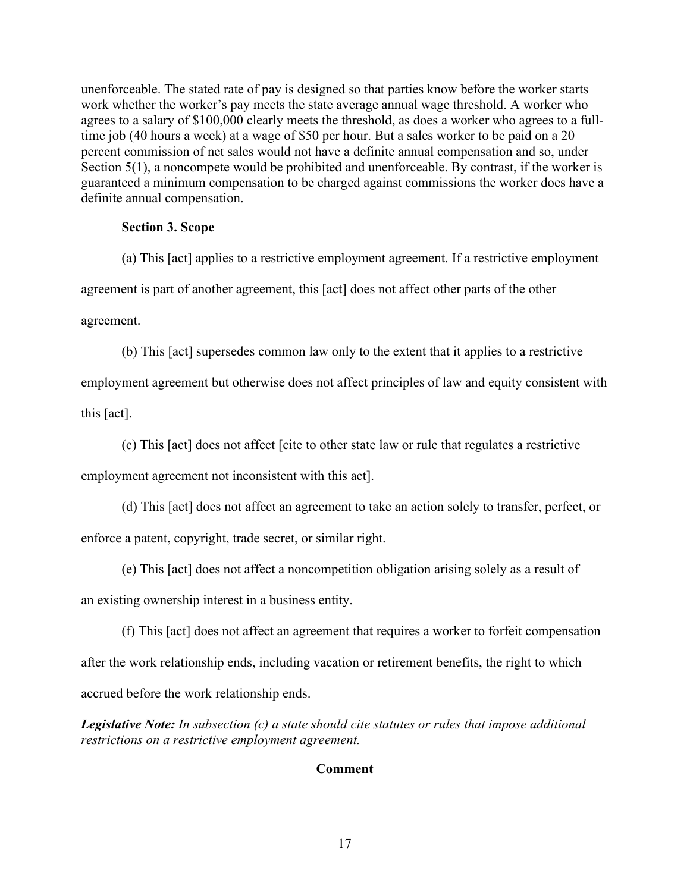unenforceable. The stated rate of pay is designed so that parties know before the worker starts work whether the worker's pay meets the state average annual wage threshold. A worker who agrees to a salary of \$100,000 clearly meets the threshold, as does a worker who agrees to a fulltime job (40 hours a week) at a wage of \$50 per hour. But a sales worker to be paid on a 20 percent commission of net sales would not have a definite annual compensation and so, under Section 5(1), a noncompete would be prohibited and unenforceable. By contrast, if the worker is guaranteed a minimum compensation to be charged against commissions the worker does have a definite annual compensation.

## <span id="page-20-0"></span>**Section 3. Scope**

 agreement is part of another agreement, this [act] does not affect other parts of the other (a) This [act] applies to a restrictive employment agreement. If a restrictive employment agreement.

(b) This [act] supersedes common law only to the extent that it applies to a restrictive

employment agreement but otherwise does not affect principles of law and equity consistent with this [act].

(c) This [act] does not affect [cite to other state law or rule that regulates a restrictive

employment agreement not inconsistent with this act].

(d) This [act] does not affect an agreement to take an action solely to transfer, perfect, or enforce a patent, copyright, trade secret, or similar right.

 (e) This [act] does not affect a noncompetition obligation arising solely as a result of an existing ownership interest in a business entity.

(f) This [act] does not affect an agreement that requires a worker to forfeit compensation after the work relationship ends, including vacation or retirement benefits, the right to which accrued before the work relationship ends.

*Legislative Note: In subsection (c) a state should cite statutes or rules that impose additional restrictions on a restrictive employment agreement.* 

## **Comment**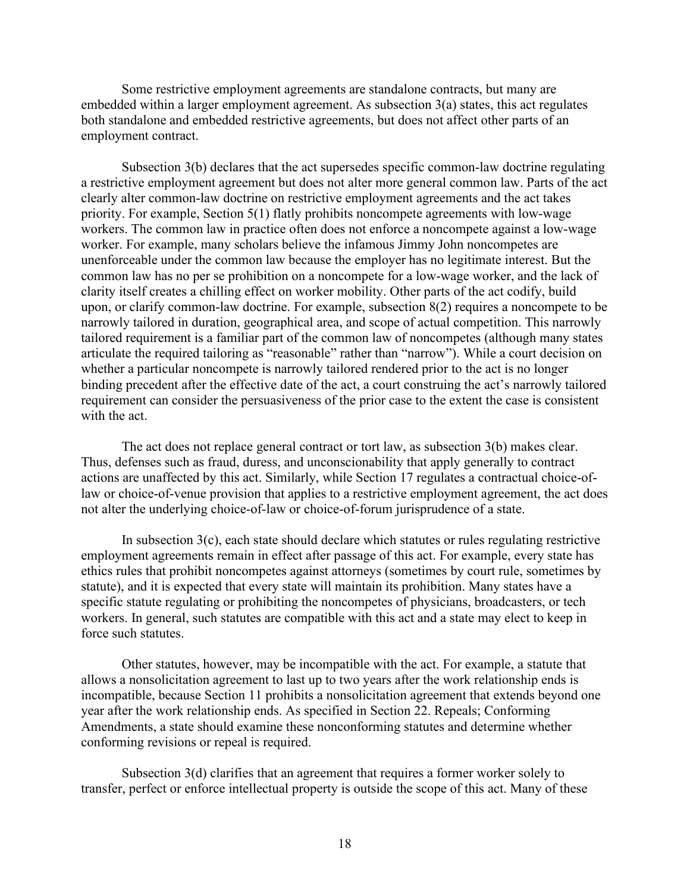both standalone and embedded restrictive agreements, but does not affect other parts of an Some restrictive employment agreements are standalone contracts, but many are embedded within a larger employment agreement. As subsection 3(a) states, this act regulates employment contract.

 workers. The common law in practice often does not enforce a noncompete against a low-wage requirement can consider the persuasiveness of the prior case to the extent the case is consistent Subsection 3(b) declares that the act supersedes specific common-law doctrine regulating a restrictive employment agreement but does not alter more general common law. Parts of the act clearly alter common-law doctrine on restrictive employment agreements and the act takes priority. For example, Section 5(1) flatly prohibits noncompete agreements with low-wage worker. For example, many scholars believe the infamous Jimmy John noncompetes are unenforceable under the common law because the employer has no legitimate interest. But the common law has no per se prohibition on a noncompete for a low-wage worker, and the lack of clarity itself creates a chilling effect on worker mobility. Other parts of the act codify, build upon, or clarify common-law doctrine. For example, subsection 8(2) requires a noncompete to be narrowly tailored in duration, geographical area, and scope of actual competition. This narrowly tailored requirement is a familiar part of the common law of noncompetes (although many states articulate the required tailoring as "reasonable" rather than "narrow"). While a court decision on whether a particular noncompete is narrowly tailored rendered prior to the act is no longer binding precedent after the effective date of the act, a court construing the act's narrowly tailored with the act.

 law or choice-of-venue provision that applies to a restrictive employment agreement, the act does not alter the underlying choice-of-law or choice-of-forum jurisprudence of a state. The act does not replace general contract or tort law, as subsection 3(b) makes clear. Thus, defenses such as fraud, duress, and unconscionability that apply generally to contract actions are unaffected by this act. Similarly, while Section 17 regulates a contractual choice-of-

force such statutes. In subsection  $3(c)$ , each state should declare which statutes or rules regulating restrictive employment agreements remain in effect after passage of this act. For example, every state has ethics rules that prohibit noncompetes against attorneys (sometimes by court rule, sometimes by statute), and it is expected that every state will maintain its prohibition. Many states have a specific statute regulating or prohibiting the noncompetes of physicians, broadcasters, or tech workers. In general, such statutes are compatible with this act and a state may elect to keep in

force such statutes.<br>Other statutes, however, may be incompatible with the act. For example, a statute that allows a nonsolicitation agreement to last up to two years after the work relationship ends is incompatible, because Section 11 prohibits a nonsolicitation agreement that extends beyond one year after the work relationship ends. As specified in Section 22. Repeals; Conforming Amendments, a state should examine these nonconforming statutes and determine whether conforming revisions or repeal is required.

Subsection 3(d) clarifies that an agreement that requires a former worker solely to transfer, perfect or enforce intellectual property is outside the scope of this act. Many of these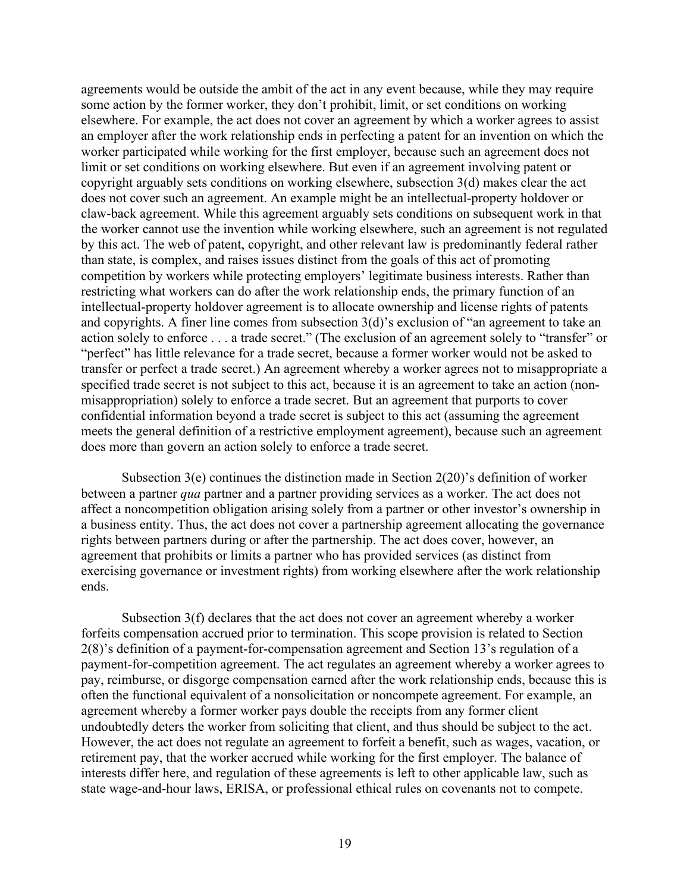elsewhere. For example, the act does not cover an agreement by which a worker agrees to assist agreements would be outside the ambit of the act in any event because, while they may require some action by the former worker, they don't prohibit, limit, or set conditions on working an employer after the work relationship ends in perfecting a patent for an invention on which the worker participated while working for the first employer, because such an agreement does not limit or set conditions on working elsewhere. But even if an agreement involving patent or copyright arguably sets conditions on working elsewhere, subsection 3(d) makes clear the act does not cover such an agreement. An example might be an intellectual-property holdover or claw-back agreement. While this agreement arguably sets conditions on subsequent work in that the worker cannot use the invention while working elsewhere, such an agreement is not regulated by this act. The web of patent, copyright, and other relevant law is predominantly federal rather than state, is complex, and raises issues distinct from the goals of this act of promoting competition by workers while protecting employers' legitimate business interests. Rather than restricting what workers can do after the work relationship ends, the primary function of an intellectual-property holdover agreement is to allocate ownership and license rights of patents and copyrights. A finer line comes from subsection 3(d)'s exclusion of "an agreement to take an action solely to enforce . . . a trade secret." (The exclusion of an agreement solely to "transfer" or "perfect" has little relevance for a trade secret, because a former worker would not be asked to transfer or perfect a trade secret.) An agreement whereby a worker agrees not to misappropriate a specified trade secret is not subject to this act, because it is an agreement to take an action (nonmisappropriation) solely to enforce a trade secret. But an agreement that purports to cover confidential information beyond a trade secret is subject to this act (assuming the agreement meets the general definition of a restrictive employment agreement), because such an agreement does more than govern an action solely to enforce a trade secret.

 between a partner *qua* partner and a partner providing services as a worker. The act does not Subsection 3(e) continues the distinction made in Section 2(20)'s definition of worker affect a noncompetition obligation arising solely from a partner or other investor's ownership in a business entity. Thus, the act does not cover a partnership agreement allocating the governance rights between partners during or after the partnership. The act does cover, however, an agreement that prohibits or limits a partner who has provided services (as distinct from exercising governance or investment rights) from working elsewhere after the work relationship ends.

Subsection 3(f) declares that the act does not cover an agreement whereby a worker forfeits compensation accrued prior to termination. This scope provision is related to Section 2(8)'s definition of a payment-for-compensation agreement and Section 13's regulation of a payment-for-competition agreement. The act regulates an agreement whereby a worker agrees to pay, reimburse, or disgorge compensation earned after the work relationship ends, because this is often the functional equivalent of a nonsolicitation or noncompete agreement. For example, an agreement whereby a former worker pays double the receipts from any former client undoubtedly deters the worker from soliciting that client, and thus should be subject to the act. However, the act does not regulate an agreement to forfeit a benefit, such as wages, vacation, or retirement pay, that the worker accrued while working for the first employer. The balance of interests differ here, and regulation of these agreements is left to other applicable law, such as state wage-and-hour laws, ERISA, or professional ethical rules on covenants not to compete.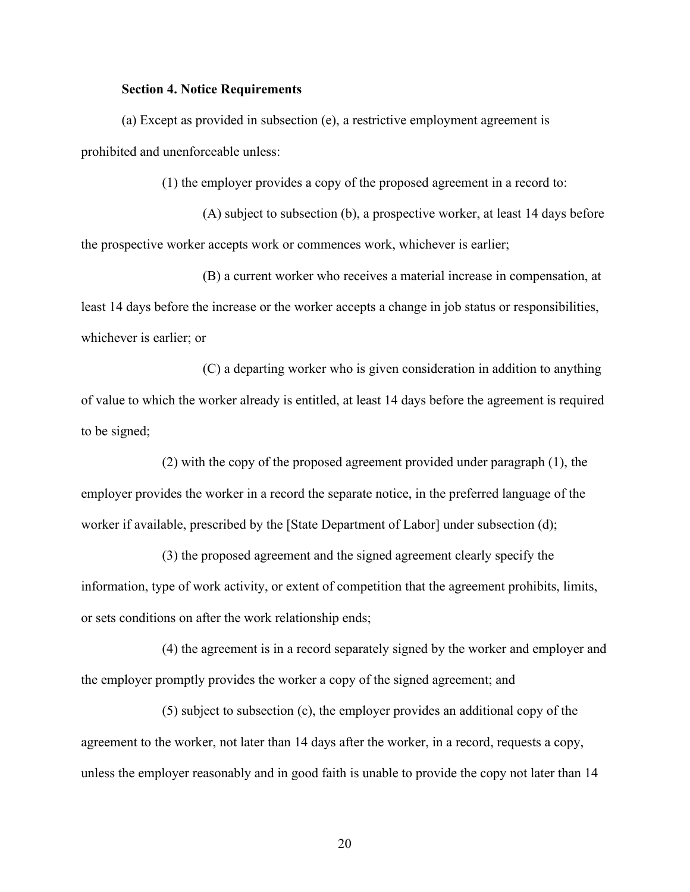#### <span id="page-23-0"></span>**Section 4. Notice Requirements**

(a) Except as provided in subsection (e), a restrictive employment agreement is prohibited and unenforceable unless:

(1) the employer provides a copy of the proposed agreement in a record to:

 the prospective worker accepts work or commences work, whichever is earlier; (A) subject to subsection (b), a prospective worker, at least 14 days before

 least 14 days before the increase or the worker accepts a change in job status or responsibilities, (B) a current worker who receives a material increase in compensation, at whichever is earlier; or

 of value to which the worker already is entitled, at least 14 days before the agreement is required (C) a departing worker who is given consideration in addition to anything to be signed;

worker if available, prescribed by the [State Department of Labor] under subsection (d);<br>(3) the proposed agreement and the signed agreement clearly specify the (2) with the copy of the proposed agreement provided under paragraph (1), the employer provides the worker in a record the separate notice, in the preferred language of the

or sets conditions on after the work relationship ends; information, type of work activity, or extent of competition that the agreement prohibits, limits,

(4) the agreement is in a record separately signed by the worker and employer and the employer promptly provides the worker a copy of the signed agreement; and

 agreement to the worker, not later than 14 days after the worker, in a record, requests a copy, (5) subject to subsection (c), the employer provides an additional copy of the unless the employer reasonably and in good faith is unable to provide the copy not later than 14

20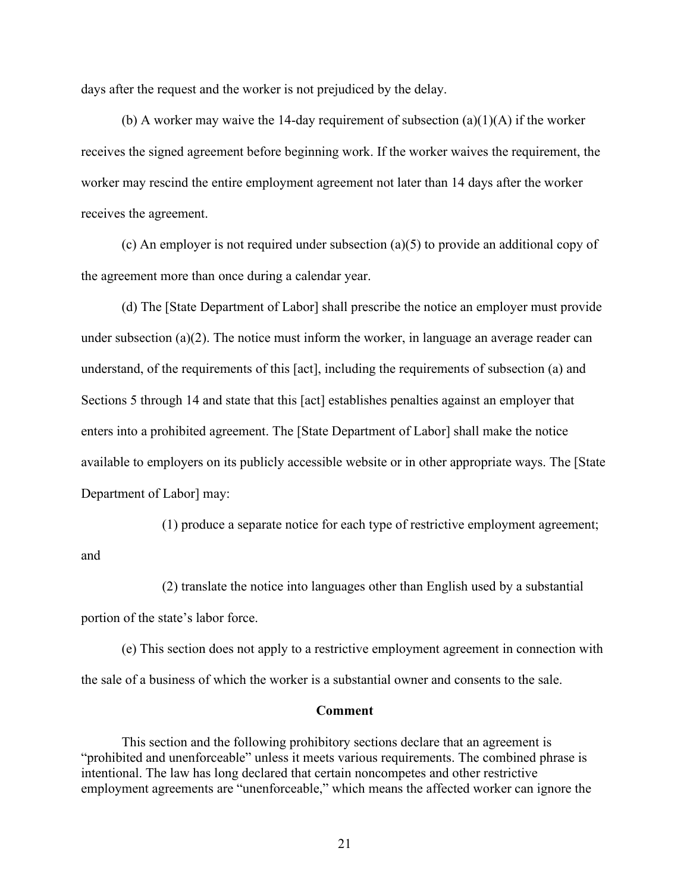days after the request and the worker is not prejudiced by the delay.

(b) A worker may waive the 14-day requirement of subsection (a)(1)(A) if the worker receives the signed agreement before beginning work. If the worker waives the requirement, the worker may rescind the entire employment agreement not later than 14 days after the worker receives the agreement.

(c) An employer is not required under subsection (a)(5) to provide an additional copy of the agreement more than once during a calendar year.

 understand, of the requirements of this [act], including the requirements of subsection (a) and Department of Labor] may: (d) The [State Department of Labor] shall prescribe the notice an employer must provide under subsection (a)(2). The notice must inform the worker, in language an average reader can Sections 5 through 14 and state that this [act] establishes penalties against an employer that enters into a prohibited agreement. The [State Department of Labor] shall make the notice available to employers on its publicly accessible website or in other appropriate ways. The [State

(1) produce a separate notice for each type of restrictive employment agreement; and

(2) translate the notice into languages other than English used by a substantial portion of the state's labor force.

 (e) This section does not apply to a restrictive employment agreement in connection with the sale of a business of which the worker is a substantial owner and consents to the sale.

#### **Comment**

This section and the following prohibitory sections declare that an agreement is "prohibited and unenforceable" unless it meets various requirements. The combined phrase is intentional. The law has long declared that certain noncompetes and other restrictive employment agreements are "unenforceable," which means the affected worker can ignore the

21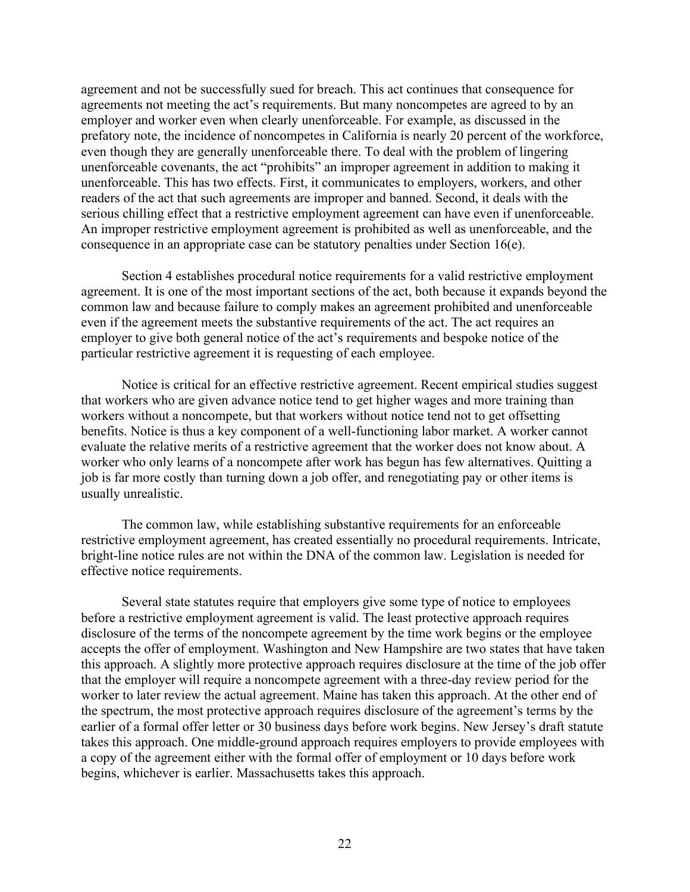agreement and not be successfully sued for breach. This act continues that consequence for agreements not meeting the act's requirements. But many noncompetes are agreed to by an employer and worker even when clearly unenforceable. For example, as discussed in the prefatory note, the incidence of noncompetes in California is nearly 20 percent of the workforce, even though they are generally unenforceable there. To deal with the problem of lingering unenforceable covenants, the act "prohibits" an improper agreement in addition to making it unenforceable. This has two effects. First, it communicates to employers, workers, and other readers of the act that such agreements are improper and banned. Second, it deals with the serious chilling effect that a restrictive employment agreement can have even if unenforceable. An improper restrictive employment agreement is prohibited as well as unenforceable, and the consequence in an appropriate case can be statutory penalties under Section 16(e).

 particular restrictive agreement it is requesting of each employee. Section 4 establishes procedural notice requirements for a valid restrictive employment agreement. It is one of the most important sections of the act, both because it expands beyond the common law and because failure to comply makes an agreement prohibited and unenforceable even if the agreement meets the substantive requirements of the act. The act requires an employer to give both general notice of the act's requirements and bespoke notice of the

 benefits. Notice is thus a key component of a well-functioning labor market. A worker cannot Notice is critical for an effective restrictive agreement. Recent empirical studies suggest that workers who are given advance notice tend to get higher wages and more training than workers without a noncompete, but that workers without notice tend not to get offsetting evaluate the relative merits of a restrictive agreement that the worker does not know about. A worker who only learns of a noncompete after work has begun has few alternatives. Quitting a job is far more costly than turning down a job offer, and renegotiating pay or other items is usually unrealistic.

The common law, while establishing substantive requirements for an enforceable restrictive employment agreement, has created essentially no procedural requirements. Intricate, bright-line notice rules are not within the DNA of the common law. Legislation is needed for effective notice requirements.

 earlier of a formal offer letter or 30 business days before work begins. New Jersey's draft statute a copy of the agreement either with the formal offer of employment or 10 days before work Several state statutes require that employers give some type of notice to employees before a restrictive employment agreement is valid. The least protective approach requires disclosure of the terms of the noncompete agreement by the time work begins or the employee accepts the offer of employment. Washington and New Hampshire are two states that have taken this approach. A slightly more protective approach requires disclosure at the time of the job offer that the employer will require a noncompete agreement with a three-day review period for the worker to later review the actual agreement. Maine has taken this approach. At the other end of the spectrum, the most protective approach requires disclosure of the agreement's terms by the takes this approach. One middle-ground approach requires employers to provide employees with begins, whichever is earlier. Massachusetts takes this approach.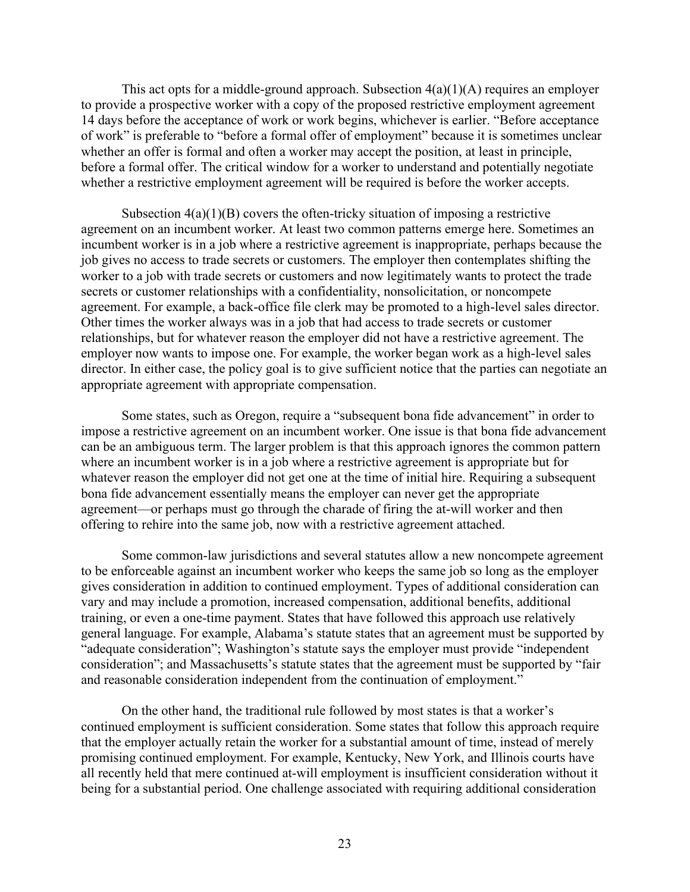14 days before the acceptance of work or work begins, whichever is earlier. "Before acceptance This act opts for a middle-ground approach. Subsection  $4(a)(1)(A)$  requires an employer to provide a prospective worker with a copy of the proposed restrictive employment agreement of work" is preferable to "before a formal offer of employment" because it is sometimes unclear whether an offer is formal and often a worker may accept the position, at least in principle, before a formal offer. The critical window for a worker to understand and potentially negotiate whether a restrictive employment agreement will be required is before the worker accepts.

 secrets or customer relationships with a confidentiality, nonsolicitation, or noncompete agreement. For example, a back-office file clerk may be promoted to a high-level sales director. Other times the worker always was in a job that had access to trade secrets or customer Subsection  $4(a)(1)(B)$  covers the often-tricky situation of imposing a restrictive agreement on an incumbent worker. At least two common patterns emerge here. Sometimes an incumbent worker is in a job where a restrictive agreement is inappropriate, perhaps because the job gives no access to trade secrets or customers. The employer then contemplates shifting the worker to a job with trade secrets or customers and now legitimately wants to protect the trade relationships, but for whatever reason the employer did not have a restrictive agreement. The employer now wants to impose one. For example, the worker began work as a high-level sales director. In either case, the policy goal is to give sufficient notice that the parties can negotiate an appropriate agreement with appropriate compensation.

offering to rehire into the same job, now with a restrictive agreement attached. Some states, such as Oregon, require a "subsequent bona fide advancement" in order to impose a restrictive agreement on an incumbent worker. One issue is that bona fide advancement can be an ambiguous term. The larger problem is that this approach ignores the common pattern where an incumbent worker is in a job where a restrictive agreement is appropriate but for whatever reason the employer did not get one at the time of initial hire. Requiring a subsequent bona fide advancement essentially means the employer can never get the appropriate agreement—or perhaps must go through the charade of firing the at-will worker and then

 general language. For example, Alabama's statute states that an agreement must be supported by Some common-law jurisdictions and several statutes allow a new noncompete agreement to be enforceable against an incumbent worker who keeps the same job so long as the employer gives consideration in addition to continued employment. Types of additional consideration can vary and may include a promotion, increased compensation, additional benefits, additional training, or even a one-time payment. States that have followed this approach use relatively "adequate consideration"; Washington's statute says the employer must provide "independent consideration"; and Massachusetts's statute states that the agreement must be supported by "fair

 and reasonable consideration independent from the continuation of employment." On the other hand, the traditional rule followed by most states is that a worker's continued employment is sufficient consideration. Some states that follow this approach require that the employer actually retain the worker for a substantial amount of time, instead of merely promising continued employment. For example, Kentucky, New York, and Illinois courts have all recently held that mere continued at-will employment is insufficient consideration without it being for a substantial period. One challenge associated with requiring additional consideration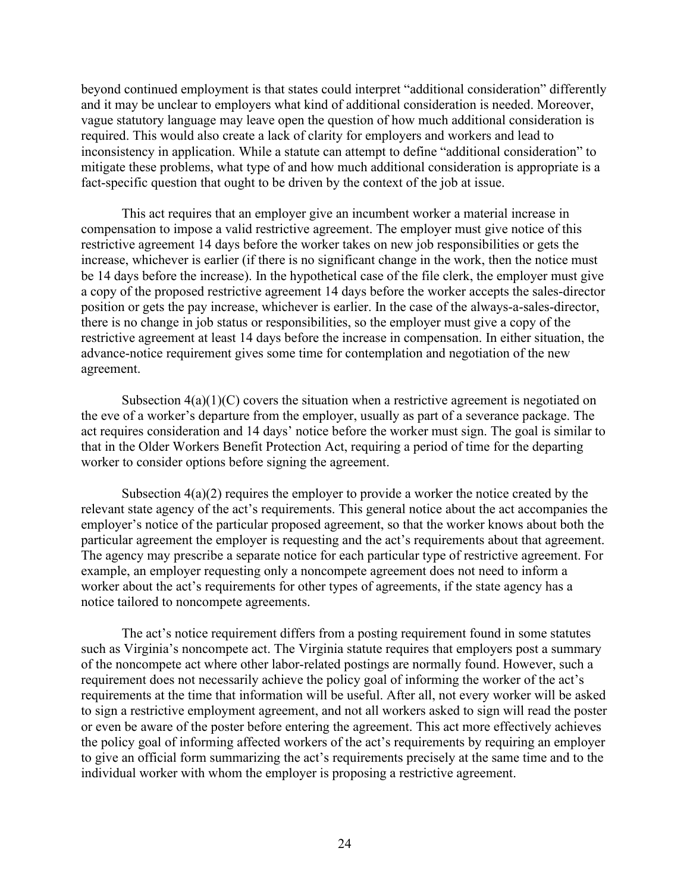beyond continued employment is that states could interpret "additional consideration" differently and it may be unclear to employers what kind of additional consideration is needed. Moreover, vague statutory language may leave open the question of how much additional consideration is required. This would also create a lack of clarity for employers and workers and lead to inconsistency in application. While a statute can attempt to define "additional consideration" to mitigate these problems, what type of and how much additional consideration is appropriate is a fact-specific question that ought to be driven by the context of the job at issue.

agreement. This act requires that an employer give an incumbent worker a material increase in compensation to impose a valid restrictive agreement. The employer must give notice of this restrictive agreement 14 days before the worker takes on new job responsibilities or gets the increase, whichever is earlier (if there is no significant change in the work, then the notice must be 14 days before the increase). In the hypothetical case of the file clerk, the employer must give a copy of the proposed restrictive agreement 14 days before the worker accepts the sales-director position or gets the pay increase, whichever is earlier. In the case of the always-a-sales-director, there is no change in job status or responsibilities, so the employer must give a copy of the restrictive agreement at least 14 days before the increase in compensation. In either situation, the advance-notice requirement gives some time for contemplation and negotiation of the new

Subsection  $4(a)(1)(C)$  covers the situation when a restrictive agreement is negotiated on the eve of a worker's departure from the employer, usually as part of a severance package. The act requires consideration and 14 days' notice before the worker must sign. The goal is similar to that in the Older Workers Benefit Protection Act, requiring a period of time for the departing worker to consider options before signing the agreement.

Subsection  $4(a)(2)$  requires the employer to provide a worker the notice created by the relevant state agency of the act's requirements. This general notice about the act accompanies the employer's notice of the particular proposed agreement, so that the worker knows about both the particular agreement the employer is requesting and the act's requirements about that agreement. The agency may prescribe a separate notice for each particular type of restrictive agreement. For example, an employer requesting only a noncompete agreement does not need to inform a worker about the act's requirements for other types of agreements, if the state agency has a notice tailored to noncompete agreements.

 individual worker with whom the employer is proposing a restrictive agreement. The act's notice requirement differs from a posting requirement found in some statutes such as Virginia's noncompete act. The Virginia statute requires that employers post a summary of the noncompete act where other labor-related postings are normally found. However, such a requirement does not necessarily achieve the policy goal of informing the worker of the act's requirements at the time that information will be useful. After all, not every worker will be asked to sign a restrictive employment agreement, and not all workers asked to sign will read the poster or even be aware of the poster before entering the agreement. This act more effectively achieves the policy goal of informing affected workers of the act's requirements by requiring an employer to give an official form summarizing the act's requirements precisely at the same time and to the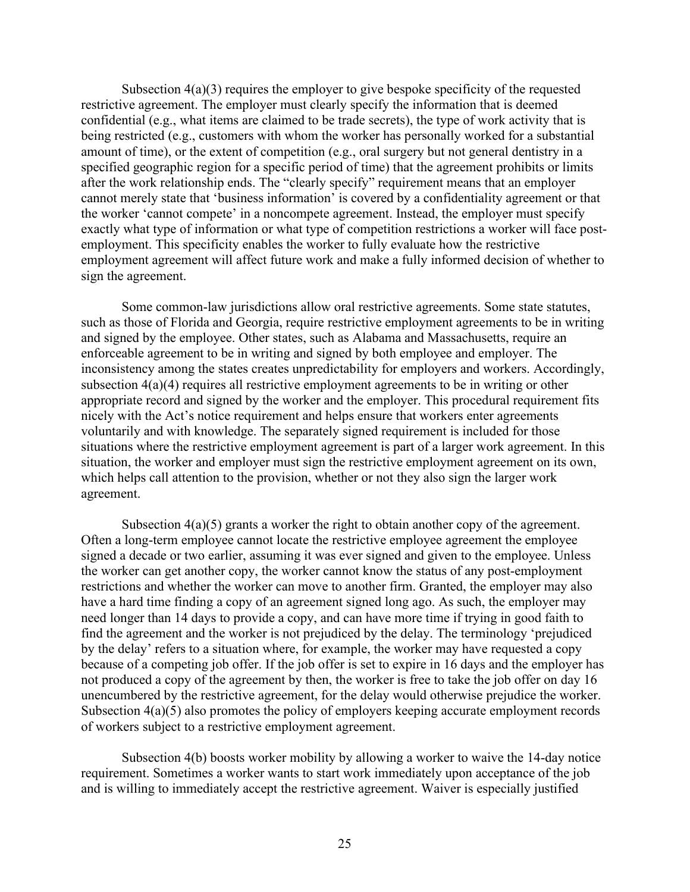Subsection  $4(a)(3)$  requires the employer to give bespoke specificity of the requested restrictive agreement. The employer must clearly specify the information that is deemed confidential (e.g., what items are claimed to be trade secrets), the type of work activity that is being restricted (e.g., customers with whom the worker has personally worked for a substantial amount of time), or the extent of competition (e.g., oral surgery but not general dentistry in a specified geographic region for a specific period of time) that the agreement prohibits or limits after the work relationship ends. The "clearly specify" requirement means that an employer cannot merely state that 'business information' is covered by a confidentiality agreement or that the worker 'cannot compete' in a noncompete agreement. Instead, the employer must specify exactly what type of information or what type of competition restrictions a worker will face postemployment. This specificity enables the worker to fully evaluate how the restrictive employment agreement will affect future work and make a fully informed decision of whether to sign the agreement.

 situations where the restrictive employment agreement is part of a larger work agreement. In this Some common-law jurisdictions allow oral restrictive agreements. Some state statutes, such as those of Florida and Georgia, require restrictive employment agreements to be in writing and signed by the employee. Other states, such as Alabama and Massachusetts, require an enforceable agreement to be in writing and signed by both employee and employer. The inconsistency among the states creates unpredictability for employers and workers. Accordingly, subsection 4(a)(4) requires all restrictive employment agreements to be in writing or other appropriate record and signed by the worker and the employer. This procedural requirement fits nicely with the Act's notice requirement and helps ensure that workers enter agreements voluntarily and with knowledge. The separately signed requirement is included for those situation, the worker and employer must sign the restrictive employment agreement on its own, which helps call attention to the provision, whether or not they also sign the larger work agreement.

Subsection 4(a)(5) grants a worker the right to obtain another copy of the agreement. Often a long-term employee cannot locate the restrictive employee agreement the employee signed a decade or two earlier, assuming it was ever signed and given to the employee. Unless the worker can get another copy, the worker cannot know the status of any post-employment restrictions and whether the worker can move to another firm. Granted, the employer may also have a hard time finding a copy of an agreement signed long ago. As such, the employer may need longer than 14 days to provide a copy, and can have more time if trying in good faith to find the agreement and the worker is not prejudiced by the delay. The terminology 'prejudiced by the delay' refers to a situation where, for example, the worker may have requested a copy because of a competing job offer. If the job offer is set to expire in 16 days and the employer has not produced a copy of the agreement by then, the worker is free to take the job offer on day 16 unencumbered by the restrictive agreement, for the delay would otherwise prejudice the worker. Subsection 4(a)(5) also promotes the policy of employers keeping accurate employment records of workers subject to a restrictive employment agreement.

Subsection 4(b) boosts worker mobility by allowing a worker to waive the 14-day notice requirement. Sometimes a worker wants to start work immediately upon acceptance of the job and is willing to immediately accept the restrictive agreement. Waiver is especially justified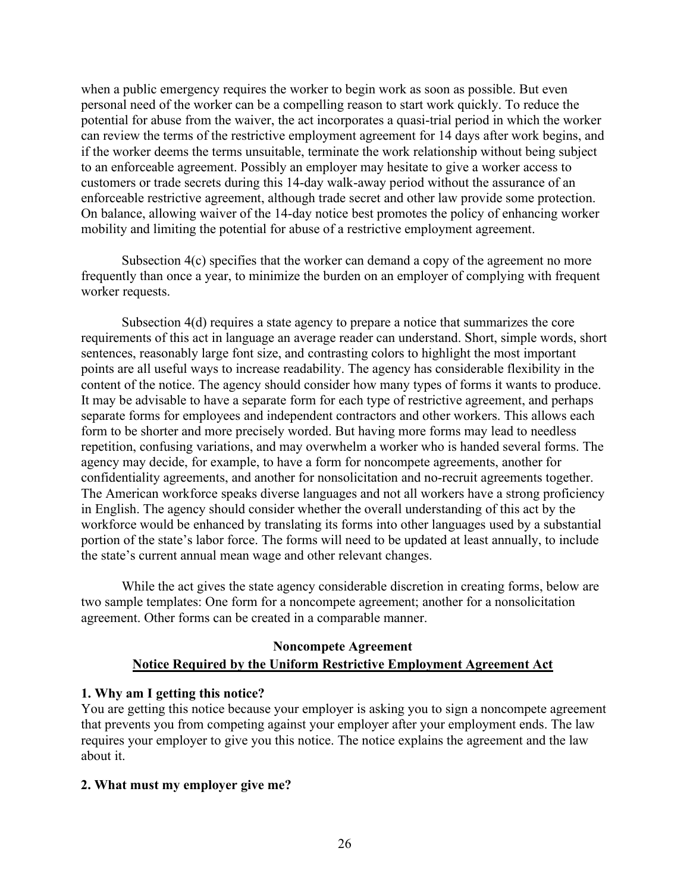can review the terms of the restrictive employment agreement for 14 days after work begins, and to an enforceable agreement. Possibly an employer may hesitate to give a worker access to when a public emergency requires the worker to begin work as soon as possible. But even personal need of the worker can be a compelling reason to start work quickly. To reduce the potential for abuse from the waiver, the act incorporates a quasi-trial period in which the worker if the worker deems the terms unsuitable, terminate the work relationship without being subject customers or trade secrets during this 14-day walk-away period without the assurance of an enforceable restrictive agreement, although trade secret and other law provide some protection. On balance, allowing waiver of the 14-day notice best promotes the policy of enhancing worker mobility and limiting the potential for abuse of a restrictive employment agreement.

Subsection 4(c) specifies that the worker can demand a copy of the agreement no more frequently than once a year, to minimize the burden on an employer of complying with frequent worker requests.

Subsection 4(d) requires a state agency to prepare a notice that summarizes the core requirements of this act in language an average reader can understand. Short, simple words, short sentences, reasonably large font size, and contrasting colors to highlight the most important points are all useful ways to increase readability. The agency has considerable flexibility in the content of the notice. The agency should consider how many types of forms it wants to produce. It may be advisable to have a separate form for each type of restrictive agreement, and perhaps separate forms for employees and independent contractors and other workers. This allows each form to be shorter and more precisely worded. But having more forms may lead to needless repetition, confusing variations, and may overwhelm a worker who is handed several forms. The agency may decide, for example, to have a form for noncompete agreements, another for confidentiality agreements, and another for nonsolicitation and no-recruit agreements together. The American workforce speaks diverse languages and not all workers have a strong proficiency in English. The agency should consider whether the overall understanding of this act by the workforce would be enhanced by translating its forms into other languages used by a substantial portion of the state's labor force. The forms will need to be updated at least annually, to include the state's current annual mean wage and other relevant changes.

 two sample templates: One form for a noncompete agreement; another for a nonsolicitation While the act gives the state agency considerable discretion in creating forms, below are agreement. Other forms can be created in a comparable manner.

# **Noncompete Agreement Notice Required by the Uniform Restrictive Employment Agreement Act**

## **1. Why am I getting this notice?**

 You are getting this notice because your employer is asking you to sign a noncompete agreement about it. that prevents you from competing against your employer after your employment ends. The law requires your employer to give you this notice. The notice explains the agreement and the law

## **2. What must my employer give me?**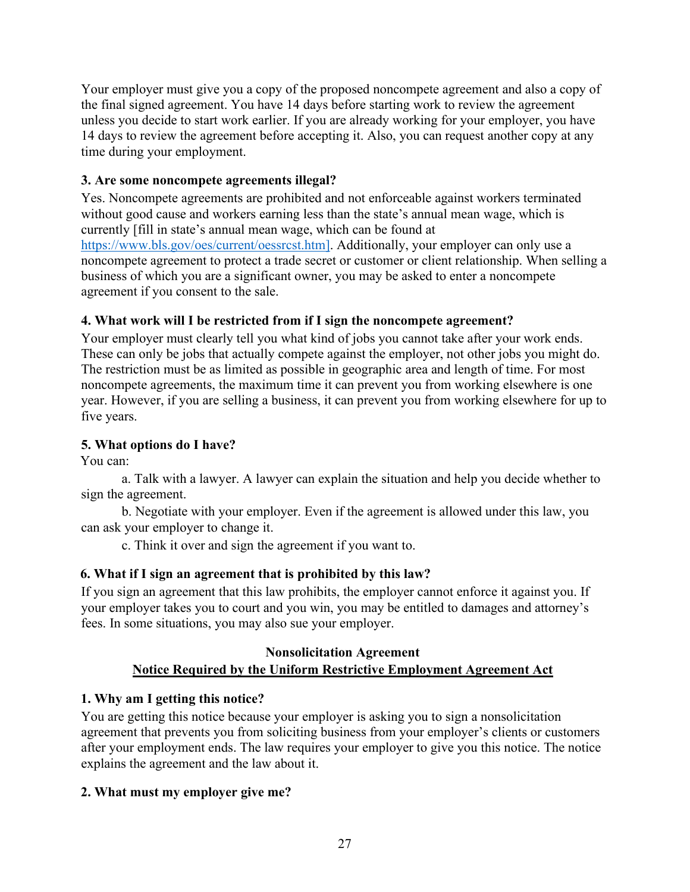Your employer must give you a copy of the proposed noncompete agreement and also a copy of the final signed agreement. You have 14 days before starting work to review the agreement unless you decide to start work earlier. If you are already working for your employer, you have 14 days to review the agreement before accepting it. Also, you can request another copy at any time during your employment.

# **3. Are some noncompete agreements illegal?**

Yes. Noncompete agreements are prohibited and not enforceable against workers terminated without good cause and workers earning less than the state's annual mean wage, which is currently [fill in state's annual mean wage, which can be found at [https://www.bls.gov/oes/current/oessrcst.htm\]](about:blank). Additionally, your employer can only use a noncompete agreement to protect a trade secret or customer or client relationship. When selling a business of which you are a significant owner, you may be asked to enter a noncompete agreement if you consent to the sale.

# **4. What work will I be restricted from if I sign the noncompete agreement?**

 five years. Your employer must clearly tell you what kind of jobs you cannot take after your work ends. These can only be jobs that actually compete against the employer, not other jobs you might do. The restriction must be as limited as possible in geographic area and length of time. For most noncompete agreements, the maximum time it can prevent you from working elsewhere is one year. However, if you are selling a business, it can prevent you from working elsewhere for up to

# **5. What options do I have?**

You can:

a. Talk with a lawyer. A lawyer can explain the situation and help you decide whether to sign the agreement.

b. Negotiate with your employer. Even if the agreement is allowed under this law, you can ask your employer to change it.

c. Think it over and sign the agreement if you want to.

# **6. What if I sign an agreement that is prohibited by this law?**

 If you sign an agreement that this law prohibits, the employer cannot enforce it against you. If your employer takes you to court and you win, you may be entitled to damages and attorney's fees. In some situations, you may also sue your employer.

# **Nonsolicitation Agreement Notice Required by the Uniform Restrictive Employment Agreement Act**

# **1. Why am I getting this notice?**

 You are getting this notice because your employer is asking you to sign a nonsolicitation agreement that prevents you from soliciting business from your employer's clients or customers after your employment ends. The law requires your employer to give you this notice. The notice explains the agreement and the law about it.

# **2. What must my employer give me?**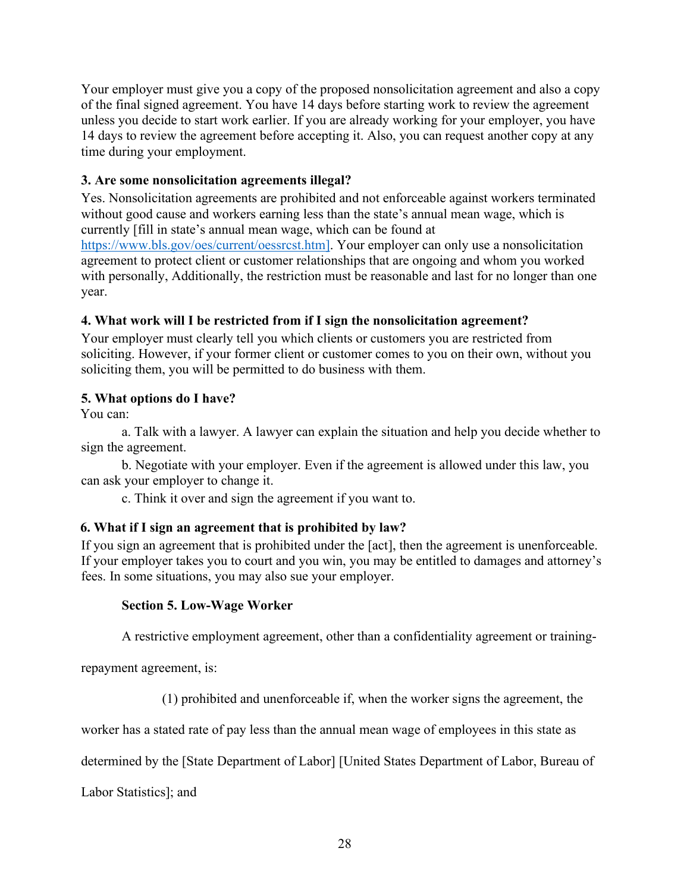Your employer must give you a copy of the proposed nonsolicitation agreement and also a copy of the final signed agreement. You have 14 days before starting work to review the agreement unless you decide to start work earlier. If you are already working for your employer, you have 14 days to review the agreement before accepting it. Also, you can request another copy at any time during your employment.

# **3. Are some nonsolicitation agreements illegal?**

 year. Yes. Nonsolicitation agreements are prohibited and not enforceable against workers terminated without good cause and workers earning less than the state's annual mean wage, which is currently [fill in state's annual mean wage, which can be found at [https://www.bls.gov/oes/current/oessrcst.htm\]](about:blank). Your employer can only use a nonsolicitation agreement to protect client or customer relationships that are ongoing and whom you worked with personally, Additionally, the restriction must be reasonable and last for no longer than one

# **4. What work will I be restricted from if I sign the nonsolicitation agreement?**

 soliciting. However, if your former client or customer comes to you on their own, without you Your employer must clearly tell you which clients or customers you are restricted from soliciting them, you will be permitted to do business with them.

# **5. What options do I have?**

You can:

a. Talk with a lawyer. A lawyer can explain the situation and help you decide whether to sign the agreement.

b. Negotiate with your employer. Even if the agreement is allowed under this law, you can ask your employer to change it.

c. Think it over and sign the agreement if you want to.

# **6. What if I sign an agreement that is prohibited by law?**

If you sign an agreement that is prohibited under the [act], then the agreement is unenforceable. If your employer takes you to court and you win, you may be entitled to damages and attorney's fees. In some situations, you may also sue your employer.

# <span id="page-31-0"></span> **Section 5. Low-Wage Worker**

A restrictive employment agreement, other than a confidentiality agreement or training-

repayment agreement, is:

(1) prohibited and unenforceable if, when the worker signs the agreement, the

worker has a stated rate of pay less than the annual mean wage of employees in this state as

determined by the [State Department of Labor] [United States Department of Labor, Bureau of

Labor Statistics]; and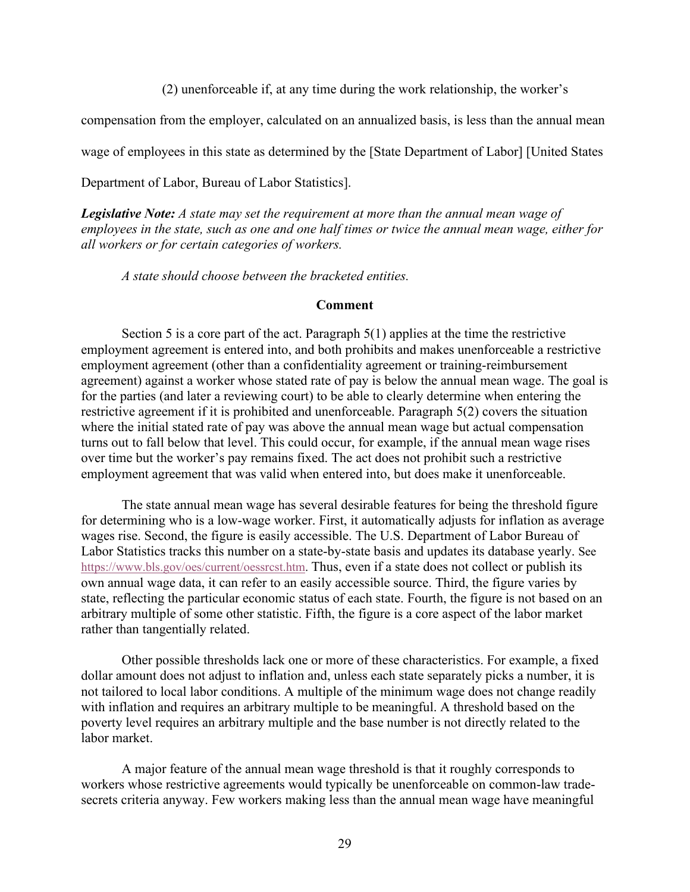(2) unenforceable if, at any time during the work relationship, the worker's

compensation from the employer, calculated on an annualized basis, is less than the annual mean

wage of employees in this state as determined by the [State Department of Labor] [United States

Department of Labor, Bureau of Labor Statistics].

*Legislative Note: A state may set the requirement at more than the annual mean wage of employees in the state, such as one and one half times or twice the annual mean wage, either for all workers or for certain categories of workers.* 

*A state should choose between the bracketed entities.* 

#### **Comment**

 for the parties (and later a reviewing court) to be able to clearly determine when entering the Section 5 is a core part of the act. Paragraph 5(1) applies at the time the restrictive employment agreement is entered into, and both prohibits and makes unenforceable a restrictive employment agreement (other than a confidentiality agreement or training-reimbursement agreement) against a worker whose stated rate of pay is below the annual mean wage. The goal is restrictive agreement if it is prohibited and unenforceable. Paragraph 5(2) covers the situation where the initial stated rate of pay was above the annual mean wage but actual compensation turns out to fall below that level. This could occur, for example, if the annual mean wage rises over time but the worker's pay remains fixed. The act does not prohibit such a restrictive employment agreement that was valid when entered into, but does make it unenforceable.

The state annual mean wage has several desirable features for being the threshold figure for determining who is a low-wage worker. First, it automatically adjusts for inflation as average wages rise. Second, the figure is easily accessible. The U.S. Department of Labor Bureau of Labor Statistics tracks this number on a state-by-state basis and updates its database yearly. See [https://www.bls.gov/oes/current/oessrcst.htm.](https://www.bls.gov/oes/current/oessrcst.htm) Thus, even if a state does not collect or publish its own annual wage data, it can refer to an easily accessible source. Third, the figure varies by state, reflecting the particular economic status of each state. Fourth, the figure is not based on an arbitrary multiple of some other statistic. Fifth, the figure is a core aspect of the labor market rather than tangentially related.

Other possible thresholds lack one or more of these characteristics. For example, a fixed dollar amount does not adjust to inflation and, unless each state separately picks a number, it is not tailored to local labor conditions. A multiple of the minimum wage does not change readily with inflation and requires an arbitrary multiple to be meaningful. A threshold based on the poverty level requires an arbitrary multiple and the base number is not directly related to the labor market.

A major feature of the annual mean wage threshold is that it roughly corresponds to workers whose restrictive agreements would typically be unenforceable on common-law tradesecrets criteria anyway. Few workers making less than the annual mean wage have meaningful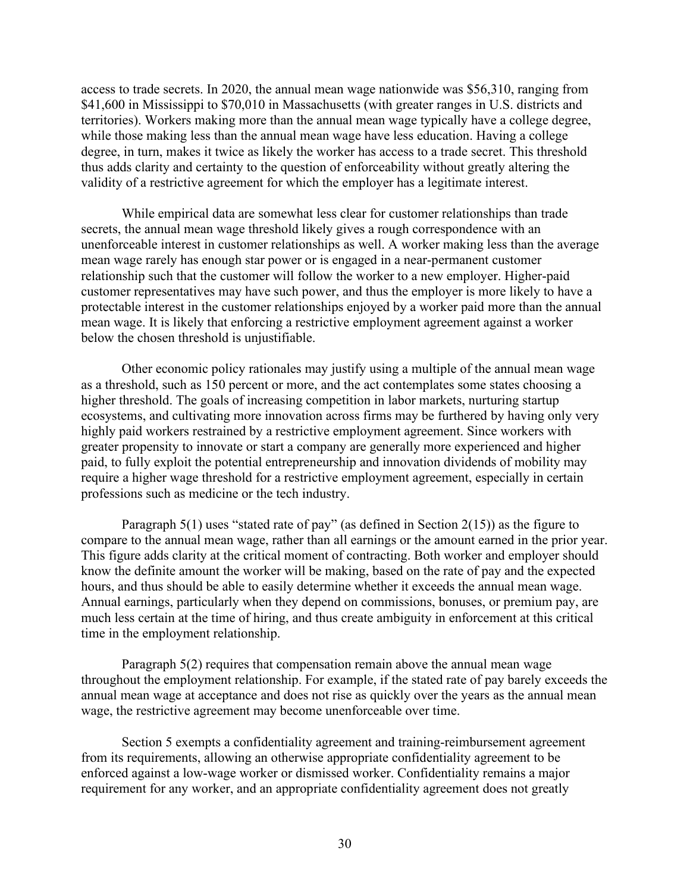validity of a restrictive agreement for which the employer has a legitimate interest. access to trade secrets. In 2020, the annual mean wage nationwide was \$56,310, ranging from \$41,600 in Mississippi to \$70,010 in Massachusetts (with greater ranges in U.S. districts and territories). Workers making more than the annual mean wage typically have a college degree, while those making less than the annual mean wage have less education. Having a college degree, in turn, makes it twice as likely the worker has access to a trade secret. This threshold thus adds clarity and certainty to the question of enforceability without greatly altering the

While empirical data are somewhat less clear for customer relationships than trade secrets, the annual mean wage threshold likely gives a rough correspondence with an unenforceable interest in customer relationships as well. A worker making less than the average mean wage rarely has enough star power or is engaged in a near-permanent customer relationship such that the customer will follow the worker to a new employer. Higher-paid customer representatives may have such power, and thus the employer is more likely to have a protectable interest in the customer relationships enjoyed by a worker paid more than the annual mean wage. It is likely that enforcing a restrictive employment agreement against a worker below the chosen threshold is unjustifiable.

Other economic policy rationales may justify using a multiple of the annual mean wage as a threshold, such as 150 percent or more, and the act contemplates some states choosing a higher threshold. The goals of increasing competition in labor markets, nurturing startup ecosystems, and cultivating more innovation across firms may be furthered by having only very highly paid workers restrained by a restrictive employment agreement. Since workers with greater propensity to innovate or start a company are generally more experienced and higher paid, to fully exploit the potential entrepreneurship and innovation dividends of mobility may require a higher wage threshold for a restrictive employment agreement, especially in certain professions such as medicine or the tech industry.

Paragraph  $5(1)$  uses "stated rate of pay" (as defined in Section 2(15)) as the figure to compare to the annual mean wage, rather than all earnings or the amount earned in the prior year. This figure adds clarity at the critical moment of contracting. Both worker and employer should know the definite amount the worker will be making, based on the rate of pay and the expected hours, and thus should be able to easily determine whether it exceeds the annual mean wage. Annual earnings, particularly when they depend on commissions, bonuses, or premium pay, are much less certain at the time of hiring, and thus create ambiguity in enforcement at this critical time in the employment relationship.

Paragraph 5(2) requires that compensation remain above the annual mean wage throughout the employment relationship. For example, if the stated rate of pay barely exceeds the annual mean wage at acceptance and does not rise as quickly over the years as the annual mean wage, the restrictive agreement may become unenforceable over time.

Section 5 exempts a confidentiality agreement and training-reimbursement agreement from its requirements, allowing an otherwise appropriate confidentiality agreement to be enforced against a low-wage worker or dismissed worker. Confidentiality remains a major requirement for any worker, and an appropriate confidentiality agreement does not greatly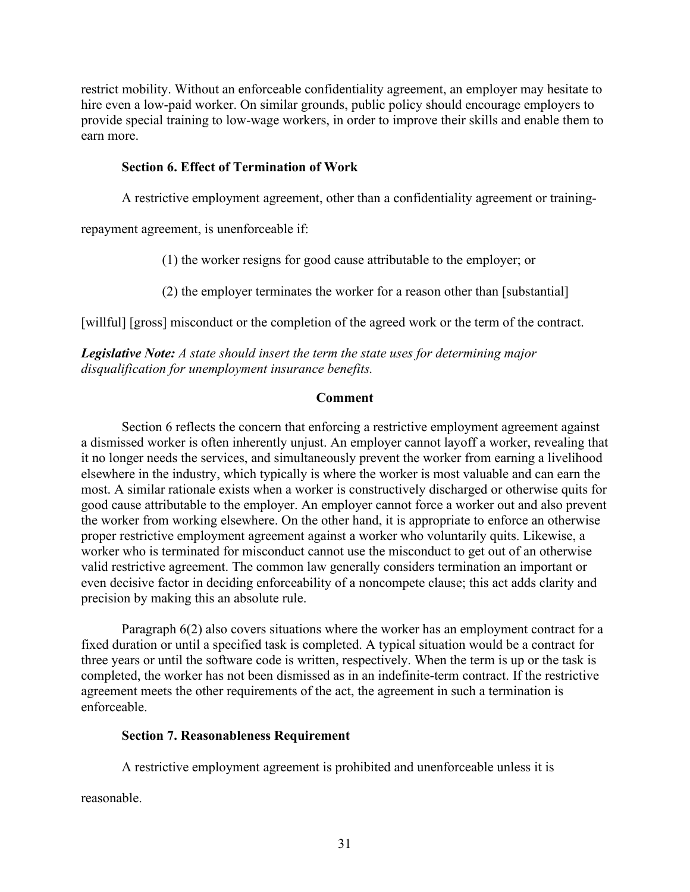restrict mobility. Without an enforceable confidentiality agreement, an employer may hesitate to hire even a low-paid worker. On similar grounds, public policy should encourage employers to provide special training to low-wage workers, in order to improve their skills and enable them to earn more.

## <span id="page-34-0"></span>**Section 6. Effect of Termination of Work**

A restrictive employment agreement, other than a confidentiality agreement or training-

repayment agreement, is unenforceable if:

(1) the worker resigns for good cause attributable to the employer; or

(2) the employer terminates the worker for a reason other than [substantial]

[willful] [gross] misconduct or the completion of the agreed work or the term of the contract.

*Legislative Note: A state should insert the term the state uses for determining major disqualification for unemployment insurance benefits.* 

## **Comment**

Section 6 reflects the concern that enforcing a restrictive employment agreement against a dismissed worker is often inherently unjust. An employer cannot layoff a worker, revealing that it no longer needs the services, and simultaneously prevent the worker from earning a livelihood elsewhere in the industry, which typically is where the worker is most valuable and can earn the most. A similar rationale exists when a worker is constructively discharged or otherwise quits for good cause attributable to the employer. An employer cannot force a worker out and also prevent the worker from working elsewhere. On the other hand, it is appropriate to enforce an otherwise proper restrictive employment agreement against a worker who voluntarily quits. Likewise, a worker who is terminated for misconduct cannot use the misconduct to get out of an otherwise valid restrictive agreement. The common law generally considers termination an important or even decisive factor in deciding enforceability of a noncompete clause; this act adds clarity and precision by making this an absolute rule.

 Paragraph 6(2) also covers situations where the worker has an employment contract for a completed, the worker has not been dismissed as in an indefinite-term contract. If the restrictive agreement meets the other requirements of the act, the agreement in such a termination is fixed duration or until a specified task is completed. A typical situation would be a contract for three years or until the software code is written, respectively. When the term is up or the task is enforceable.

## <span id="page-34-1"></span>**Section 7. Reasonableness Requirement**

A restrictive employment agreement is prohibited and unenforceable unless it is

reasonable.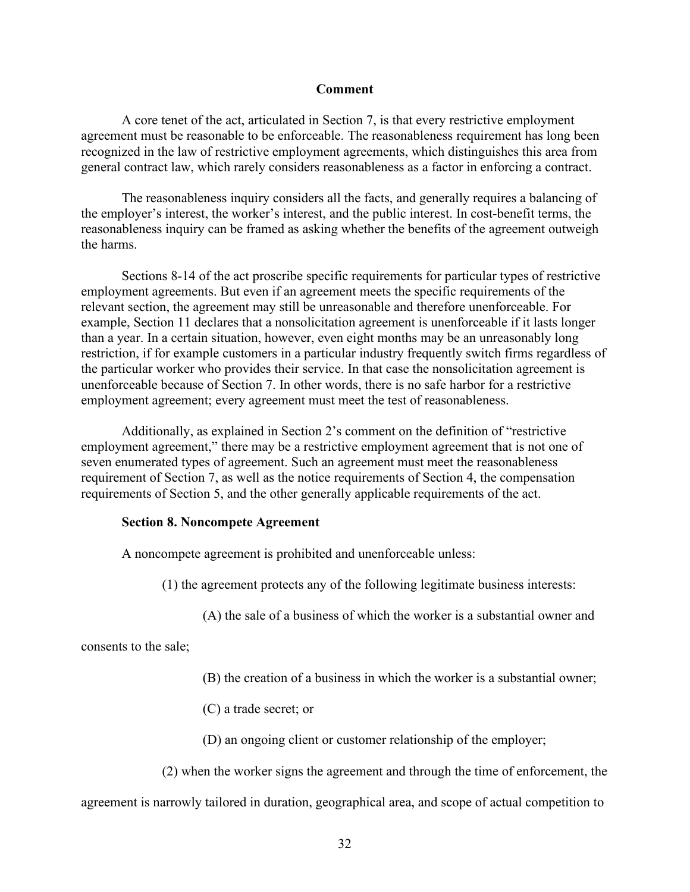#### **Comment**

general contract law, which rarely considers reasonableness as a factor in enforcing a contract. A core tenet of the act, articulated in Section 7, is that every restrictive employment agreement must be reasonable to be enforceable. The reasonableness requirement has long been recognized in the law of restrictive employment agreements, which distinguishes this area from

 general contract law, which rarely considers reasonableness as a factor in enforcing a contract. The reasonableness inquiry considers all the facts, and generally requires a balancing of the harms. the employer's interest, the worker's interest, and the public interest. In cost-benefit terms, the reasonableness inquiry can be framed as asking whether the benefits of the agreement outweigh

 unenforceable because of Section 7. In other words, there is no safe harbor for a restrictive employment agreement; every agreement must meet the test of reasonableness. Sections 8-14 of the act proscribe specific requirements for particular types of restrictive employment agreements. But even if an agreement meets the specific requirements of the relevant section, the agreement may still be unreasonable and therefore unenforceable. For example, Section 11 declares that a nonsolicitation agreement is unenforceable if it lasts longer than a year. In a certain situation, however, even eight months may be an unreasonably long restriction, if for example customers in a particular industry frequently switch firms regardless of the particular worker who provides their service. In that case the nonsolicitation agreement is

 requirements of Section 5, and the other generally applicable requirements of the act. Additionally, as explained in Section 2's comment on the definition of "restrictive" employment agreement," there may be a restrictive employment agreement that is not one of seven enumerated types of agreement. Such an agreement must meet the reasonableness requirement of Section 7, as well as the notice requirements of Section 4, the compensation

#### <span id="page-35-0"></span>**Section 8. Noncompete Agreement**

A noncompete agreement is prohibited and unenforceable unless:

(1) the agreement protects any of the following legitimate business interests:

(A) the sale of a business of which the worker is a substantial owner and

consents to the sale;

- (B) the creation of a business in which the worker is a substantial owner;
- (C) a trade secret; or
- (D) an ongoing client or customer relationship of the employer;
- (2) when the worker signs the agreement and through the time of enforcement, the

agreement is narrowly tailored in duration, geographical area, and scope of actual competition to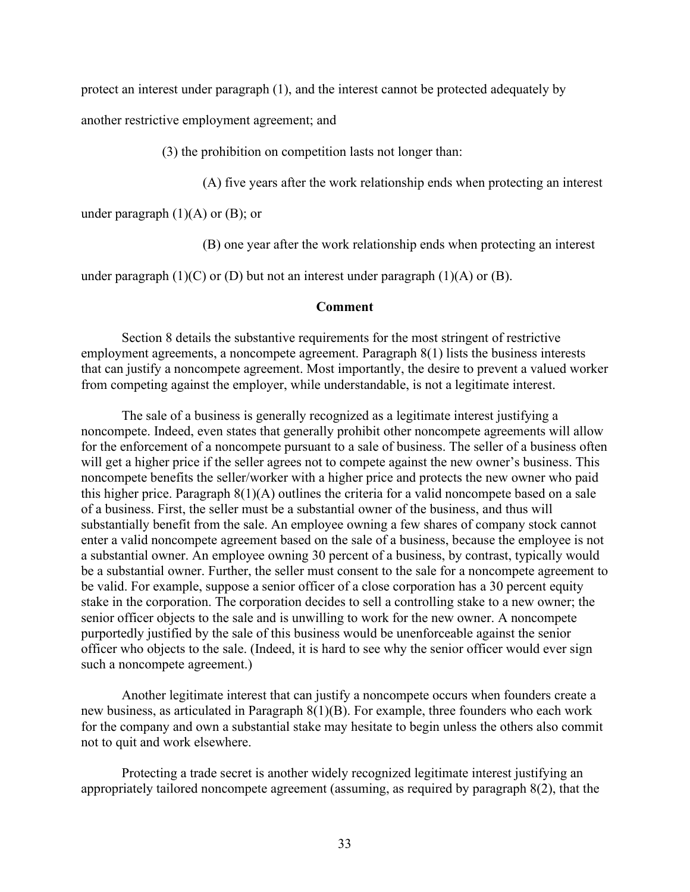protect an interest under paragraph (1), and the interest cannot be protected adequately by

another restrictive employment agreement; and

(3) the prohibition on competition lasts not longer than:

(A) five years after the work relationship ends when protecting an interest

under paragraph (1)(A) or (B); or

(B) one year after the work relationship ends when protecting an interest

under paragraph  $(1)(C)$  or  $(D)$  but not an interest under paragraph  $(1)(A)$  or  $(B)$ .

#### **Comment**

Section 8 details the substantive requirements for the most stringent of restrictive employment agreements, a noncompete agreement. Paragraph 8(1) lists the business interests that can justify a noncompete agreement. Most importantly, the desire to prevent a valued worker from competing against the employer, while understandable, is not a legitimate interest.

 be valid. For example, suppose a senior officer of a close corporation has a 30 percent equity such a noncompete agreement.) The sale of a business is generally recognized as a legitimate interest justifying a noncompete. Indeed, even states that generally prohibit other noncompete agreements will allow for the enforcement of a noncompete pursuant to a sale of business. The seller of a business often will get a higher price if the seller agrees not to compete against the new owner's business. This noncompete benefits the seller/worker with a higher price and protects the new owner who paid this higher price. Paragraph  $8(1)(A)$  outlines the criteria for a valid noncompete based on a sale of a business. First, the seller must be a substantial owner of the business, and thus will substantially benefit from the sale. An employee owning a few shares of company stock cannot enter a valid noncompete agreement based on the sale of a business, because the employee is not a substantial owner. An employee owning 30 percent of a business, by contrast, typically would be a substantial owner. Further, the seller must consent to the sale for a noncompete agreement to stake in the corporation. The corporation decides to sell a controlling stake to a new owner; the senior officer objects to the sale and is unwilling to work for the new owner. A noncompete purportedly justified by the sale of this business would be unenforceable against the senior officer who objects to the sale. (Indeed, it is hard to see why the senior officer would ever sign

 Another legitimate interest that can justify a noncompete occurs when founders create a new business, as articulated in Paragraph 8(1)(B). For example, three founders who each work for the company and own a substantial stake may hesitate to begin unless the others also commit not to quit and work elsewhere.

Protecting a trade secret is another widely recognized legitimate interest justifying an appropriately tailored noncompete agreement (assuming, as required by paragraph 8(2), that the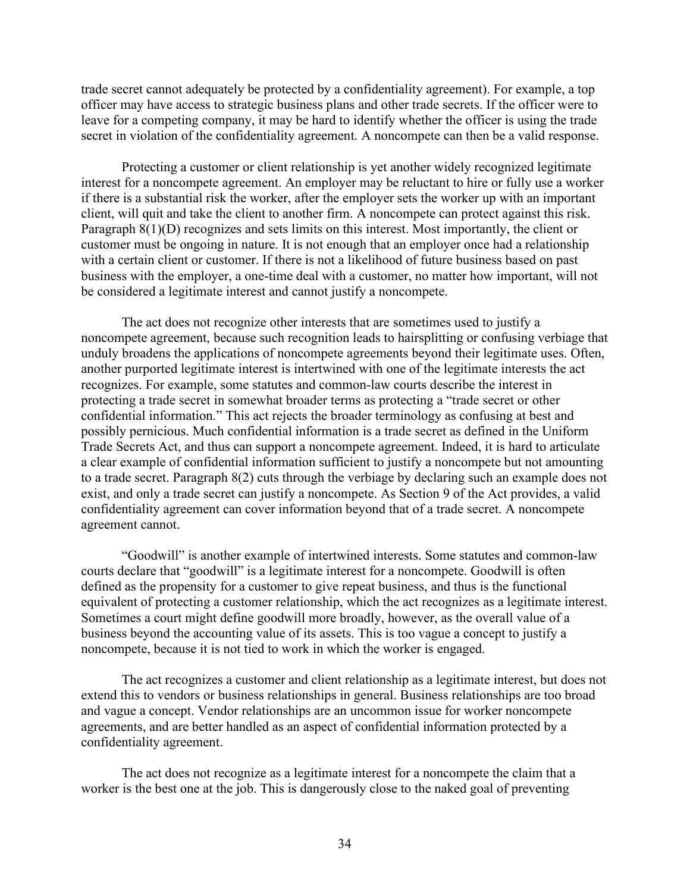trade secret cannot adequately be protected by a confidentiality agreement). For example, a top officer may have access to strategic business plans and other trade secrets. If the officer were to leave for a competing company, it may be hard to identify whether the officer is using the trade secret in violation of the confidentiality agreement. A noncompete can then be a valid response.

Protecting a customer or client relationship is yet another widely recognized legitimate interest for a noncompete agreement. An employer may be reluctant to hire or fully use a worker if there is a substantial risk the worker, after the employer sets the worker up with an important client, will quit and take the client to another firm. A noncompete can protect against this risk. Paragraph 8(1)(D) recognizes and sets limits on this interest. Most importantly, the client or customer must be ongoing in nature. It is not enough that an employer once had a relationship with a certain client or customer. If there is not a likelihood of future business based on past business with the employer, a one-time deal with a customer, no matter how important, will not be considered a legitimate interest and cannot justify a noncompete.

The act does not recognize other interests that are sometimes used to justify a noncompete agreement, because such recognition leads to hairsplitting or confusing verbiage that unduly broadens the applications of noncompete agreements beyond their legitimate uses. Often, another purported legitimate interest is intertwined with one of the legitimate interests the act recognizes. For example, some statutes and common-law courts describe the interest in protecting a trade secret in somewhat broader terms as protecting a "trade secret or other confidential information." This act rejects the broader terminology as confusing at best and possibly pernicious. Much confidential information is a trade secret as defined in the Uniform Trade Secrets Act, and thus can support a noncompete agreement. Indeed, it is hard to articulate a clear example of confidential information sufficient to justify a noncompete but not amounting to a trade secret. Paragraph 8(2) cuts through the verbiage by declaring such an example does not exist, and only a trade secret can justify a noncompete. As Section 9 of the Act provides, a valid confidentiality agreement can cover information beyond that of a trade secret. A noncompete agreement cannot.

 noncompete, because it is not tied to work in which the worker is engaged. "Goodwill" is another example of intertwined interests. Some statutes and common-law courts declare that "goodwill" is a legitimate interest for a noncompete. Goodwill is often defined as the propensity for a customer to give repeat business, and thus is the functional equivalent of protecting a customer relationship, which the act recognizes as a legitimate interest. Sometimes a court might define goodwill more broadly, however, as the overall value of a business beyond the accounting value of its assets. This is too vague a concept to justify a

 agreements, and are better handled as an aspect of confidential information protected by a confidentiality agreement. The act recognizes a customer and client relationship as a legitimate interest, but does not extend this to vendors or business relationships in general. Business relationships are too broad and vague a concept. Vendor relationships are an uncommon issue for worker noncompete

The act does not recognize as a legitimate interest for a noncompete the claim that a worker is the best one at the job. This is dangerously close to the naked goal of preventing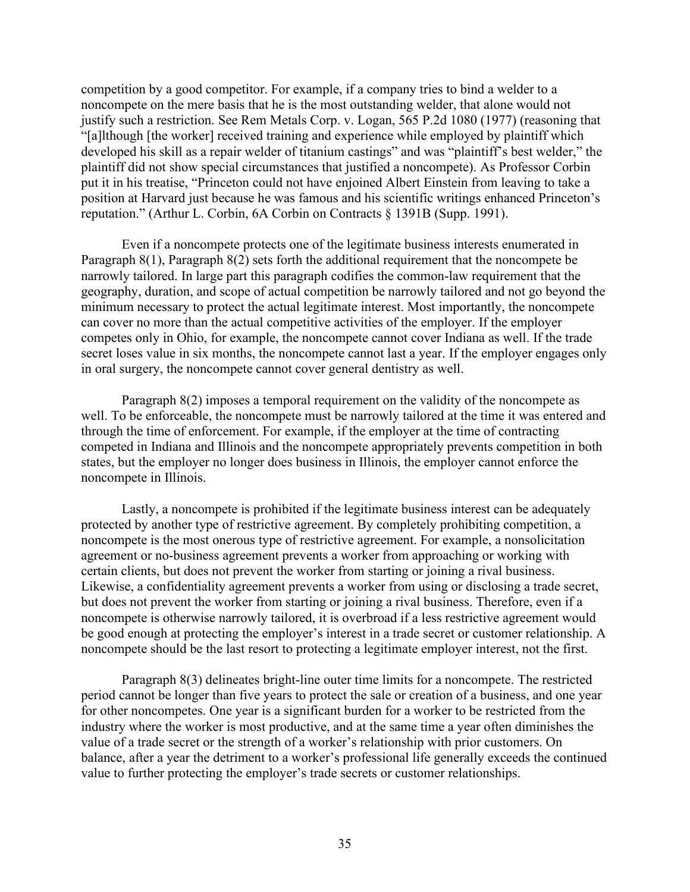"[a]lthough [the worker] received training and experience while employed by plaintiff which competition by a good competitor. For example, if a company tries to bind a welder to a noncompete on the mere basis that he is the most outstanding welder, that alone would not justify such a restriction. See Rem Metals Corp. v. Logan, 565 P.2d 1080 (1977) (reasoning that developed his skill as a repair welder of titanium castings" and was "plaintiff's best welder," the plaintiff did not show special circumstances that justified a noncompete). As Professor Corbin put it in his treatise, "Princeton could not have enjoined Albert Einstein from leaving to take a position at Harvard just because he was famous and his scientific writings enhanced Princeton's reputation." (Arthur L. Corbin, 6A Corbin on Contracts § 1391B (Supp. 1991).

 competes only in Ohio, for example, the noncompete cannot cover Indiana as well. If the trade in oral surgery, the noncompete cannot cover general dentistry as well. Even if a noncompete protects one of the legitimate business interests enumerated in Paragraph 8(1), Paragraph 8(2) sets forth the additional requirement that the noncompete be narrowly tailored. In large part this paragraph codifies the common-law requirement that the geography, duration, and scope of actual competition be narrowly tailored and not go beyond the minimum necessary to protect the actual legitimate interest. Most importantly, the noncompete can cover no more than the actual competitive activities of the employer. If the employer secret loses value in six months, the noncompete cannot last a year. If the employer engages only

Paragraph 8(2) imposes a temporal requirement on the validity of the noncompete as well. To be enforceable, the noncompete must be narrowly tailored at the time it was entered and through the time of enforcement. For example, if the employer at the time of contracting competed in Indiana and Illinois and the noncompete appropriately prevents competition in both states, but the employer no longer does business in Illinois, the employer cannot enforce the noncompete in Illinois.

 but does not prevent the worker from starting or joining a rival business. Therefore, even if a Lastly, a noncompete is prohibited if the legitimate business interest can be adequately protected by another type of restrictive agreement. By completely prohibiting competition, a noncompete is the most onerous type of restrictive agreement. For example, a nonsolicitation agreement or no-business agreement prevents a worker from approaching or working with certain clients, but does not prevent the worker from starting or joining a rival business. Likewise, a confidentiality agreement prevents a worker from using or disclosing a trade secret, noncompete is otherwise narrowly tailored, it is overbroad if a less restrictive agreement would be good enough at protecting the employer's interest in a trade secret or customer relationship. A noncompete should be the last resort to protecting a legitimate employer interest, not the first.

Paragraph 8(3) delineates bright-line outer time limits for a noncompete. The restricted period cannot be longer than five years to protect the sale or creation of a business, and one year for other noncompetes. One year is a significant burden for a worker to be restricted from the industry where the worker is most productive, and at the same time a year often diminishes the value of a trade secret or the strength of a worker's relationship with prior customers. On balance, after a year the detriment to a worker's professional life generally exceeds the continued value to further protecting the employer's trade secrets or customer relationships.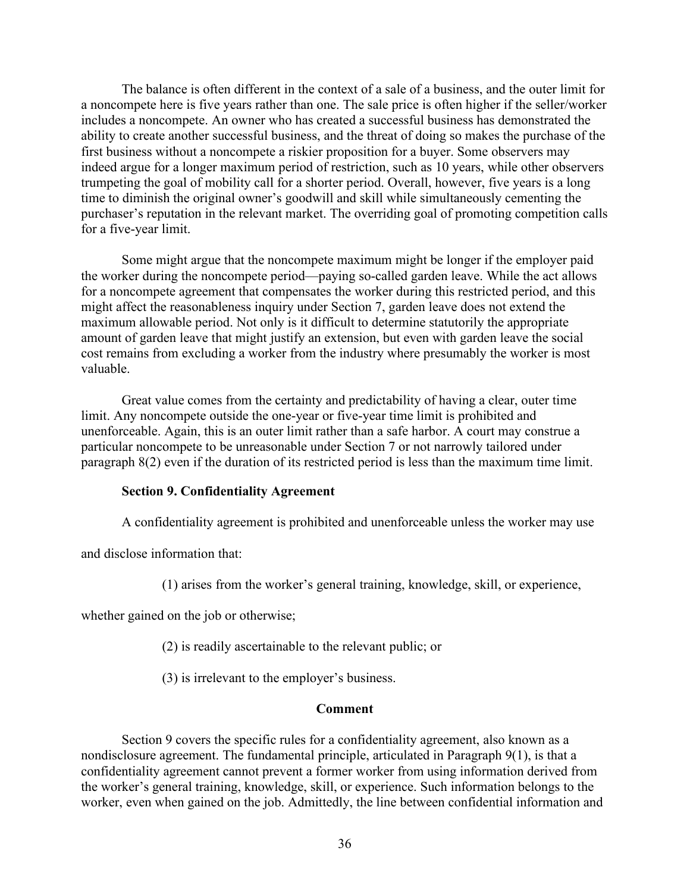The balance is often different in the context of a sale of a business, and the outer limit for a noncompete here is five years rather than one. The sale price is often higher if the seller/worker includes a noncompete. An owner who has created a successful business has demonstrated the ability to create another successful business, and the threat of doing so makes the purchase of the first business without a noncompete a riskier proposition for a buyer. Some observers may indeed argue for a longer maximum period of restriction, such as 10 years, while other observers trumpeting the goal of mobility call for a shorter period. Overall, however, five years is a long time to diminish the original owner's goodwill and skill while simultaneously cementing the purchaser's reputation in the relevant market. The overriding goal of promoting competition calls for a five-year limit.

Some might argue that the noncompete maximum might be longer if the employer paid the worker during the noncompete period—paying so-called garden leave. While the act allows for a noncompete agreement that compensates the worker during this restricted period, and this might affect the reasonableness inquiry under Section 7, garden leave does not extend the maximum allowable period. Not only is it difficult to determine statutorily the appropriate amount of garden leave that might justify an extension, but even with garden leave the social cost remains from excluding a worker from the industry where presumably the worker is most valuable.

 paragraph 8(2) even if the duration of its restricted period is less than the maximum time limit. Great value comes from the certainty and predictability of having a clear, outer time limit. Any noncompete outside the one-year or five-year time limit is prohibited and unenforceable. Again, this is an outer limit rather than a safe harbor. A court may construe a particular noncompete to be unreasonable under Section 7 or not narrowly tailored under

## <span id="page-39-0"></span>**Section 9. Confidentiality Agreement**

A confidentiality agreement is prohibited and unenforceable unless the worker may use

and disclose information that:

(1) arises from the worker's general training, knowledge, skill, or experience,

whether gained on the job or otherwise;

(2) is readily ascertainable to the relevant public; or

(3) is irrelevant to the employer's business.

#### **Comment**

Section 9 covers the specific rules for a confidentiality agreement, also known as a nondisclosure agreement. The fundamental principle, articulated in Paragraph 9(1), is that a confidentiality agreement cannot prevent a former worker from using information derived from the worker's general training, knowledge, skill, or experience. Such information belongs to the worker, even when gained on the job. Admittedly, the line between confidential information and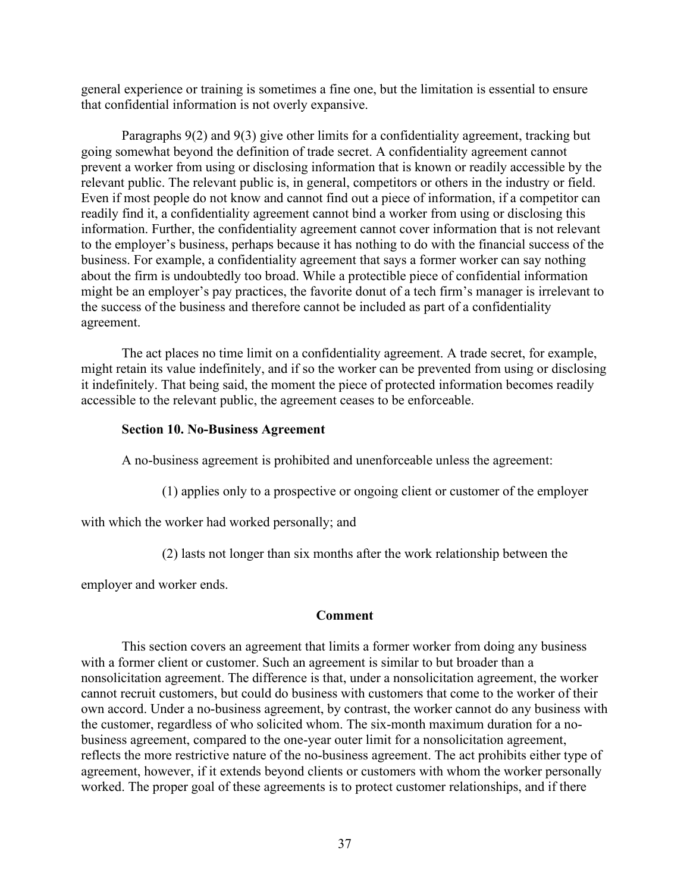general experience or training is sometimes a fine one, but the limitation is essential to ensure that confidential information is not overly expansive.

agreement. Paragraphs 9(2) and 9(3) give other limits for a confidentiality agreement, tracking but going somewhat beyond the definition of trade secret. A confidentiality agreement cannot prevent a worker from using or disclosing information that is known or readily accessible by the relevant public. The relevant public is, in general, competitors or others in the industry or field. Even if most people do not know and cannot find out a piece of information, if a competitor can readily find it, a confidentiality agreement cannot bind a worker from using or disclosing this information. Further, the confidentiality agreement cannot cover information that is not relevant to the employer's business, perhaps because it has nothing to do with the financial success of the business. For example, a confidentiality agreement that says a former worker can say nothing about the firm is undoubtedly too broad. While a protectible piece of confidential information might be an employer's pay practices, the favorite donut of a tech firm's manager is irrelevant to the success of the business and therefore cannot be included as part of a confidentiality

The act places no time limit on a confidentiality agreement. A trade secret, for example, might retain its value indefinitely, and if so the worker can be prevented from using or disclosing it indefinitely. That being said, the moment the piece of protected information becomes readily accessible to the relevant public, the agreement ceases to be enforceable.

#### <span id="page-40-0"></span>**Section 10. No-Business Agreement**

A no-business agreement is prohibited and unenforceable unless the agreement:

(1) applies only to a prospective or ongoing client or customer of the employer

with which the worker had worked personally; and

(2) lasts not longer than six months after the work relationship between the

employer and worker ends.

#### **Comment**

 worked. The proper goal of these agreements is to protect customer relationships, and if there This section covers an agreement that limits a former worker from doing any business with a former client or customer. Such an agreement is similar to but broader than a nonsolicitation agreement. The difference is that, under a nonsolicitation agreement, the worker cannot recruit customers, but could do business with customers that come to the worker of their own accord. Under a no-business agreement, by contrast, the worker cannot do any business with the customer, regardless of who solicited whom. The six-month maximum duration for a nobusiness agreement, compared to the one-year outer limit for a nonsolicitation agreement, reflects the more restrictive nature of the no-business agreement. The act prohibits either type of agreement, however, if it extends beyond clients or customers with whom the worker personally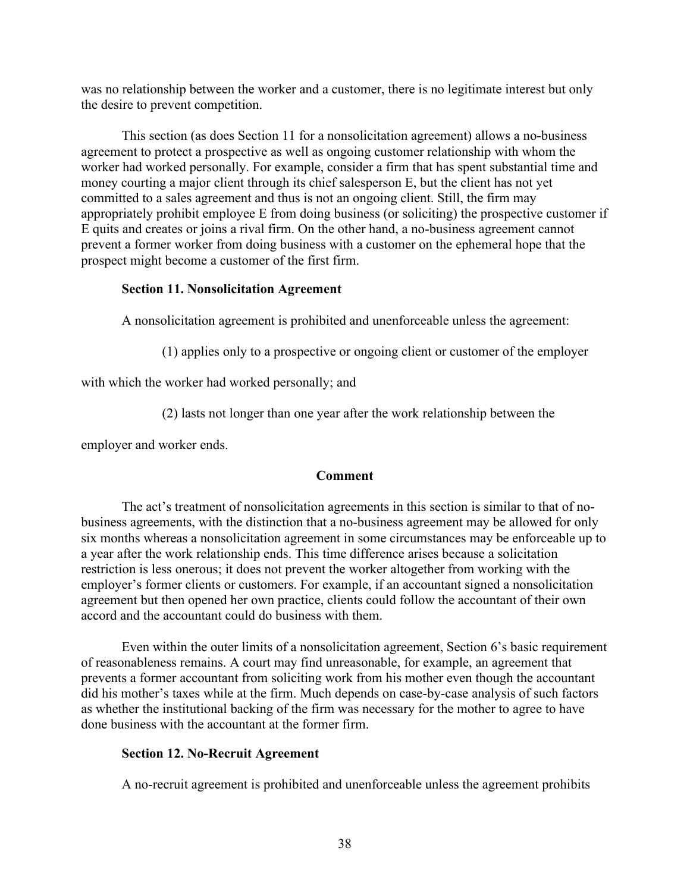was no relationship between the worker and a customer, there is no legitimate interest but only the desire to prevent competition.

 prevent a former worker from doing business with a customer on the ephemeral hope that the This section (as does Section 11 for a nonsolicitation agreement) allows a no-business agreement to protect a prospective as well as ongoing customer relationship with whom the worker had worked personally. For example, consider a firm that has spent substantial time and money courting a major client through its chief salesperson E, but the client has not yet committed to a sales agreement and thus is not an ongoing client. Still, the firm may appropriately prohibit employee E from doing business (or soliciting) the prospective customer if E quits and creates or joins a rival firm. On the other hand, a no-business agreement cannot prospect might become a customer of the first firm.

## <span id="page-41-0"></span>**Section 11. Nonsolicitation Agreement**

A nonsolicitation agreement is prohibited and unenforceable unless the agreement:

(1) applies only to a prospective or ongoing client or customer of the employer

with which the worker had worked personally; and

(2) lasts not longer than one year after the work relationship between the

employer and worker ends.

## **Comment**

 restriction is less onerous; it does not prevent the worker altogether from working with the accord and the accountant could do business with them. The act's treatment of nonsolicitation agreements in this section is similar to that of nobusiness agreements, with the distinction that a no-business agreement may be allowed for only six months whereas a nonsolicitation agreement in some circumstances may be enforceable up to a year after the work relationship ends. This time difference arises because a solicitation employer's former clients or customers. For example, if an accountant signed a nonsolicitation agreement but then opened her own practice, clients could follow the accountant of their own

 done business with the accountant at the former firm. Even within the outer limits of a nonsolicitation agreement, Section 6's basic requirement of reasonableness remains. A court may find unreasonable, for example, an agreement that prevents a former accountant from soliciting work from his mother even though the accountant did his mother's taxes while at the firm. Much depends on case-by-case analysis of such factors as whether the institutional backing of the firm was necessary for the mother to agree to have

# <span id="page-41-1"></span>**Section 12. No-Recruit Agreement**

A no-recruit agreement is prohibited and unenforceable unless the agreement prohibits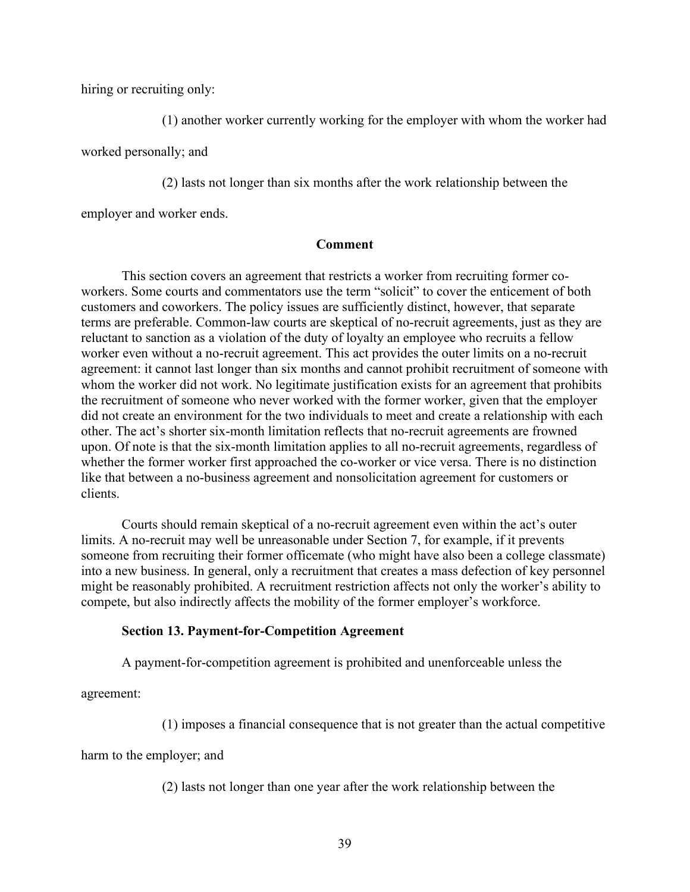hiring or recruiting only:

(1) another worker currently working for the employer with whom the worker had

worked personally; and

(2) lasts not longer than six months after the work relationship between the

employer and worker ends.

#### **Comment**

 reluctant to sanction as a violation of the duty of loyalty an employee who recruits a fellow clients. This section covers an agreement that restricts a worker from recruiting former coworkers. Some courts and commentators use the term "solicit" to cover the enticement of both customers and coworkers. The policy issues are sufficiently distinct, however, that separate terms are preferable. Common-law courts are skeptical of no-recruit agreements, just as they are worker even without a no-recruit agreement. This act provides the outer limits on a no-recruit agreement: it cannot last longer than six months and cannot prohibit recruitment of someone with whom the worker did not work. No legitimate justification exists for an agreement that prohibits the recruitment of someone who never worked with the former worker, given that the employer did not create an environment for the two individuals to meet and create a relationship with each other. The act's shorter six-month limitation reflects that no-recruit agreements are frowned upon. Of note is that the six-month limitation applies to all no-recruit agreements, regardless of whether the former worker first approached the co-worker or vice versa. There is no distinction like that between a no-business agreement and nonsolicitation agreement for customers or

 compete, but also indirectly affects the mobility of the former employer's workforce. Courts should remain skeptical of a no-recruit agreement even within the act's outer limits. A no-recruit may well be unreasonable under Section 7, for example, if it prevents someone from recruiting their former officemate (who might have also been a college classmate) into a new business. In general, only a recruitment that creates a mass defection of key personnel might be reasonably prohibited. A recruitment restriction affects not only the worker's ability to

## <span id="page-42-0"></span>**Section 13. Payment-for-Competition Agreement**

A payment-for-competition agreement is prohibited and unenforceable unless the

agreement:

(1) imposes a financial consequence that is not greater than the actual competitive

harm to the employer; and

 $(2)$  lasts not longer than one year after the work relationship between the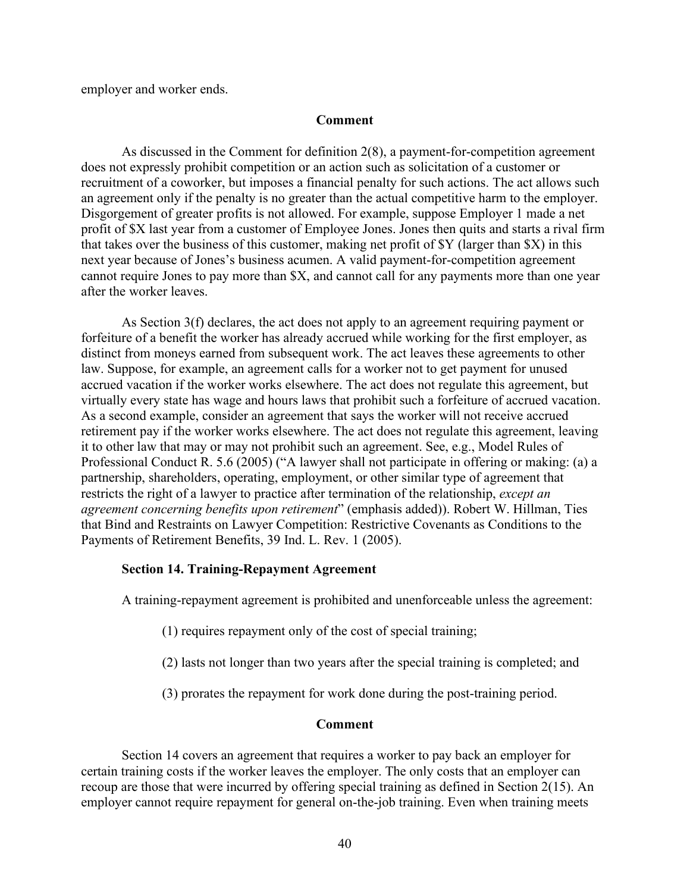employer and worker ends.

## **Comment**

 Disgorgement of greater profits is not allowed. For example, suppose Employer 1 made a net As discussed in the Comment for definition 2(8), a payment-for-competition agreement does not expressly prohibit competition or an action such as solicitation of a customer or recruitment of a coworker, but imposes a financial penalty for such actions. The act allows such an agreement only if the penalty is no greater than the actual competitive harm to the employer. profit of \$X last year from a customer of Employee Jones. Jones then quits and starts a rival firm that takes over the business of this customer, making net profit of \$Y (larger than \$X) in this next year because of Jones's business acumen. A valid payment-for-competition agreement cannot require Jones to pay more than \$X, and cannot call for any payments more than one year after the worker leaves.

 law. Suppose, for example, an agreement calls for a worker not to get payment for unused As Section 3(f) declares, the act does not apply to an agreement requiring payment or forfeiture of a benefit the worker has already accrued while working for the first employer, as distinct from moneys earned from subsequent work. The act leaves these agreements to other accrued vacation if the worker works elsewhere. The act does not regulate this agreement, but virtually every state has wage and hours laws that prohibit such a forfeiture of accrued vacation. As a second example, consider an agreement that says the worker will not receive accrued retirement pay if the worker works elsewhere. The act does not regulate this agreement, leaving it to other law that may or may not prohibit such an agreement. See, e.g., Model Rules of Professional Conduct R. 5.6 (2005) ("A lawyer shall not participate in offering or making: (a) a partnership, shareholders, operating, employment, or other similar type of agreement that restricts the right of a lawyer to practice after termination of the relationship, *except an agreement concerning benefits upon retirement*" (emphasis added)). Robert W. Hillman, Ties that Bind and Restraints on Lawyer Competition: Restrictive Covenants as Conditions to the Payments of Retirement Benefits, 39 Ind. L. Rev. 1 (2005).

#### <span id="page-43-0"></span>**Section 14. Training-Repayment Agreement**

A training-repayment agreement is prohibited and unenforceable unless the agreement:

- (1) requires repayment only of the cost of special training;
- (2) lasts not longer than two years after the special training is completed; and
- (3) prorates the repayment for work done during the post-training period.

## **Comment**

Section 14 covers an agreement that requires a worker to pay back an employer for certain training costs if the worker leaves the employer. The only costs that an employer can recoup are those that were incurred by offering special training as defined in Section 2(15). An employer cannot require repayment for general on-the-job training. Even when training meets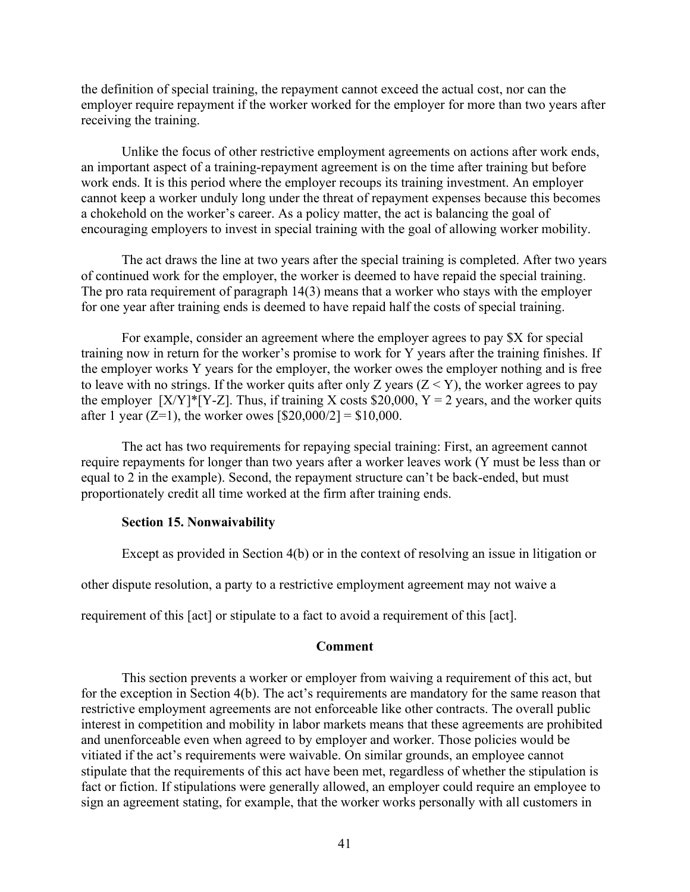the definition of special training, the repayment cannot exceed the actual cost, nor can the employer require repayment if the worker worked for the employer for more than two years after receiving the training.

 cannot keep a worker unduly long under the threat of repayment expenses because this becomes a chokehold on the worker's career. As a policy matter, the act is balancing the goal of Unlike the focus of other restrictive employment agreements on actions after work ends, an important aspect of a training-repayment agreement is on the time after training but before work ends. It is this period where the employer recoups its training investment. An employer encouraging employers to invest in special training with the goal of allowing worker mobility.

The act draws the line at two years after the special training is completed. After two years of continued work for the employer, the worker is deemed to have repaid the special training. The pro rata requirement of paragraph 14(3) means that a worker who stays with the employer for one year after training ends is deemed to have repaid half the costs of special training.

 For example, consider an agreement where the employer agrees to pay \$X for special to leave with no strings. If the worker quits after only Z years  $(Z \le Y)$ , the worker agrees to pay the employer  $[X/Y]^*[Y-Z]$ . Thus, if training X costs \$20,000,  $Y = 2$  years, and the worker quits training now in return for the worker's promise to work for Y years after the training finishes. If the employer works Y years for the employer, the worker owes the employer nothing and is free after 1 year (Z=1), the worker owes  $[$20,000/2] = $10,000$ .

The act has two requirements for repaying special training: First, an agreement cannot require repayments for longer than two years after a worker leaves work (Y must be less than or equal to 2 in the example). Second, the repayment structure can't be back-ended, but must proportionately credit all time worked at the firm after training ends.

#### <span id="page-44-0"></span>**Section 15. Nonwaivability**

Except as provided in Section 4(b) or in the context of resolving an issue in litigation or

other dispute resolution, a party to a restrictive employment agreement may not waive a

requirement of this [act] or stipulate to a fact to avoid a requirement of this [act].

#### **Comment**

This section prevents a worker or employer from waiving a requirement of this act, but for the exception in Section 4(b). The act's requirements are mandatory for the same reason that restrictive employment agreements are not enforceable like other contracts. The overall public interest in competition and mobility in labor markets means that these agreements are prohibited and unenforceable even when agreed to by employer and worker. Those policies would be vitiated if the act's requirements were waivable. On similar grounds, an employee cannot stipulate that the requirements of this act have been met, regardless of whether the stipulation is fact or fiction. If stipulations were generally allowed, an employer could require an employee to sign an agreement stating, for example, that the worker works personally with all customers in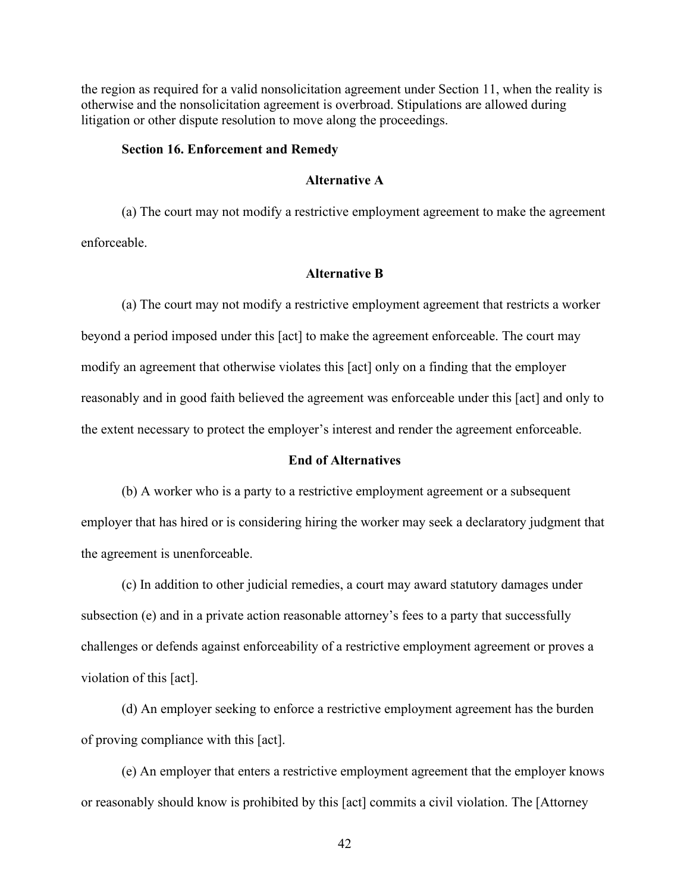the region as required for a valid nonsolicitation agreement under Section 11, when the reality is otherwise and the nonsolicitation agreement is overbroad. Stipulations are allowed during litigation or other dispute resolution to move along the proceedings.

#### <span id="page-45-0"></span>**Section 16. Enforcement and Remedy**

## **Alternative A**

 enforceable. (a) The court may not modify a restrictive employment agreement to make the agreement

## **Alternative B**

(a) The court may not modify a restrictive employment agreement that restricts a worker beyond a period imposed under this [act] to make the agreement enforceable. The court may modify an agreement that otherwise violates this [act] only on a finding that the employer reasonably and in good faith believed the agreement was enforceable under this [act] and only to the extent necessary to protect the employer's interest and render the agreement enforceable.

## **End of Alternatives**

(b) A worker who is a party to a restrictive employment agreement or a subsequent employer that has hired or is considering hiring the worker may seek a declaratory judgment that the agreement is unenforceable.

 (c) In addition to other judicial remedies, a court may award statutory damages under challenges or defends against enforceability of a restrictive employment agreement or proves a violation of this [act]. subsection (e) and in a private action reasonable attorney's fees to a party that successfully

(d) An employer seeking to enforce a restrictive employment agreement has the burden of proving compliance with this [act].

 (e) An employer that enters a restrictive employment agreement that the employer knows or reasonably should know is prohibited by this [act] commits a civil violation. The [Attorney

42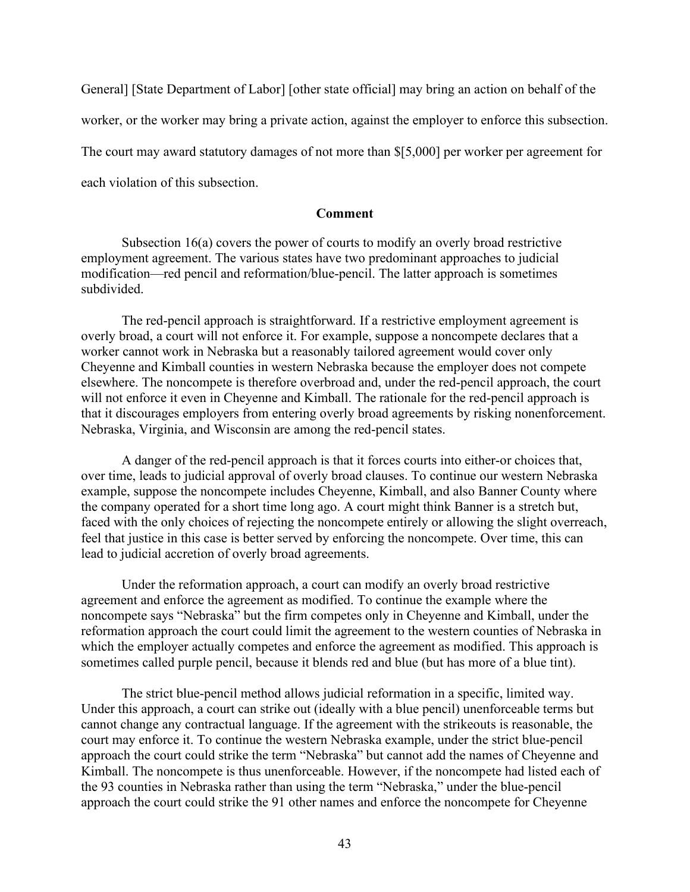The court may award statutory damages of not more than \$[5,000] per worker per agreement for General] [State Department of Labor] [other state official] may bring an action on behalf of the worker, or the worker may bring a private action, against the employer to enforce this subsection. each violation of this subsection.

#### **Comment**

Subsection 16(a) covers the power of courts to modify an overly broad restrictive employment agreement. The various states have two predominant approaches to judicial modification—red pencil and reformation/blue-pencil. The latter approach is sometimes subdivided.

 elsewhere. The noncompete is therefore overbroad and, under the red-pencil approach, the court The red-pencil approach is straightforward. If a restrictive employment agreement is overly broad, a court will not enforce it. For example, suppose a noncompete declares that a worker cannot work in Nebraska but a reasonably tailored agreement would cover only Cheyenne and Kimball counties in western Nebraska because the employer does not compete will not enforce it even in Cheyenne and Kimball. The rationale for the red-pencil approach is that it discourages employers from entering overly broad agreements by risking nonenforcement. Nebraska, Virginia, and Wisconsin are among the red-pencil states.

A danger of the red-pencil approach is that it forces courts into either-or choices that, over time, leads to judicial approval of overly broad clauses. To continue our western Nebraska example, suppose the noncompete includes Cheyenne, Kimball, and also Banner County where the company operated for a short time long ago. A court might think Banner is a stretch but, faced with the only choices of rejecting the noncompete entirely or allowing the slight overreach, feel that justice in this case is better served by enforcing the noncompete. Over time, this can lead to judicial accretion of overly broad agreements.

 sometimes called purple pencil, because it blends red and blue (but has more of a blue tint). Under the reformation approach, a court can modify an overly broad restrictive agreement and enforce the agreement as modified. To continue the example where the noncompete says "Nebraska" but the firm competes only in Cheyenne and Kimball, under the reformation approach the court could limit the agreement to the western counties of Nebraska in which the employer actually competes and enforce the agreement as modified. This approach is

 cannot change any contractual language. If the agreement with the strikeouts is reasonable, the The strict blue-pencil method allows judicial reformation in a specific, limited way. Under this approach, a court can strike out (ideally with a blue pencil) unenforceable terms but court may enforce it. To continue the western Nebraska example, under the strict blue-pencil approach the court could strike the term "Nebraska" but cannot add the names of Cheyenne and Kimball. The noncompete is thus unenforceable. However, if the noncompete had listed each of the 93 counties in Nebraska rather than using the term "Nebraska," under the blue-pencil approach the court could strike the 91 other names and enforce the noncompete for Cheyenne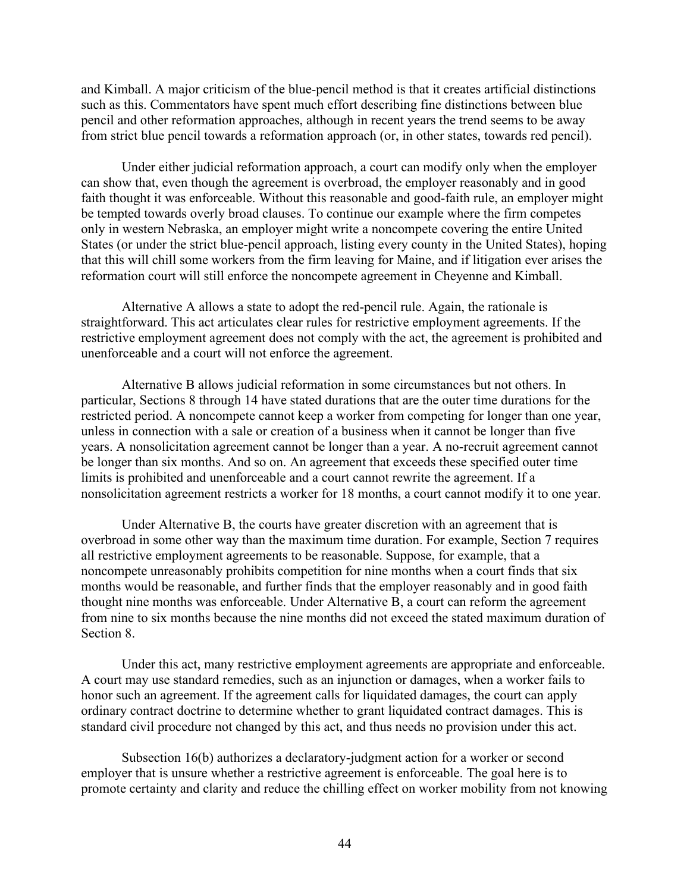and Kimball. A major criticism of the blue-pencil method is that it creates artificial distinctions such as this. Commentators have spent much effort describing fine distinctions between blue pencil and other reformation approaches, although in recent years the trend seems to be away from strict blue pencil towards a reformation approach (or, in other states, towards red pencil).

Under either judicial reformation approach, a court can modify only when the employer can show that, even though the agreement is overbroad, the employer reasonably and in good faith thought it was enforceable. Without this reasonable and good-faith rule, an employer might be tempted towards overly broad clauses. To continue our example where the firm competes only in western Nebraska, an employer might write a noncompete covering the entire United States (or under the strict blue-pencil approach, listing every county in the United States), hoping that this will chill some workers from the firm leaving for Maine, and if litigation ever arises the reformation court will still enforce the noncompete agreement in Cheyenne and Kimball.

 Alternative A allows a state to adopt the red-pencil rule. Again, the rationale is straightforward. This act articulates clear rules for restrictive employment agreements. If the restrictive employment agreement does not comply with the act, the agreement is prohibited and unenforceable and a court will not enforce the agreement.

 Alternative B allows judicial reformation in some circumstances but not others. In limits is prohibited and unenforceable and a court cannot rewrite the agreement. If a particular, Sections 8 through 14 have stated durations that are the outer time durations for the restricted period. A noncompete cannot keep a worker from competing for longer than one year, unless in connection with a sale or creation of a business when it cannot be longer than five years. A nonsolicitation agreement cannot be longer than a year. A no-recruit agreement cannot be longer than six months. And so on. An agreement that exceeds these specified outer time nonsolicitation agreement restricts a worker for 18 months, a court cannot modify it to one year.

Under Alternative B, the courts have greater discretion with an agreement that is overbroad in some other way than the maximum time duration. For example, Section 7 requires all restrictive employment agreements to be reasonable. Suppose, for example, that a noncompete unreasonably prohibits competition for nine months when a court finds that six months would be reasonable, and further finds that the employer reasonably and in good faith thought nine months was enforceable. Under Alternative B, a court can reform the agreement from nine to six months because the nine months did not exceed the stated maximum duration of Section 8.

 A court may use standard remedies, such as an injunction or damages, when a worker fails to Under this act, many restrictive employment agreements are appropriate and enforceable. honor such an agreement. If the agreement calls for liquidated damages, the court can apply ordinary contract doctrine to determine whether to grant liquidated contract damages. This is standard civil procedure not changed by this act, and thus needs no provision under this act.

Subsection 16(b) authorizes a declaratory-judgment action for a worker or second employer that is unsure whether a restrictive agreement is enforceable. The goal here is to promote certainty and clarity and reduce the chilling effect on worker mobility from not knowing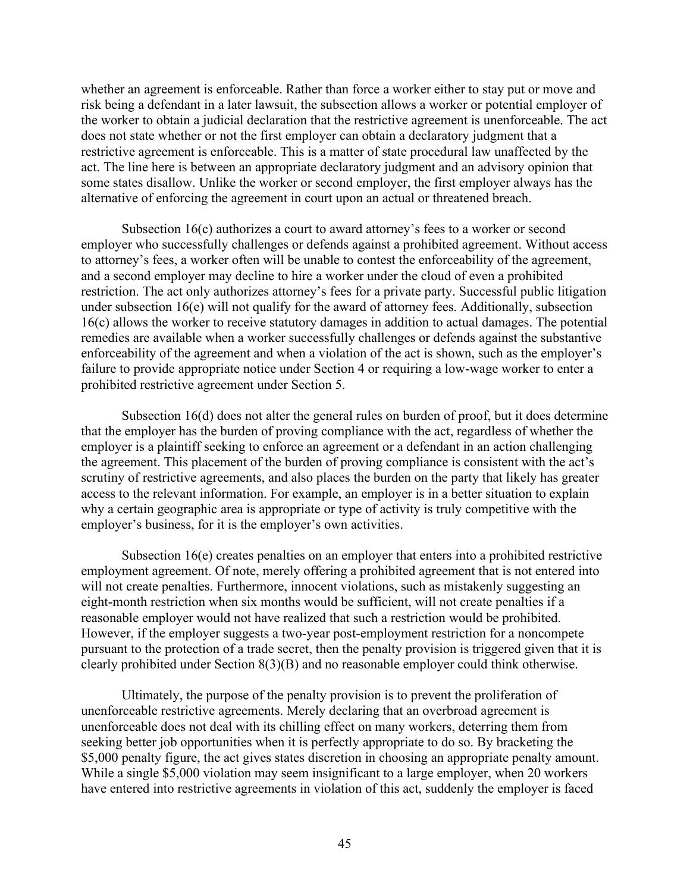whether an agreement is enforceable. Rather than force a worker either to stay put or move and risk being a defendant in a later lawsuit, the subsection allows a worker or potential employer of the worker to obtain a judicial declaration that the restrictive agreement is unenforceable. The act does not state whether or not the first employer can obtain a declaratory judgment that a restrictive agreement is enforceable. This is a matter of state procedural law unaffected by the act. The line here is between an appropriate declaratory judgment and an advisory opinion that some states disallow. Unlike the worker or second employer, the first employer always has the alternative of enforcing the agreement in court upon an actual or threatened breach.

 failure to provide appropriate notice under Section 4 or requiring a low-wage worker to enter a Subsection 16(c) authorizes a court to award attorney's fees to a worker or second employer who successfully challenges or defends against a prohibited agreement. Without access to attorney's fees, a worker often will be unable to contest the enforceability of the agreement, and a second employer may decline to hire a worker under the cloud of even a prohibited restriction. The act only authorizes attorney's fees for a private party. Successful public litigation under subsection 16(e) will not qualify for the award of attorney fees. Additionally, subsection 16(c) allows the worker to receive statutory damages in addition to actual damages. The potential remedies are available when a worker successfully challenges or defends against the substantive enforceability of the agreement and when a violation of the act is shown, such as the employer's prohibited restrictive agreement under Section 5.

employer's business, for it is the employer's own activities. Subsection 16(d) does not alter the general rules on burden of proof, but it does determine that the employer has the burden of proving compliance with the act, regardless of whether the employer is a plaintiff seeking to enforce an agreement or a defendant in an action challenging the agreement. This placement of the burden of proving compliance is consistent with the act's scrutiny of restrictive agreements, and also places the burden on the party that likely has greater access to the relevant information. For example, an employer is in a better situation to explain why a certain geographic area is appropriate or type of activity is truly competitive with the

Subsection  $16(e)$  creates penalties on an employer that enters into a prohibited restrictive employment agreement. Of note, merely offering a prohibited agreement that is not entered into will not create penalties. Furthermore, innocent violations, such as mistakenly suggesting an eight-month restriction when six months would be sufficient, will not create penalties if a reasonable employer would not have realized that such a restriction would be prohibited. However, if the employer suggests a two-year post-employment restriction for a noncompete pursuant to the protection of a trade secret, then the penalty provision is triggered given that it is clearly prohibited under Section 8(3)(B) and no reasonable employer could think otherwise.

Ultimately, the purpose of the penalty provision is to prevent the proliferation of unenforceable restrictive agreements. Merely declaring that an overbroad agreement is unenforceable does not deal with its chilling effect on many workers, deterring them from seeking better job opportunities when it is perfectly appropriate to do so. By bracketing the \$5,000 penalty figure, the act gives states discretion in choosing an appropriate penalty amount. While a single \$5,000 violation may seem insignificant to a large employer, when 20 workers have entered into restrictive agreements in violation of this act, suddenly the employer is faced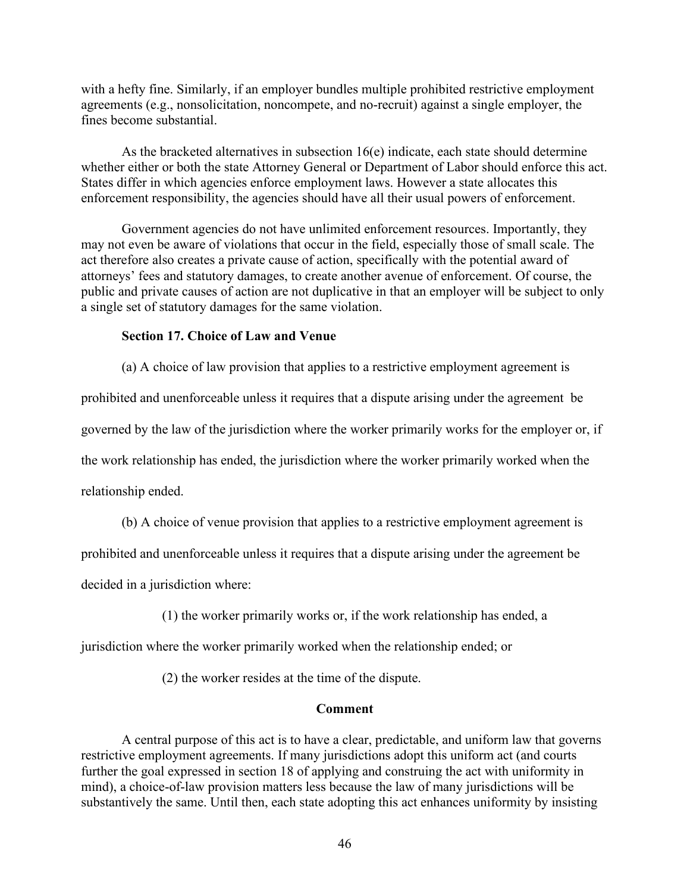with a hefty fine. Similarly, if an employer bundles multiple prohibited restrictive employment agreements (e.g., nonsolicitation, noncompete, and no-recruit) against a single employer, the fines become substantial.

As the bracketed alternatives in subsection  $16(e)$  indicate, each state should determine whether either or both the state Attorney General or Department of Labor should enforce this act. States differ in which agencies enforce employment laws. However a state allocates this enforcement responsibility, the agencies should have all their usual powers of enforcement.

 act therefore also creates a private cause of action, specifically with the potential award of Government agencies do not have unlimited enforcement resources. Importantly, they may not even be aware of violations that occur in the field, especially those of small scale. The attorneys' fees and statutory damages, to create another avenue of enforcement. Of course, the public and private causes of action are not duplicative in that an employer will be subject to only a single set of statutory damages for the same violation.

## <span id="page-49-0"></span> **Section 17. Choice of Law and Venue**

(a) A choice of law provision that applies to a restrictive employment agreement is

prohibited and unenforceable unless it requires that a dispute arising under the agreement be

governed by the law of the jurisdiction where the worker primarily works for the employer or, if

the work relationship has ended, the jurisdiction where the worker primarily worked when the

relationship ended.

(b) A choice of venue provision that applies to a restrictive employment agreement is

prohibited and unenforceable unless it requires that a dispute arising under the agreement be

decided in a jurisdiction where:

(1) the worker primarily works or, if the work relationship has ended, a

jurisdiction where the worker primarily worked when the relationship ended; or

(2) the worker resides at the time of the dispute.

## **Comment**

A central purpose of this act is to have a clear, predictable, and uniform law that governs restrictive employment agreements. If many jurisdictions adopt this uniform act (and courts further the goal expressed in section 18 of applying and construing the act with uniformity in mind), a choice-of-law provision matters less because the law of many jurisdictions will be substantively the same. Until then, each state adopting this act enhances uniformity by insisting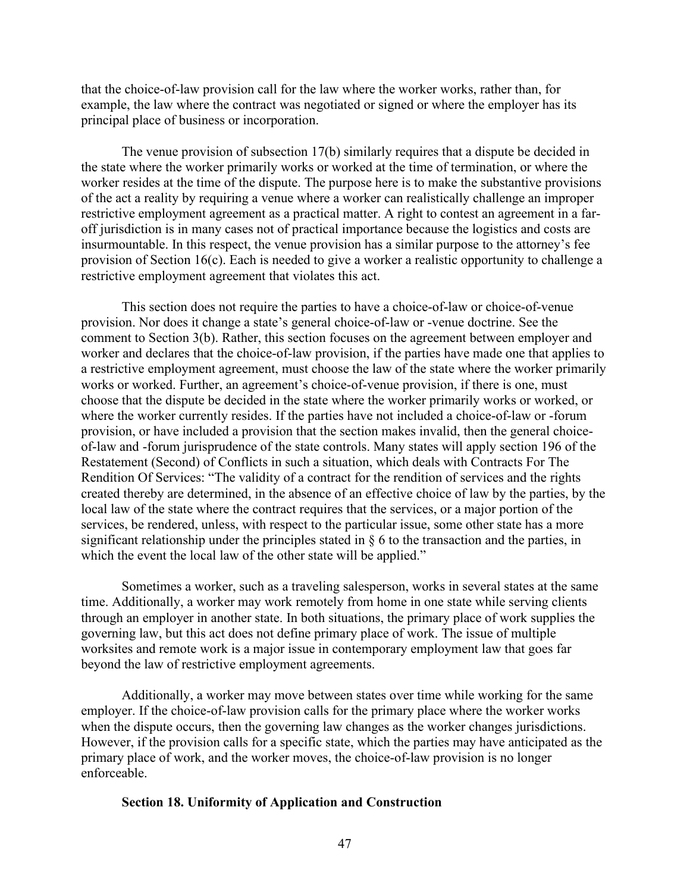that the choice-of-law provision call for the law where the worker works, rather than, for example, the law where the contract was negotiated or signed or where the employer has its principal place of business or incorporation.

The venue provision of subsection 17(b) similarly requires that a dispute be decided in the state where the worker primarily works or worked at the time of termination, or where the worker resides at the time of the dispute. The purpose here is to make the substantive provisions of the act a reality by requiring a venue where a worker can realistically challenge an improper restrictive employment agreement as a practical matter. A right to contest an agreement in a faroff jurisdiction is in many cases not of practical importance because the logistics and costs are insurmountable. In this respect, the venue provision has a similar purpose to the attorney's fee provision of Section 16(c). Each is needed to give a worker a realistic opportunity to challenge a restrictive employment agreement that violates this act.

 Rendition Of Services: "The validity of a contract for the rendition of services and the rights This section does not require the parties to have a choice-of-law or choice-of-venue provision. Nor does it change a state's general choice-of-law or -venue doctrine. See the comment to Section 3(b). Rather, this section focuses on the agreement between employer and worker and declares that the choice-of-law provision, if the parties have made one that applies to a restrictive employment agreement, must choose the law of the state where the worker primarily works or worked. Further, an agreement's choice-of-venue provision, if there is one, must choose that the dispute be decided in the state where the worker primarily works or worked, or where the worker currently resides. If the parties have not included a choice-of-law or -forum provision, or have included a provision that the section makes invalid, then the general choiceof-law and -forum jurisprudence of the state controls. Many states will apply section 196 of the Restatement (Second) of Conflicts in such a situation, which deals with Contracts For The created thereby are determined, in the absence of an effective choice of law by the parties, by the local law of the state where the contract requires that the services, or a major portion of the services, be rendered, unless, with respect to the particular issue, some other state has a more significant relationship under the principles stated in  $\delta$  6 to the transaction and the parties, in which the event the local law of the other state will be applied."

Sometimes a worker, such as a traveling salesperson, works in several states at the same time. Additionally, a worker may work remotely from home in one state while serving clients through an employer in another state. In both situations, the primary place of work supplies the governing law, but this act does not define primary place of work. The issue of multiple worksites and remote work is a major issue in contemporary employment law that goes far beyond the law of restrictive employment agreements.

 enforceable. Additionally, a worker may move between states over time while working for the same employer. If the choice-of-law provision calls for the primary place where the worker works when the dispute occurs, then the governing law changes as the worker changes jurisdictions. However, if the provision calls for a specific state, which the parties may have anticipated as the primary place of work, and the worker moves, the choice-of-law provision is no longer

#### <span id="page-50-0"></span>**Section 18. Uniformity of Application and Construction**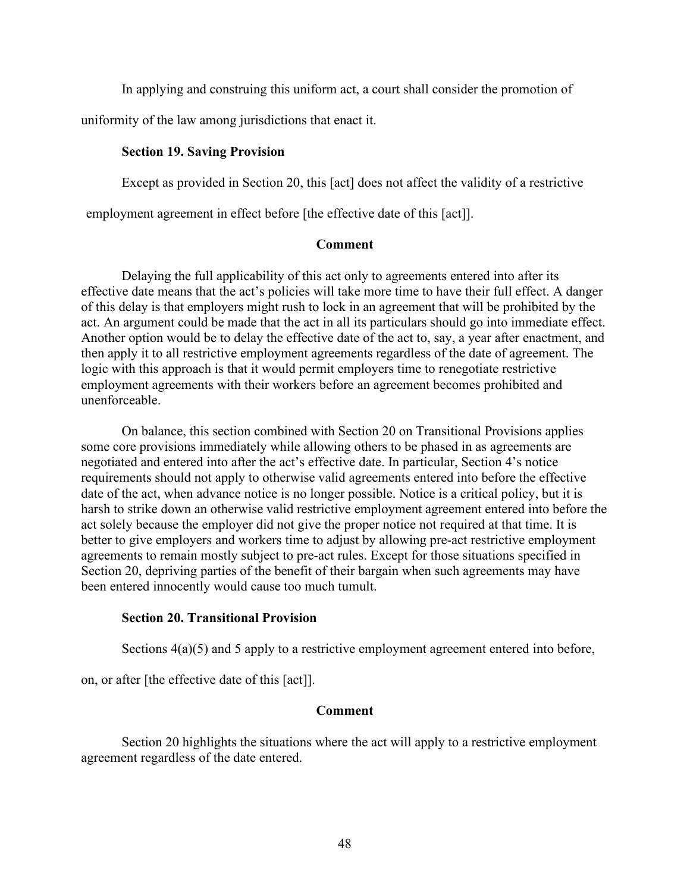In applying and construing this uniform act, a court shall consider the promotion of

uniformity of the law among jurisdictions that enact it.

## <span id="page-51-0"></span>**Section 19. Saving Provision**

Except as provided in Section 20, this [act] does not affect the validity of a restrictive

employment agreement in effect before [the effective date of this [act]].

## **Comment**

Delaying the full applicability of this act only to agreements entered into after its effective date means that the act's policies will take more time to have their full effect. A danger of this delay is that employers might rush to lock in an agreement that will be prohibited by the act. An argument could be made that the act in all its particulars should go into immediate effect. Another option would be to delay the effective date of the act to, say, a year after enactment, and then apply it to all restrictive employment agreements regardless of the date of agreement. The logic with this approach is that it would permit employers time to renegotiate restrictive employment agreements with their workers before an agreement becomes prohibited and unenforceable.

On balance, this section combined with Section 20 on Transitional Provisions applies some core provisions immediately while allowing others to be phased in as agreements are negotiated and entered into after the act's effective date. In particular, Section 4's notice requirements should not apply to otherwise valid agreements entered into before the effective date of the act, when advance notice is no longer possible. Notice is a critical policy, but it is harsh to strike down an otherwise valid restrictive employment agreement entered into before the act solely because the employer did not give the proper notice not required at that time. It is better to give employers and workers time to adjust by allowing pre-act restrictive employment agreements to remain mostly subject to pre-act rules. Except for those situations specified in Section 20, depriving parties of the benefit of their bargain when such agreements may have been entered innocently would cause too much tumult.

## <span id="page-51-1"></span>**Section 20. Transitional Provision**

Sections  $4(a)(5)$  and 5 apply to a restrictive employment agreement entered into before,

on, or after [the effective date of this [act]].

## **Comment**

Section 20 highlights the situations where the act will apply to a restrictive employment agreement regardless of the date entered.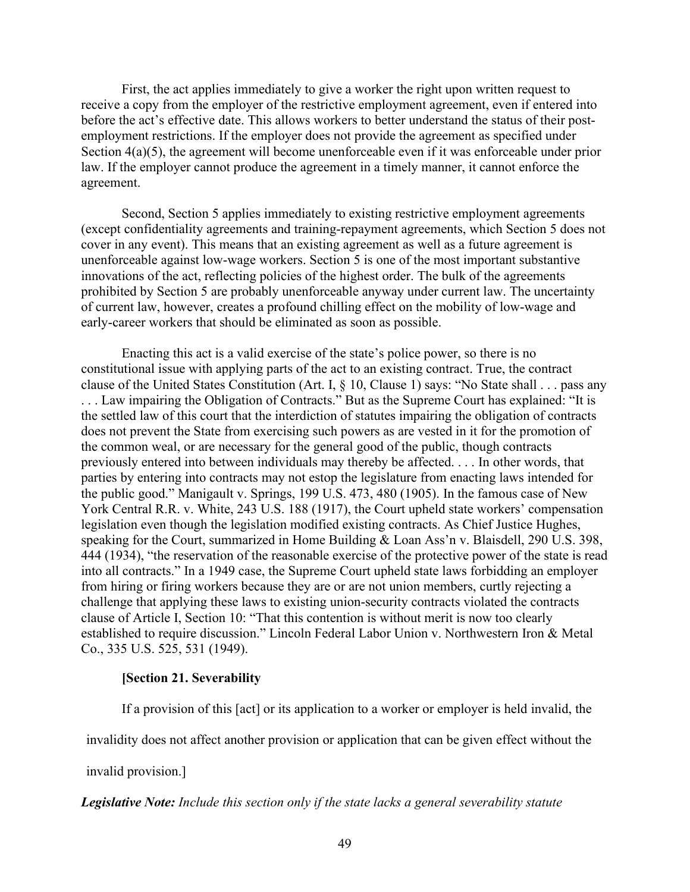First, the act applies immediately to give a worker the right upon written request to receive a copy from the employer of the restrictive employment agreement, even if entered into before the act's effective date. This allows workers to better understand the status of their postemployment restrictions. If the employer does not provide the agreement as specified under Section  $4(a)(5)$ , the agreement will become unenforceable even if it was enforceable under prior law. If the employer cannot produce the agreement in a timely manner, it cannot enforce the agreement.

 cover in any event). This means that an existing agreement as well as a future agreement is Second, Section 5 applies immediately to existing restrictive employment agreements (except confidentiality agreements and training-repayment agreements, which Section 5 does not unenforceable against low-wage workers. Section 5 is one of the most important substantive innovations of the act, reflecting policies of the highest order. The bulk of the agreements prohibited by Section 5 are probably unenforceable anyway under current law. The uncertainty of current law, however, creates a profound chilling effect on the mobility of low-wage and early-career workers that should be eliminated as soon as possible.

 the common weal, or are necessary for the general good of the public, though contracts clause of Article I, Section 10: "That this contention is without merit is now too clearly Enacting this act is a valid exercise of the state's police power, so there is no constitutional issue with applying parts of the act to an existing contract. True, the contract clause of the United States Constitution (Art. I, § 10, Clause 1) says: "No State shall . . . pass any . . . Law impairing the Obligation of Contracts." But as the Supreme Court has explained: "It is the settled law of this court that the interdiction of statutes impairing the obligation of contracts does not prevent the State from exercising such powers as are vested in it for the promotion of previously entered into between individuals may thereby be affected. . . . In other words, that parties by entering into contracts may not estop the legislature from enacting laws intended for the public good." Manigault v. Springs, 199 U.S. 473, 480 (1905). In the famous case of New York Central R.R. v. White, 243 U.S. 188 (1917), the Court upheld state workers' compensation legislation even though the legislation modified existing contracts. As Chief Justice Hughes, speaking for the Court, summarized in Home Building & Loan Ass'n v. Blaisdell, 290 U.S. 398, 444 (1934), "the reservation of the reasonable exercise of the protective power of the state is read into all contracts." In a 1949 case, the Supreme Court upheld state laws forbidding an employer from hiring or firing workers because they are or are not union members, curtly rejecting a challenge that applying these laws to existing union-security contracts violated the contracts established to require discussion." Lincoln Federal Labor Union v. Northwestern Iron & Metal Co., 335 U.S. 525, 531 (1949).

## <span id="page-52-0"></span>**[Section 21. Severability**

If a provision of this [act] or its application to a worker or employer is held invalid, the

invalidity does not affect another provision or application that can be given effect without the

invalid provision.]

*Legislative Note: Include this section only if the state lacks a general severability statute* 

49